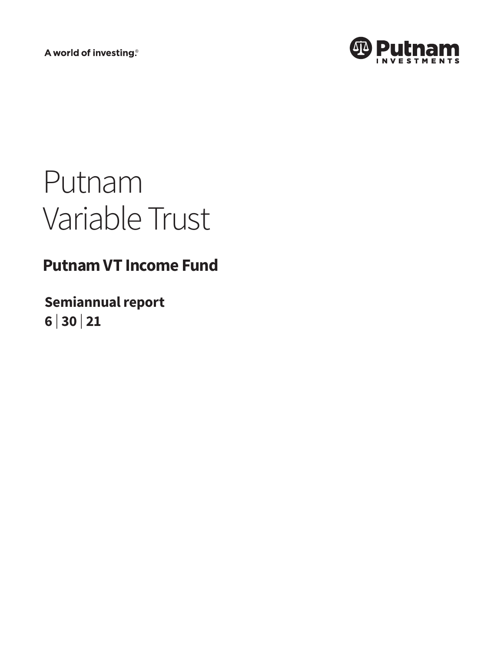

# Putnam Variable Trust

# **Putnam VT Income Fund**

**Semiannual report 6 <sup>|</sup> 30 <sup>|</sup> 21**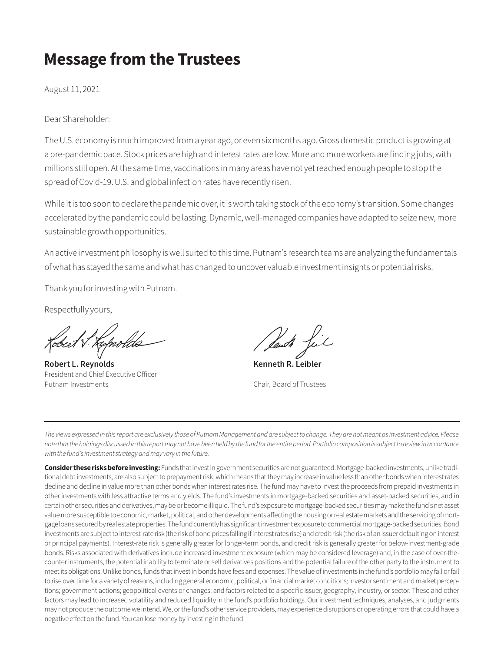# **Message from the Trustees**

August 11, 2021

Dear Shareholder:

The U.S. economy is much improved from a year ago, or even six months ago. Gross domestic product is growing at a pre-pandemic pace. Stock prices are high and interest rates are low. More and more workers are finding jobs, with millions still open. At the same time, vaccinations in many areas have not yet reached enough people to stop the spread of Covid-19. U.S. and global infection rates have recently risen.

While it is too soon to declare the pandemic over, it is worth taking stock of the economy's transition. Some changes accelerated by the pandemic could be lasting. Dynamic, well-managed companies have adapted to seize new, more sustainable growth opportunities.

An active investment philosophy is well suited to this time. Putnam's research teams are analyzing the fundamentals of what has stayed the same and what has changed to uncover valuable investment insights or potential risks.

Thank you for investing with Putnam.

Respectfully yours,

**Robert L. Reynolds Kenneth R. Leibler** President and Chief Executive Officer Putnam Investments Chair, Board of Trustees

*The views expressed in this report are exclusively those of Putnam Management and are subject to change. They are not meant as investment advice. Please note that the holdings discussed in this report may not have been held by the fund for the entire period. Portfolio composition is subject to review in accordance with the fund's investment strategy and may vary in the future.*

**Consider these risks before investing:** Funds that invest in government securities are not guaranteed. Mortgage-backed investments, unlike traditional debt investments, are also subject to prepayment risk, which means that they may increase in value less than other bonds when interest rates decline and decline in value more than other bonds when interest rates rise. The fund may have to invest the proceeds from prepaid investments in other investments with less attractive terms and yields. The fund's investments in mortgage-backed securities and asset-backed securities, and in certain other securities and derivatives, may be or become illiquid. The fund's exposure to mortgage-backed securities may make the fund's net asset value more susceptible to economic, market, political, and other developments affecting the housing or real estate markets and the servicing of mortgage loans secured by real estate properties. The fund currently has significant investment exposure to commercial mortgage-backed securities. Bond investments are subject to interest-rate risk (the risk of bond prices falling if interest rates rise) and credit risk (the risk of an issuer defaulting on interest or principal payments). Interest-rate risk is generally greater for longer-term bonds, and credit risk is generally greater for below-investment-grade bonds. Risks associated with derivatives include increased investment exposure (which may be considered leverage) and, in the case of over-thecounter instruments, the potential inability to terminate or sell derivatives positions and the potential failure of the other party to the instrument to meet its obligations. Unlike bonds, funds that invest in bonds have fees and expenses. The value of investments in the fund's portfolio may fall or fail to rise over time for a variety of reasons, including general economic, political, or financial market conditions; investor sentiment and market perceptions; government actions; geopolitical events or changes; and factors related to a specific issuer, geography, industry, or sector. These and other factors may lead to increased volatility and reduced liquidity in the fund's portfolio holdings. Our investment techniques, analyses, and judgments may not produce the outcome we intend. We, or the fund's other service providers, may experience disruptions or operating errors that could have a negative effect on the fund. You can lose money by investing in the fund.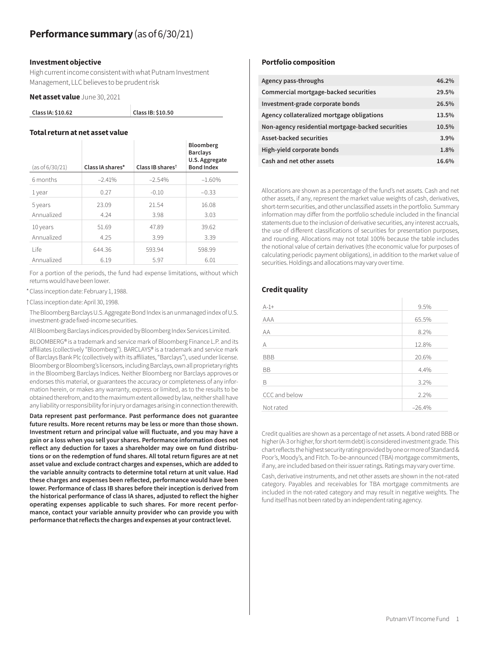#### **Investment objective**

High current income consistent with what Putnam Investment Management, LLC believes to be prudent risk

#### **Net asset value** June 30, 2021

| Class IA: \$10.62 | Class IB: \$10.50 |
|-------------------|-------------------|
|                   |                   |

#### **Total return at net asset value**

| (as of 6/30/21) | Class IA shares* | Class IB shares <sup>t</sup> | <b>Bloomberg</b><br><b>Barclays</b><br>U.S. Aggregate<br><b>Bond Index</b> |
|-----------------|------------------|------------------------------|----------------------------------------------------------------------------|
| 6 months        | $-2.41%$         | $-2.54%$                     | $-1.60%$                                                                   |
| 1 year          | 0.27             | $-0.10$                      | $-0.33$                                                                    |
| 5 years         | 23.09            | 21.54                        | 16.08                                                                      |
| Annualized      | 4.24             | 3.98                         | 3.03                                                                       |
| 10 years        | 51.69            | 47.89                        | 39.62                                                                      |
| Annualized      | 4.25             | 3.99                         | 3.39                                                                       |
| l ife           | 644.36           | 593.94                       | 598.99                                                                     |
| Annualized      | 6.19             | 5.97                         | 6.01                                                                       |

For a portion of the periods, the fund had expense limitations, without which returns would have been lower.

\*Class inception date: February 1, 1988.

†Class inception date: April 30, 1998.

The Bloomberg Barclays U.S. Aggregate Bond Index is an unmanaged index of U.S. investment-grade fixed-income securities.

All Bloomberg Barclays indices provided by Bloomberg Index Services Limited.

BLOOMBERG® is a trademark and service mark of Bloomberg Finance L.P. and its affiliates (collectively "Bloomberg"). BARCLAYS® is a trademark and service mark of Barclays Bank Plc (collectively with its affiliates, "Barclays"), used under license. Bloomberg or Bloomberg's licensors, including Barclays, own all proprietary rights in the Bloomberg Barclays Indices. Neither Bloomberg nor Barclays approves or endorses this material, or guarantees the accuracy or completeness of any information herein, or makes any warranty, express or limited, as to the results to be obtained therefrom, and to the maximum extent allowed by law, neither shall have any liability or responsibility for injury or damages arising in connection therewith.

**Data represent past performance. Past performance does not guarantee future results. More recent returns may be less or more than those shown. Investment return and principal value will fluctuate, and you may have a gain or a loss when you sell your shares. Performance information does not reflect any deduction for taxes a shareholder may owe on fund distributions or on the redemption of fund shares. All total return figures are at net asset value and exclude contract charges and expenses, which are added to the variable annuity contracts to determine total return at unit value. Had these charges and expenses been reflected, performance would have been lower. Performance of class IB shares before their inception is derived from the historical performance of class IA shares, adjusted to reflect the higher operating expenses applicable to such shares. For more recent performance, contact your variable annuity provider who can provide you with performance that reflects the charges and expenses at your contract level.**

#### **Portfolio composition**

| Agency pass-throughs                              | 46.2% |
|---------------------------------------------------|-------|
| Commercial mortgage-backed securities             | 29.5% |
| Investment-grade corporate bonds                  | 26.5% |
| Agency collateralized mortgage obligations        | 13.5% |
| Non-agency residential mortgage-backed securities | 10.5% |
| Asset-backed securities                           | 3.9%  |
| High-yield corporate bonds                        | 1.8%  |
| Cash and net other assets                         | 16.6% |

Allocations are shown as a percentage of the fund's net assets. Cash and net other assets, if any, represent the market value weights of cash, derivatives, short-term securities, and other unclassified assets in the portfolio. Summary information may differ from the portfolio schedule included in the financial statements due to the inclusion of derivative securities, any interest accruals, the use of different classifications of securities for presentation purposes, and rounding. Allocations may not total 100% because the table includes the notional value of certain derivatives (the economic value for purposes of calculating periodic payment obligations), in addition to the market value of securities. Holdings and allocations may vary over time.

#### **Credit quality**

| $A-1+$        | 9.5%     |
|---------------|----------|
| AAA           | 65.5%    |
| AA            | 8.2%     |
| A             | 12.8%    |
| <b>BBB</b>    | 20.6%    |
| <b>BB</b>     | 4.4%     |
| B             | 3.2%     |
| CCC and below | 2.2%     |
| Not rated     | $-26.4%$ |

Credit qualities are shown as a percentage of net assets. A bond rated BBB or higher (A-3 or higher, for short-term debt) is considered investment grade. This chart reflects the highest security rating provided by one or more of Standard & Poor's, Moody's, and Fitch. To-be-announced (TBA) mortgage commitments, if any, are included based on their issuer ratings. Ratings may vary over time.

Cash, derivative instruments, and net other assets are shown in the not-rated category. Payables and receivables for TBA mortgage commitments are included in the not-rated category and may result in negative weights. The fund itself has not been rated by an independent rating agency.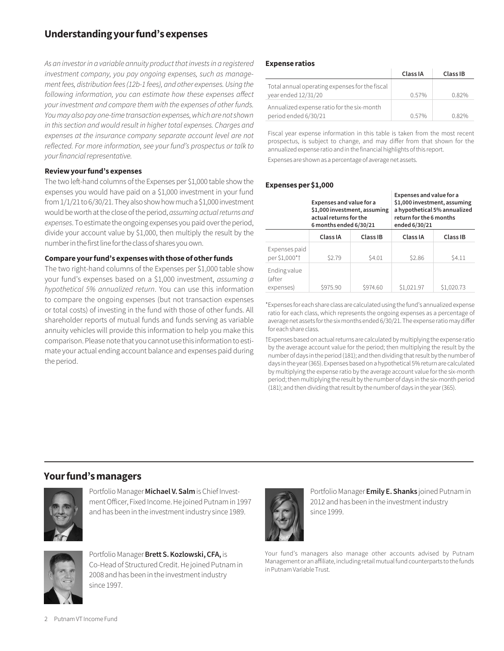# **Understanding your fund's expenses**

*As an investor in a variable annuity product that invests in a registered investment company, you pay ongoing expenses, such as management fees, distribution fees (12b-1 fees), and other expenses. Using the following information, you can estimate how these expenses affect your investment and compare them with the expenses of other funds. You may also pay one-time transaction expenses, which are not shown in this section and would result in higher total expenses. Charges and expenses at the insurance company separate account level are not reflected. For more information, see your fund's prospectus or talk to your financial representative.*

#### **Review your fund's expenses**

The two left-hand columns of the Expenses per \$1,000 table show the expenses you would have paid on a \$1,000 investment in your fund from 1/1/21 to 6/30/21. They also show how much a \$1,000 investment would be worth at the close of the period, *assuming actual returns and expenses*. To estimate the ongoing expenses you paid over the period, divide your account value by \$1,000, then multiply the result by the number in the first line for the class of shares you own.

#### **Compare your fund's expenses with those of other funds**

The two right-hand columns of the Expenses per \$1,000 table show your fund's expenses based on a \$1,000 investment, *assuming a hypothetical 5% annualized return*. You can use this information to compare the ongoing expenses (but not transaction expenses or total costs) of investing in the fund with those of other funds. All shareholder reports of mutual funds and funds serving as variable annuity vehicles will provide this information to help you make this comparison. Please note that you cannot use this information to estimate your actual ending account balance and expenses paid during the period.

#### **Expense ratios**

|                                                                       | Class IA | Class IB |
|-----------------------------------------------------------------------|----------|----------|
| Total annual operating expenses for the fiscal<br>year ended 12/31/20 | 0.57%    | 0.82%    |
| Annualized expense ratio for the six-month<br>period ended 6/30/21    | 0.57%    | 0.82%    |

Fiscal year expense information in this table is taken from the most recent prospectus, is subject to change, and may differ from that shown for the annualized expense ratio and in the financial highlights of this report.

Expenses are shown as a percentage of average net assets.

#### **Expenses per \$1,000**

|                                     | Expenses and value for a<br>\$1,000 investment, assuming<br>actual returns for the<br>6 months ended 6/30/21 |          | Expenses and value for a<br>return for the 6 months<br>ended 6/30/21 | \$1,000 investment, assuming<br>a hypothetical 5% annualized |
|-------------------------------------|--------------------------------------------------------------------------------------------------------------|----------|----------------------------------------------------------------------|--------------------------------------------------------------|
|                                     | Class IA                                                                                                     | Class IB | Class IA                                                             | Class IB                                                     |
| Expenses paid<br>per \$1,000*†      | \$2.79                                                                                                       | \$4.01   | \$2.86                                                               | \$4.11                                                       |
| Ending value<br>(after<br>expenses) | \$975.90                                                                                                     | \$974.60 | \$1,021.97                                                           | \$1,020.73                                                   |

\*Expenses for each share class are calculated using the fund's annualized expense ratio for each class, which represents the ongoing expenses as a percentage of average net assets for the six months ended 6/30/21. The expense ratio may differ for each share class.

†Expenses based on actual returns are calculated by multiplying the expense ratio by the average account value for the period; then multiplying the result by the number of days in the period (181); and then dividing that result by the number of days in the year (365). Expenses based on a hypothetical 5% return are calculated by multiplying the expense ratio by the average account value for the six-month period; then multiplying the result by the number of days in the six-month period (181); and then dividing that result by the number of days in the year (365).

# **Your fund's managers**



Portfolio Manager **Michael V. Salm** is Chief Investment Officer, Fixed Income. He joined Putnam in 1997 and has been in the investment industry since 1989.



Portfolio Manager **Brett S. Kozlowski, CFA,** is Co-Head of Structured Credit. He joined Putnam in 2008 and has been in the investment industry since 1997.



Portfolio Manager **Emily E. Shanks** joined Putnam in 2012 and has been in the investment industry since 1999.

Your fund's managers also manage other accounts advised by Putnam Management or an affiliate, including retail mutual fund counterparts to the funds in Putnam Variable Trust.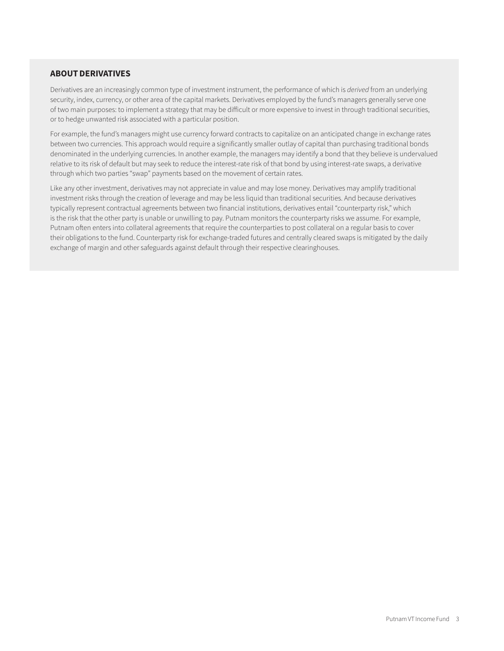#### **ABOUT DERIVATIVES**

Derivatives are an increasingly common type of investment instrument, the performance of which is *derived* from an underlying security, index, currency, or other area of the capital markets. Derivatives employed by the fund's managers generally serve one of two main purposes: to implement a strategy that may be difficult or more expensive to invest in through traditional securities, or to hedge unwanted risk associated with a particular position.

For example, the fund's managers might use currency forward contracts to capitalize on an anticipated change in exchange rates between two currencies. This approach would require a significantly smaller outlay of capital than purchasing traditional bonds denominated in the underlying currencies. In another example, the managers may identify a bond that they believe is undervalued relative to its risk of default but may seek to reduce the interest-rate risk of that bond by using interest-rate swaps, a derivative through which two parties "swap" payments based on the movement of certain rates.

Like any other investment, derivatives may not appreciate in value and may lose money. Derivatives may amplify traditional investment risks through the creation of leverage and may be less liquid than traditional securities. And because derivatives typically represent contractual agreements between two financial institutions, derivatives entail "counterparty risk," which is the risk that the other party is unable or unwilling to pay. Putnam monitors the counterparty risks we assume. For example, Putnam often enters into collateral agreements that require the counterparties to post collateral on a regular basis to cover their obligations to the fund. Counterparty risk for exchange-traded futures and centrally cleared swaps is mitigated by the daily exchange of margin and other safeguards against default through their respective clearinghouses.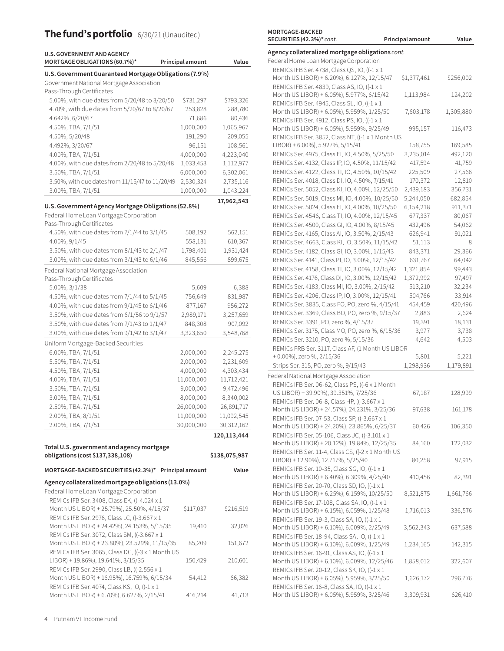# **The fund's portfolio** 6/30/21 (Unaudited)

| U.S. GOVERNMENT AND AGENCY<br>MORTGAGE OBLIGATIONS (60.7%)*        | <b>Principal amount</b> | Value         |
|--------------------------------------------------------------------|-------------------------|---------------|
| U.S. Government Guaranteed Mortgage Obligations (7.9%)             |                         |               |
| Government National Mortgage Association                           |                         |               |
| Pass-Through Certificates                                          |                         |               |
| 5.00%, with due dates from 5/20/48 to 3/20/50                      | \$731,297               | \$793,326     |
| 4.70%, with due dates from 5/20/67 to 8/20/67                      | 253,828                 | 288,780       |
| 4.642%, 6/20/67                                                    | 71,686                  | 80,436        |
| 4.50%, TBA, 7/1/51                                                 | 1,000,000               | 1,065,967     |
| 4.50%, 5/20/48                                                     | 191,290                 | 209,055       |
| 4.492%, 3/20/67                                                    | 96,151                  | 108,561       |
| 4.00%, TBA, 7/1/51                                                 | 4,000,000               | 4,223,040     |
| 4.00%, with due dates from 2/20/48 to 5/20/48                      | 1,033,453               | 1,112,977     |
| 3.50%, TBA, 7/1/51                                                 | 6,000,000               |               |
|                                                                    |                         | 6,302,061     |
| 3.50%, with due dates from 11/15/47 to 11/20/49                    | 2,530,324               | 2,735,116     |
| 3.00%, TBA, 7/1/51                                                 | 1,000,000               | 1,043,224     |
| U.S. Government Agency Mortgage Obligations (52.8%)                |                         | 17,962,543    |
| Federal Home Loan Mortgage Corporation                             |                         |               |
| Pass-Through Certificates                                          |                         |               |
| 4.50%, with due dates from 7/1/44 to 3/1/45                        | 508,192                 | 562,151       |
| 4.00%, 9/1/45                                                      | 558,131                 | 610,367       |
| 3.50%, with due dates from 8/1/43 to 2/1/47                        | 1,798,401               | 1,931,424     |
| 3.00%, with due dates from 3/1/43 to 6/1/46                        | 845,556                 | 899,675       |
|                                                                    |                         |               |
| Federal National Mortgage Association<br>Pass-Through Certificates |                         |               |
|                                                                    |                         |               |
| 5.00%, 3/1/38                                                      | 5,609                   | 6,388         |
| 4.50%, with due dates from 7/1/44 to 5/1/45                        | 756,649                 | 831,987       |
| 4.00%, with due dates from 9/1/45 to 6/1/46                        | 877,167                 | 956,272       |
| 3.50%, with due dates from 6/1/56 to 9/1/57                        | 2,989,171               | 3,257,659     |
| 3.50%, with due dates from 7/1/43 to 1/1/47                        | 848,308                 | 907,092       |
| 3.00%, with due dates from 9/1/42 to 3/1/47                        | 3,323,650               | 3,548,768     |
| Uniform Mortgage-Backed Securities                                 |                         |               |
| 6.00%, TBA, 7/1/51                                                 | 2,000,000               | 2,245,275     |
| 5.50%, TBA, 7/1/51                                                 | 2,000,000               | 2,231,609     |
| 4.50%, TBA, 7/1/51                                                 | 4,000,000               | 4,303,434     |
| 4.00%, TBA, 7/1/51                                                 | 11,000,000              | 11,712,421    |
| 3.50%, TBA, 7/1/51                                                 | 9,000,000               | 9,472,496     |
| 3.00%, TBA, 7/1/51                                                 | 8,000,000               | 8,340,002     |
| 2.50%, TBA, 7/1/51                                                 | 26,000,000              | 26,891,717    |
| 2.00%, TBA, 8/1/51                                                 | 11,000,000              | 11,092,545    |
| 2.00%, TBA, 7/1/51                                                 | 30,000,000              | 30,312,162    |
|                                                                    |                         | 120,113,444   |
|                                                                    |                         |               |
| Total U.S. government and agency mortgage                          |                         |               |
| obligations (cost \$137,338,108)                                   |                         | \$138,075,987 |
| MORTGAGE-BACKED SECURITIES (42.3%)* Principal amount               |                         | Value         |
|                                                                    |                         |               |
| Agency collateralized mortgage obligations (13.0%)                 |                         |               |
| Federal Home Loan Mortgage Corporation                             |                         |               |
| REMICs IFB Ser. 3408, Class EK, ((-4.024 x 1                       |                         |               |
| Month US LIBOR) + 25.79%), 25.50%, 4/15/37                         | \$117,037               | \$216,519     |
| REMICs IFB Ser. 2976, Class LC, ((-3.667 x 1                       |                         |               |
| Month US LIBOR) + 24.42%), 24.153%, 5/15/35                        | 19,410                  | 32,026        |
| REMICs IFB Ser. 3072, Class SM, ((-3.667 x 1                       |                         |               |
| Month US LIBOR) + 23.80%), 23.529%, 11/15/35                       | 85,209                  | 151,672       |
| REMICs IFB Ser. 3065, Class DC, ((-3 x 1 Month US                  |                         |               |
| LIBOR) + 19.86%), 19.641%, 3/15/35                                 | 150,429                 | 210,601       |
| REMICs IFB Ser. 2990, Class LB, ((-2.556 x 1                       |                         |               |
| Month US LIBOR) + 16.95%), 16.759%, 6/15/34                        | 54,412                  | 66,382        |
| REMICs IFB Ser. 4074, Class KS, IO, ((-1 x 1                       |                         |               |
| Month US LIBOR) + 6.70%), 6.627%, 2/15/41                          | 416,214                 | 41,713        |
|                                                                    |                         |               |

| <b>MORTGAGE-BACKED</b><br>SECURITIES (42.3%)* cont.                                               | Principal amount   | Value            |
|---------------------------------------------------------------------------------------------------|--------------------|------------------|
| Agency collateralized mortgage obligations cont.                                                  |                    |                  |
| Federal Home Loan Mortgage Corporation                                                            |                    |                  |
| REMICs IFB Ser. 4738, Class QS, IO, ((-1 x 1                                                      |                    |                  |
| Month US LIBOR) + 6.20%), 6.127%, 12/15/47                                                        | \$1,377,461        | \$256,002        |
| REMICs IFB Ser. 4839, Class AS, IO, ((-1 x 1                                                      |                    |                  |
| Month US LIBOR) + 6.05%), 5.977%, 6/15/42<br>REMICs IFB Ser. 4945, Class SL, IO, ((-1 x 1)        | 1,113,984          | 124,202          |
| Month US LIBOR) + 6.05%), 5.959%, 1/25/50                                                         | 7,603,178          | 1,305,880        |
| REMICs IFB Ser. 4912, Class PS, IO, ((-1 x 1                                                      |                    |                  |
| Month US LIBOR) + 6.05%), 5.959%, 9/25/49                                                         | 995,157            | 116,473          |
| REMICs IFB Ser. 3852, Class NT, ((-1 x 1 Month US                                                 |                    |                  |
| LIBOR) + 6.00%), 5.927%, 5/15/41                                                                  | 158,755            | 169,585          |
| REMICs Ser. 4975, Class EI, IO, 4.50%, 5/25/50                                                    | 3,235,014          | 492,120          |
| REMICs Ser. 4132, Class IP, IO, 4.50%, 11/15/42                                                   | 417,594            | 41,759           |
| REMICs Ser. 4122, Class TI, IO, 4.50%, 10/15/42<br>REMICs Ser. 4018, Class DI, IO, 4.50%, 7/15/41 | 225,509<br>170,372 | 27,566<br>12,810 |
| REMICs Ser. 5052, Class KI, IO, 4.00%, 12/25/50                                                   | 2,439,183          | 356,731          |
| REMICs Ser. 5019, Class MI, IO, 4.00%, 10/25/50                                                   | 5,244,050          | 682,854          |
| REMICs Ser. 5024, Class EI, IO, 4.00%, 10/25/50                                                   | 6,154,218          | 911,371          |
| REMICs Ser. 4546, Class TI, IO, 4.00%, 12/15/45                                                   | 677,337            | 80,067           |
| REMICs Ser. 4500, Class GI, IO, 4.00%, 8/15/45                                                    | 432,496            | 54,062           |
| REMICs Ser. 4165, Class AI, IO, 3.50%, 2/15/43                                                    | 626,941            | 91,021           |
| REMICs Ser. 4663, Class KI, IO, 3.50%, 11/15/42                                                   | 51,113             | 8                |
| REMICs Ser. 4182, Class GI, IO, 3.00%, 1/15/43                                                    | 843,371            | 29,366           |
| REMICs Ser. 4141, Class PI, IO, 3.00%, 12/15/42                                                   | 631,767            | 64,042           |
| REMICs Ser. 4158, Class TI, IO, 3.00%, 12/15/42                                                   | 1,321,854          | 99,443           |
| REMICs Ser. 4176, Class DI, IO, 3.00%, 12/15/42                                                   | 1,372,992          | 97,497           |
| REMICs Ser. 4183, Class MI, IO, 3.00%, 2/15/42                                                    | 513,210            | 32,234           |
| REMICs Ser. 4206, Class IP, IO, 3.00%, 12/15/41                                                   | 504,766            | 33,914           |
| REMICs Ser. 3835, Class FO, PO, zero %, 4/15/41                                                   | 454,459            | 420,496          |
| REMICs Ser. 3369, Class BO, PO, zero %, 9/15/37                                                   | 2,883              | 2,624            |
| REMICs Ser. 3391, PO, zero %, 4/15/37<br>REMICs Ser. 3175, Class MO, PO, zero %, 6/15/36          | 19,391<br>3,977    | 18,131<br>3,738  |
| REMICs Ser. 3210, PO, zero %, 5/15/36                                                             | 4,642              | 4,503            |
| REMICs FRB Ser. 3117, Class AF, (1 Month US LIBOR                                                 |                    |                  |
| + 0.00%), zero %, 2/15/36                                                                         | 5,801              | 5,221            |
| Strips Ser. 315, PO, zero %, 9/15/43                                                              | 1,298,936          | 1,179,891        |
| Federal National Mortgage Association                                                             |                    |                  |
| REMICs IFB Ser. 06-62, Class PS, ((-6 x 1 Month                                                   |                    |                  |
| US LIBOR) + 39.90%), 39.351%, 7/25/36                                                             | 67,187             | 128,999          |
| REMICs IFB Ser. 06-8, Class HP, ((-3.667 x 1)                                                     |                    |                  |
| Month US LIBOR) + 24.57%), 24.231%, 3/25/36<br>REMICs IFB Ser. 07-53, Class SP, ((-3.667 x 1      | 97,638             | 161,178          |
| Month US LIBOR) + 24.20%), 23.865%, 6/25/37                                                       | 60,426             | 106,350          |
| REMICs IFB Ser. 05-106, Class JC, ((-3.101 x 1                                                    |                    |                  |
| Month US LIBOR) + 20.12%), 19.84%, 12/25/35                                                       | 84,160             | 122,032          |
| REMICs IFB Ser. 11-4, Class CS, ((-2 x 1 Month US                                                 |                    |                  |
| LIBOR) + 12.90%), 12.717%, 5/25/40                                                                | 80,258             | 97,915           |
| REMICs IFB Ser. 10-35, Class SG, IO, ((-1 x 1)                                                    |                    |                  |
| Month US LIBOR) + 6.40%), 6.309%, 4/25/40                                                         | 410,456            | 82,391           |
| REMICs IFB Ser. 20-70, Class SD, IO, ((-1 x 1<br>Month US LIBOR) + 6.25%), 6.159%, 10/25/50       | 8,521,875          | 1,661,766        |
| REMICs IFB Ser. 17-108, Class SA, IO, ((-1 x 1)                                                   |                    |                  |
| Month US LIBOR) + 6.15%), 6.059%, 1/25/48                                                         | 1,716,013          | 336,576          |
| REMICs IFB Ser. 19-3, Class SA, IO, ((-1 x 1)                                                     |                    |                  |
| Month US LIBOR) + 6.10%), 6.009%, 2/25/49                                                         | 3,562,343          | 637,588          |
| REMICs IFB Ser. 18-94, Class SA, IO, ((-1 x 1                                                     |                    |                  |
| Month US LIBOR) + 6.10%), 6.009%, 1/25/49                                                         | 1,234,165          | 142,315          |
| REMICs IFB Ser. 16-91, Class AS, IO, ((-1 x 1)                                                    |                    |                  |
| Month US LIBOR) + 6.10%), 6.009%, 12/25/46<br>REMICs IFB Ser. 20-12, Class SK, IO, ((-1 x 1)      | 1,858,012          | 322,607          |
| Month US LIBOR) + 6.05%), 5.959%, 3/25/50                                                         | 1,626,172          | 296,776          |
| REMICs IFB Ser. 16-8, Class SA, IO, ((-1 x 1)                                                     |                    |                  |
| Month US LIBOR) + 6.05%), 5.959%, 3/25/46                                                         | 3,309,931          | 626,410          |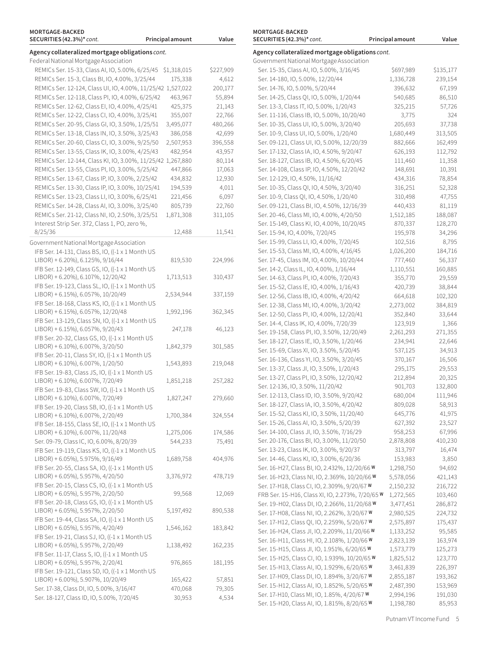| MORTGAGE-BACKED<br>SECURITIES (42.3%)* cont.                | <b>Principal amount</b> | Value     |
|-------------------------------------------------------------|-------------------------|-----------|
| Agency collateralized mortgage obligations cont.            |                         |           |
| Federal National Mortgage Association                       |                         |           |
| REMICs Ser. 15-33, Class AI, IO, 5.00%, 6/25/45             | \$1,318,015             | \$227,909 |
| REMICs Ser. 15-3, Class BI, IO, 4.00%, 3/25/44              | 175,338                 | 4,612     |
| REMICs Ser. 12-124, Class UI, IO, 4.00%, 11/25/42 1,527,022 |                         | 200,177   |
| REMICs Ser. 12-118, Class PI, IO, 4.00%, 6/25/42            | 463,967                 | 55,894    |
| REMICs Ser. 12-62, Class EI, IO, 4.00%, 4/25/41             | 425,375                 | 21,143    |
| REMICs Ser. 12-22, Class CI, IO, 4.00%, 3/25/41             | 355,007                 | 22,766    |
| REMICs Ser. 20-95, Class GI, IO, 3.50%, 1/25/51             | 3,495,077               | 480,266   |
| REMICs Ser. 13-18, Class IN, IO, 3.50%, 3/25/43             | 386,058                 | 42,699    |
| REMICs Ser. 20-60, Class CI, IO, 3.00%, 9/25/50             | 2,507,953               | 396,558   |
| REMICs Ser. 13-55, Class IK, IO, 3.00%, 4/25/43             | 482,954                 | 43,957    |
| REMICs Ser. 12-144, Class KI, IO, 3.00%, 11/25/42 1,267,880 |                         | 80,114    |
| REMICs Ser. 13-55, Class PI, IO, 3.00%, 5/25/42             | 447,866                 | 17,063    |
| REMICs Ser. 13-67, Class IP, IO, 3.00%, 2/25/42             | 434,832                 | 12,930    |
| REMICs Ser. 13-30, Class IP, IO, 3.00%, 10/25/41            | 194,539                 | 4,011     |
| REMICs Ser. 13-23, Class LI, IO, 3.00%, 6/25/41             | 221,456                 | 6,097     |
| REMICs Ser. 14-28, Class AI, IO, 3.00%, 3/25/40             | 805,739                 | 22,760    |
| REMICs Ser. 21-12, Class NI, IO, 2.50%, 3/25/51             | 1,871,308               | 311,105   |
| Interest Strip Ser. 372, Class 1, PO, zero %,               |                         |           |
| 8/25/36                                                     | 12,488                  | 11,541    |
| Government National Mortgage Association                    |                         |           |
| IFB Ser. 14-131, Class BS, IO, ((-1 x 1 Month US            |                         |           |
| LIBOR) + 6.20%), 6.125%, 9/16/44                            | 819,530                 | 224,996   |
| IFB Ser. 12-149, Class GS, IO, ((-1 x 1 Month US            |                         |           |
| LIBOR) + 6.20%), 6.107%, 12/20/42                           | 1,713,513               | 310,437   |
| IFB Ser. 19-123, Class SL, IO, ((-1 x 1 Month US            |                         |           |
| LIBOR) + 6.15%), 6.057%, 10/20/49                           | 2,534,944               | 337,159   |
| IFB Ser. 18-168, Class KS, IO, ((-1 x 1 Month US            |                         |           |
| LIBOR) + 6.15%), 6.057%, 12/20/48                           | 1,992,196               | 362,345   |
| IFB Ser. 13-129, Class SN, IO, ((-1 x 1 Month US            |                         |           |
| LIBOR) + 6.15%), 6.057%, 9/20/43                            | 247,178                 | 46,123    |
| IFB Ser. 20-32, Class GS, IO, ((-1 x 1 Month US             |                         |           |
| LIBOR) + 6.10%), 6.007%, 3/20/50                            | 1,842,379               | 301,585   |
| IFB Ser. 20-11, Class SY, IO, ((-1 x 1 Month US             |                         |           |
| LIBOR) + 6.10%), 6.007%, 1/20/50                            | 1,543,893               | 219,048   |
| IFB Ser. 19-83, Class JS, IO, ((-1 x 1 Month US             |                         |           |
| LIBOR) + 6.10%), 6.007%, 7/20/49                            | 1,851,218               | 257,282   |
| IFB Ser. 19-83, Class SW, IO, ((-1 x 1 Month US             |                         |           |
| LIBOR) + 6.10%), 6.007%, 7/20/49                            | 1,827,247               | 279,660   |
| IFB Ser. 19-20, Class SB, IO, ((-1 x 1 Month US             |                         |           |
| LIBOR) + 6.10%), 6.007%, 2/20/49                            | 1,700,384               | 324,554   |
| IFB Ser. 18-155, Class SE, IO, ((-1 x 1 Month US            |                         |           |
| LIBOR) + 6.10%), 6.007%, 11/20/48                           | 1,275,006               | 174,586   |
| Ser. 09-79, Class IC, IO, 6.00%, 8/20/39                    | 544,233                 | 75,491    |
| IFB Ser. 19-119, Class KS, IO, ((-1 x 1 Month US            |                         |           |
| LIBOR) + 6.05%), 5.975%, 9/16/49                            | 1,689,758               | 404,976   |
| IFB Ser. 20-55, Class SA, IO, ((-1 x 1 Month US             |                         |           |
| LIBOR) + 6.05%), 5.957%, 4/20/50                            | 3,376,972               | 478,719   |
| IFB Ser. 20-15, Class CS, IO, ((-1 x 1 Month US             |                         |           |
| LIBOR) + 6.05%), 5.957%, 2/20/50                            | 99,568                  | 12,069    |
| IFB Ser. 20-18, Class GS, IO, ((-1 x 1 Month US             |                         |           |
| LIBOR) + 6.05%), 5.957%, 2/20/50                            | 5,197,492               | 890,538   |
| IFB Ser. 19-44, Class SA, IO, ((-1 x 1 Month US             |                         |           |
| LIBOR) + 6.05%), 5.957%, 4/20/49                            | 1,546,162               | 183,842   |
| IFB Ser. 19-21, Class SJ, IO, ((-1 x 1 Month US             |                         |           |
| LIBOR) + 6.05%), 5.957%, 2/20/49                            | 1,138,492               | 162,235   |
| IFB Ser. 11-17, Class S, IO, ((-1 x 1 Month US              |                         |           |
| LIBOR) + 6.05%), 5.957%, 2/20/41                            | 976,865                 | 181,195   |
| IFB Ser. 19-121, Class SD, IO, ((-1 x 1 Month US            |                         |           |
| LIBOR) + 6.00%), 5.907%, 10/20/49                           | 165,422                 | 57,851    |
| Ser. 17-38, Class DI, IO, 5.00%, 3/16/47                    | 470,068                 | 79,305    |
| Ser. 18-127, Class ID, IO, 5.00%, 7/20/45                   | 30,953                  | 4,534     |
|                                                             |                         |           |

| SECURITIES (42.3%)* cont.                                                             | Principal amount     | Value             |
|---------------------------------------------------------------------------------------|----------------------|-------------------|
| Agency collateralized mortgage obligations cont.                                      |                      |                   |
| Government National Mortgage Association                                              |                      |                   |
| Ser. 15-35, Class AI, IO, 5.00%, 3/16/45                                              | \$697,989            | \$135,177         |
| Ser. 14-180, IO, 5.00%, 12/20/44                                                      | 1,336,728            | 239,154           |
| Ser. 14-76, IO, 5.00%, 5/20/44                                                        | 396,632              | 67,199            |
| Ser. 14-25, Class QI, IO, 5.00%, 1/20/44                                              | 540,685              | 86,510            |
| Ser. 13-3, Class IT, IO, 5.00%, 1/20/43                                               | 325,215              | 57,726            |
| Ser. 11-116, Class IB, IO, 5.00%, 10/20/40                                            | 3,775                | 324               |
| Ser. 10-35, Class UI, IO, 5.00%, 3/20/40                                              | 205,693              | 37,738            |
| Ser. 10-9, Class UI, IO, 5.00%, 1/20/40<br>Ser. 09-121, Class UI, IO, 5.00%, 12/20/39 | 1,680,449            | 313,505           |
|                                                                                       | 882,666              | 162,499           |
| Ser. 17-132, Class IA, IO, 4.50%, 9/20/47                                             | 626,193              | 112,792           |
| Ser. 18-127, Class IB, IO, 4.50%, 6/20/45                                             | 111,460              | 11,358            |
| Ser. 14-108, Class IP, IO, 4.50%, 12/20/42                                            | 148,691              | 10,391            |
| Ser. 12-129, IO, 4.50%, 11/16/42                                                      | 434,316<br>316,251   | 78,854<br>52,328  |
| Ser. 10-35, Class QI, IO, 4.50%, 3/20/40                                              |                      | 47,755            |
| Ser. 10-9, Class QI, IO, 4.50%, 1/20/40<br>Ser. 09-121, Class BI, IO, 4.50%, 12/16/39 | 310,498              |                   |
| Ser. 20-46, Class MI, IO, 4.00%, 4/20/50                                              | 440,433<br>1,512,185 | 81,119<br>188,087 |
| Ser. 15-149, Class KI, IO, 4.00%, 10/20/45                                            | 870,337              | 128,270           |
| Ser. 15-94, IO, 4.00%, 7/20/45                                                        | 195,978              | 34,296            |
| Ser. 15-99, Class LI, IO, 4.00%, 7/20/45                                              | 102,516              | 8,795             |
| Ser. 15-53, Class MI, IO, 4.00%, 4/16/45                                              | 1,026,200            | 184,716           |
| Ser. 17-45, Class IM, IO, 4.00%, 10/20/44                                             | 777,460              | 56,337            |
| Ser. 14-2, Class IL, IO, 4.00%, 1/16/44                                               | 1,110,551            | 160,885           |
| Ser. 14-63, Class PI, IO, 4.00%, 7/20/43                                              | 355,770              | 29,559            |
| Ser. 15-52, Class IE, IO, 4.00%, 1/16/43                                              | 420,739              | 38,844            |
| Ser. 12-56, Class IB, IO, 4.00%, 4/20/42                                              | 664,618              | 102,320           |
| Ser. 12-38, Class MI, IO, 4.00%, 3/20/42                                              | 2,273,002            | 384,819           |
| Ser. 12-50, Class PI, IO, 4.00%, 12/20/41                                             | 352,840              | 33,644            |
| Ser. 14-4, Class IK, IO, 4.00%, 7/20/39                                               | 123,919              | 1,366             |
| Ser. 19-158, Class PI, IO, 3.50%, 12/20/49                                            | 2,261,293            | 271,355           |
| Ser. 18-127, Class IE, IO, 3.50%, 1/20/46                                             | 234,941              | 22,646            |
| Ser. 15-69, Class XI, IO, 3.50%, 5/20/45                                              | 537,125              | 34,913            |
| Ser. 16-136, Class YI, IO, 3.50%, 3/20/45                                             | 370,167              | 16,506            |
| Ser. 13-37, Class JI, IO, 3.50%, 1/20/43                                              | 295,175              | 29,553            |
| Ser. 13-27, Class PI, IO, 3.50%, 12/20/42                                             | 212,894              | 20,325            |
| Ser. 12-136, IO, 3.50%, 11/20/42                                                      | 901,703              | 132,800           |
| Ser. 12-113, Class ID, IO, 3.50%, 9/20/42                                             | 680,004              | 111,946           |
| Ser. 18-127, Class IA, IO, 3.50%, 4/20/42                                             | 809,028              | 58,913            |
| Ser. 15-52, Class KI, IO, 3.50%, 11/20/40                                             | 645,776              | 41,975            |
| Ser. 15-26, Class AI, IO, 3.50%, 5/20/39                                              | 627,392              | 23,527            |
| Ser. 14-100, Class JI, IO, 3.50%, 7/16/29                                             | 958,253              | 67,996            |
| Ser. 20-176, Class BI, IO, 3.00%, 11/20/50                                            | 2,878,808            | 410,230           |
| Ser. 13-23, Class IK, IO, 3.00%, 9/20/37                                              | 313,797              | 16,474            |
| Ser. 14-46, Class KI, IO, 3.00%, 6/20/36                                              | 153,983              | 3,850             |
| Ser. 16-H27, Class BI, IO, 2.432%, 12/20/66 W                                         | 1,298,750            | 94,692            |
| Ser. 16-H23, Class NI, IO, 2.369%, 10/20/66 W                                         | 5,578,056            | 421,143           |
| Ser. 17-H18, Class CI, IO, 2.309%, 9/20/67 W                                          | 2,150,232            | 216,722           |
| FRB Ser. 15-H16, Class XI, IO, 2.273%, 7/20/65 W                                      | 1,272,565            | 103,460           |
| Ser. 19-H02, Class DI, IO, 2.266%, 11/20/68 W                                         | 3,477,451            | 286,872           |
| Ser. 17-H08, Class NI, IO, 2.262%, 3/20/67 W                                          | 2,980,525            | 224,732           |
| Ser. 17-H12, Class QI, IO, 2.259%, 5/20/67 W                                          | 2,575,897            | 175,437           |
| Ser. 16-H24, Class JI, IO, 2.209%, 11/20/66 W                                         | 1,133,252            | 95,585            |
| Ser. 16-H11, Class HI, IO, 2.108%, 1/20/66 W                                          | 2,823,139            | 163,974           |
| Ser. 15-H15, Class JI, IO, 1.951%, 6/20/65 W                                          | 1,573,779            | 125,273           |
| Ser. 15-H25, Class CI, IO, 1.939%, 10/20/65 W                                         | 1,825,512            | 123,770           |
| Ser. 15-H13, Class AI, IO, 1.929%, 6/20/65 W                                          | 3,461,839            | 226,397           |
| Ser. 17-H09, Class DI, IO, 1.894%, 3/20/67 W                                          | 2,855,187            | 193,362           |
| Ser. 15-H12, Class AI, IO, 1.852%, 5/20/65 W                                          | 2,487,390            | 153,969           |
| Ser. 17-H10, Class MI, IO, 1.85%, 4/20/67 W                                           | 2,994,196            | 191,030           |
| Ser. 15-H20, Class AI, IO, 1.815%, 8/20/65 W                                          | 1,198,780            | 85,953            |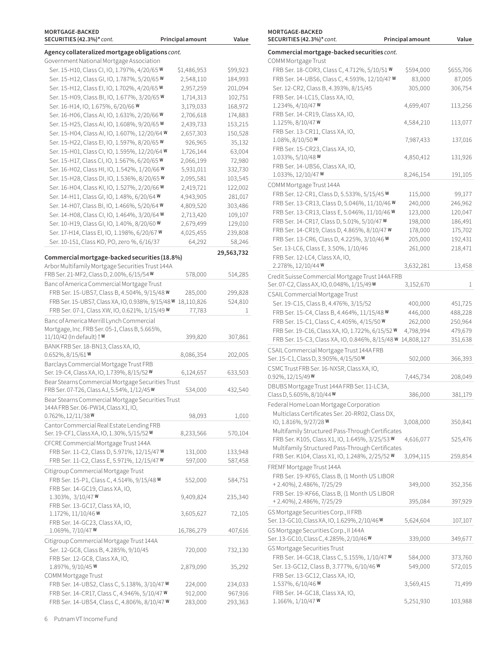| <b>MORTGAGE-BACKED</b><br>SECURITIES (42.3%)* cont.                                         | <b>Principal amount</b> | Value             |
|---------------------------------------------------------------------------------------------|-------------------------|-------------------|
| Agency collateralized mortgage obligations cont.                                            |                         |                   |
| Government National Mortgage Association                                                    |                         |                   |
| Ser. 15-H10, Class CI, IO, 1.797%, 4/20/65 W                                                | \$1,486,953             | \$99,923          |
| Ser. 15-H12, Class GI, IO, 1.787%, 5/20/65 W                                                | 2,548,110               | 184,993           |
| Ser. 15-H12, Class EI, IO, 1.702%, 4/20/65 W                                                | 2,957,259               | 201,094           |
| Ser. 15-H09, Class BI, IO, 1.677%, 3/20/65 W                                                | 1,714,313               | 102,751           |
| Ser. 16-H14, IO, 1.675%, 6/20/66 W                                                          | 3,179,033               | 168,972           |
| Ser. 16-H06, Class AI, IO, 1.631%, 2/20/66 W                                                | 2,706,618               | 174,883           |
| Ser. 15-H25, Class AI, IO, 1.608%, 9/20/65 W                                                | 2,439,733               | 153,215           |
| Ser. 15-H04, Class AI, IO, 1.607%, 12/20/64 W                                               | 2,657,303               | 150,528           |
| Ser. 15-H22, Class EI, IO, 1.597%, 8/20/65 W                                                | 926,965                 | 35,132            |
| Ser. 15-H01, Class CI, IO, 1.595%, 12/20/64 W                                               | 1,726,144               | 63,004            |
| Ser. 15-H17, Class CI, IO, 1.567%, 6/20/65 W                                                | 2,066,199               | 72,980            |
| Ser. 16-H02, Class HI, IO, 1.542%, 1/20/66 W                                                | 5,931,011               | 332,730           |
| Ser. 15-H28, Class DI, IO, 1.536%, 8/20/65 W                                                | 2,095,581               | 103,545           |
| Ser. 16-H04, Class KI, IO, 1.527%, 2/20/66 W                                                | 2,419,721               | 122,002           |
| Ser. 14-H11, Class GI, IO, 1.48%, 6/20/64 W                                                 | 4,943,905               | 281,017           |
| Ser. 14-H07, Class BI, IO, 1.466%, 5/20/64 W                                                | 4,809,520               | 303,486           |
| Ser. 14-H08, Class CI, IO, 1.464%, 3/20/64 W<br>Ser. 10-H19, Class GI, IO, 1.40%, 8/20/60 W | 2,713,420               | 109,107           |
|                                                                                             | 2,679,499               | 129,010           |
| Ser. 17-H14, Class EI, IO, 1.198%, 6/20/67 W                                                | 4,025,455<br>64,292     | 239,808<br>58,246 |
| Ser. 10-151, Class KO, PO, zero %, 6/16/37                                                  |                         |                   |
| Commercial mortgage-backed securities (18.8%)                                               |                         | 29,563,732        |
| Arbor Multifamily Mortgage Securities Trust 144A                                            |                         |                   |
| FRB Ser. 21-MF2, Class D, 2.00%, 6/15/54 W                                                  | 578,000                 | 514,285           |
| Banc of America Commercial Mortgage Trust                                                   |                         |                   |
| FRB Ser. 15-UBS7, Class B, 4.504%, 9/15/48 W                                                | 285,000                 | 299,828           |
| FRB Ser. 15-UBS7, Class XA, IO, 0.938%, 9/15/48 W                                           | 18,110,826              | 524,810           |
| FRB Ser. 07-1, Class XW, IO, 0.621%, 1/15/49 W                                              | 77,783                  | 1                 |
| Banc of America Merrill Lynch Commercial                                                    |                         |                   |
| Mortgage, Inc. FRB Ser. 05-1, Class B, 5.665%,                                              |                         |                   |
| 11/10/42 (In default) † W                                                                   | 399,820                 | 307,861           |
| BANK FRB Ser. 18-BN13, Class XA, IO,<br>0.652%, 8/15/61 W                                   |                         |                   |
| Barclays Commercial Mortgage Trust FRB                                                      | 8,086,354               | 202,005           |
| Ser. 19-C4, Class XA, IO, 1.739%, 8/15/52 W                                                 | 6,124,657               | 633,503           |
| Bear Stearns Commercial Mortgage Securities Trust                                           |                         |                   |
| FRB Ser. 07-T26, Class AJ, 5.54%, 1/12/45 W                                                 | 534,000                 | 432,540           |
| Bear Stearns Commercial Mortgage Securities Trust                                           |                         |                   |
| 144A FRB Ser. 06-PW14, Class X1, IO,                                                        |                         |                   |
| $0.762\%, 12/11/38$ W                                                                       | 98,093                  | 1,010             |
| Cantor Commercial Real Estate Lending FRB                                                   |                         |                   |
| Ser. 19-CF1, Class XA, IO, 1.30%, 5/15/52 W                                                 | 8,233,566               | 570,104           |
| CFCRE Commercial Mortgage Trust 144A                                                        |                         |                   |
| FRB Ser. 11-C2, Class D, 5.971%, 12/15/47 W                                                 | 131,000                 | 133,948           |
| FRB Ser. 11-C2, Class E, 5.971%, 12/15/47 W                                                 | 597,000                 | 587,458           |
| Citigroup Commercial Mortgage Trust                                                         |                         |                   |
| FRB Ser. 15-P1, Class C, 4.514%, 9/15/48 W                                                  | 552,000                 | 584,751           |
| FRB Ser. 14-GC19, Class XA, IO,                                                             |                         |                   |
| 1.303%, 3/10/47 W                                                                           | 9,409,824               | 235,340           |
| FRB Ser. 13-GC17, Class XA, IO,                                                             |                         |                   |
| 1.172%, 11/10/46 W                                                                          | 3,605,627               | 72,105            |
| FRB Ser. 14-GC23, Class XA, IO,<br>1.069%, 7/10/47 W                                        | 16,786,279              | 407,616           |
|                                                                                             |                         |                   |
| Citigroup Commercial Mortgage Trust 144A                                                    |                         |                   |
| Ser. 12-GC8, Class B, 4.285%, 9/10/45                                                       | 720,000                 | 732,130           |
| FRB Ser. 12-GC8, Class XA, IO,<br>1.897%, 9/10/45 W                                         | 2,879,090               | 35,292            |
| COMM Mortgage Trust                                                                         |                         |                   |
| FRB Ser. 14-UBS2, Class C, 5.138%, 3/10/47 W                                                | 224,000                 | 234,033           |
| FRB Ser. 14-CR17, Class C, 4.946%, 5/10/47 W                                                | 912,000                 | 967,916           |
| FRB Ser. 14-UBS4, Class C, 4.806%, 8/10/47 W                                                | 283,000                 | 293,363           |

#### **Commercial mortgage-backed securities** *cont.* COMM Mortgage Trust FRB Ser. 18-COR3, Class C, 4.712%, 5/10/51 **W** \$594,000 \$655,706 FRB Ser. 14-UBS6, Class C, 4.593%, 12/10/47 **<sup>W</sup>** 83,000 87,005 Ser. 12-CR2, Class B, 4.393%, 8/15/45 305,000 306,754 FRB Ser. 14-LC15, Class XA, IO, 1.234%, 4/10/47 **<sup>W</sup>** 4,699,407 113,256 FRB Ser. 14-CR19, Class XA, IO, 1.125%, 8/10/47 **<sup>W</sup>** 4,584,210 113,077 FRB Ser. 13-CR11, Class XA, IO, 1.08%, 8/10/50 **<sup>W</sup>** 7,987,433 137,016 FRB Ser. 15-CR23, Class XA, IO, 1.033%, 5/10/48 **<sup>W</sup>** 4,850,412 131,926 FRB Ser. 14-UBS6, Class XA, IO, 1.033%, 12/10/47 **<sup>W</sup>** 8,246,154 191,105 COMM Mortgage Trust 144A FRB Ser. 12-CR1, Class D, 5.533%, 5/15/45 **<sup>W</sup>** 115,000 99,177 FRB Ser. 13-CR13, Class D, 5.046%, 11/10/46 **<sup>W</sup>** 240,000 246,962 FRB Ser. 13-CR13, Class E, 5.046%, 11/10/46 **<sup>W</sup>** 123,000 120,047 FRB Ser. 14-CR17, Class D, 5.01%, 5/10/47 **<sup>W</sup>** 198,000 186,491 FRB Ser. 14-CR19, Class D, 4.865%, 8/10/47 **<sup>W</sup>** 178,000 175,702 FRB Ser. 13-CR6, Class D, 4.225%, 3/10/46 **<sup>W</sup>** 205,000 192,431 Ser. 13-LC6, Class E, 3.50%, 1/10/46 261,000 218,471 FRB Ser. 12-LC4, Class XA, IO, 2.278%, 12/10/44 **W** 3,632,281 13,458 Credit Suisse Commercial Mortgage Trust 144A FRB Ser. 07-C2, Class AX, IO, 0.048%, 1/15/49 **W** 3, 152, 670 1 CSAIL Commercial Mortgage Trust Ser. 19-C15, Class B, 4.476%, 3/15/52 400,000 451,725 FRB Ser. 15-C4, Class B, 4.464%, 11/15/48 **<sup>W</sup>** 446,000 488,228 FRB Ser. 15-C1, Class C, 4.405%, 4/15/50 **<sup>W</sup>** 262,000 250,964 FRB Ser. 19-C16, Class XA, IO, 1.722%, 6/15/52 **<sup>W</sup>** 4,798,994 479,679 FRB Ser. 15-C3, Class XA, IO, 0.846%, 8/15/48 **<sup>W</sup>** 14,808,127 351,638 CSAIL Commercial Mortgage Trust 144A FRB Ser. 15-C1, Class D, 3.905%, 4/15/50 **<sup>W</sup>** 502,000 366,393 CSMC Trust FRB Ser. 16-NXSR, Class XA, IO, 0.92%, 12/15/49 **<sup>W</sup>** 7,445,734 208,049 DBUBS Mortgage Trust 144A FRB Ser. 11-LC3A, Class D, 5.605%, 8/10/44 **<sup>W</sup>** 386,000 381,179 Federal Home Loan Mortgage Corporation Multiclass Certificates Ser. 20-RR02, Class DX, IO, 1.816%, 9/27/28 **<sup>W</sup>** 3,008,000 350,841 Multifamily Structured Pass-Through Certificates FRB Ser. K105, Class X1, IO, 1.645%, 3/25/53 **<sup>W</sup>** 4,616,077 525,476 Multifamily Structured Pass-Through Certificates FRB Ser. K104, Class X1, IO, 1.248%, 2/25/52 **<sup>W</sup>** 3,094,115 259,854 FREMF Mortgage Trust 144A FRB Ser. 19-KF65, Class B, (1 Month US LIBOR + 2.40%), 2.486%, 7/25/29 349,000 352,356 FRB Ser. 19-KF66, Class B, (1 Month US LIBOR + 2.40%), 2.486%, 7/25/29 395,084 397,929 GS Mortgage Securities Corp., II FRB Ser. 13-GC10, Class XA, IO, 1.629%, 2/10/46 **<sup>W</sup>** 5,624,604 107,107 GS Mortgage Securities Corp., II 144A Ser. 13-GC10, Class C, 4.285%, 2/10/46 **<sup>W</sup>** 339,000 349,677 GS Mortgage Securities Trust FRB Ser. 14-GC18, Class C, 5.155%, 1/10/47 **<sup>W</sup>** 584,000 373,760 Ser. 13-GC12, Class B, 3.777%, 6/10/46 **<sup>W</sup>** 549,000 572,015 FRB Ser. 13-GC12, Class XA, IO, 1.537%, 6/10/46 **<sup>W</sup>** 3,569,415 71,499 FRB Ser. 14-GC18, Class XA, IO, 1.166%, 1/10/47 **<sup>W</sup>** 5,251,930 103,988 **SECURITIES (42.3%)\*** *cont.* **Principal amount Value**

**MORTGAGE-BACKED**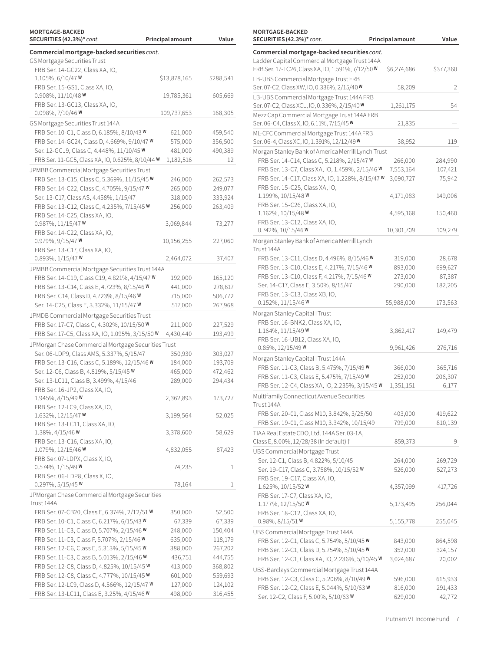| MORTGAGE-BACKED<br>SECURITIES (42.3%)* cont.                                             | <b>Principal amount</b> | Value              | MORTGAGE-BACKED<br>SECURITIES (42.3%)* cont.<br>Pri                                         |
|------------------------------------------------------------------------------------------|-------------------------|--------------------|---------------------------------------------------------------------------------------------|
| Commercial mortgage-backed securities cont.                                              |                         |                    | Commercial mortgage-backed securities con                                                   |
| GS Mortgage Securities Trust                                                             |                         |                    | Ladder Capital Commercial Mortgage Trust 144,                                               |
| FRB Ser. 14-GC22, Class XA, IO,                                                          |                         |                    | FRB Ser. 17-LC26, Class XA, IO, 1.591%, 7/12/50W                                            |
| 1.105%, 6/10/47 W<br>FRB Ser. 15-GS1, Class XA, IO,                                      | \$13,878,165            | \$288,541          | LB-UBS Commercial Mortgage Trust FRB<br>Ser. 07-C2, Class XW, IO, 0.336%, 2/15/40 W         |
| $0.908\%$ , $11/10/48$ W                                                                 | 19,785,361              | 605,669            | LB-UBS Commercial Mortgage Trust 144A FRB                                                   |
| FRB Ser. 13-GC13, Class XA, IO,<br>0.098%, 7/10/46 W                                     | 109,737,653             | 168,305            | Ser. 07-C2, Class XCL, IO, 0.336%, 2/15/40 W<br>Mezz Cap Commercial Mortgage Trust 144A FRB |
| GS Mortgage Securities Trust 144A                                                        |                         |                    | Ser. 06-C4, Class X, IO, 6.11%, 7/15/45W                                                    |
| FRB Ser. 10-C1, Class D, 6.185%, 8/10/43 W                                               | 621,000                 | 459,540            | ML-CFC Commercial Mortgage Trust 144A FRB                                                   |
| FRB Ser. 14-GC24, Class D, 4.669%, 9/10/47 W                                             | 575,000                 | 356,500            | Ser. 06-4, Class XC, IO, 1.391%, 12/12/49 W                                                 |
| Ser. 12-GCJ9, Class C, 4.448%, 11/10/45 W                                                | 481,000                 | 490,389            | Morgan Stanley Bank of America Merrill Lynch Tr                                             |
| FRB Ser. 11-GC5, Class XA, IO, 0.625%, 8/10/44 W                                         | 1,182,516               | 12                 | FRB Ser. 14-C14, Class C, 5.218%, 2/15/47 W                                                 |
| JPMBB Commercial Mortgage Securities Trust                                               |                         |                    | FRB Ser. 13-C7, Class XA, IO, 1.459%, 2/15/46                                               |
| FRB Ser. 13-C15, Class C, 5.369%, 11/15/45 W                                             | 246,000                 | 262,573            | FRB Ser. 14-C17, Class XA, IO, 1.228%, 8/15/47                                              |
| FRB Ser. 14-C22, Class C, 4.705%, 9/15/47 W                                              | 265,000                 | 249,077            | FRB Ser. 15-C25, Class XA, IO,                                                              |
| Ser. 13-C17, Class AS, 4.458%, 1/15/47                                                   | 318,000                 | 333,924            | 1.199%, 10/15/48 W                                                                          |
| FRB Ser. 13-C12, Class C, 4.235%, 7/15/45 W                                              | 256,000                 | 263,409            | FRB Ser. 15-C26, Class XA, IO,                                                              |
| FRB Ser. 14-C25, Class XA, IO,                                                           |                         |                    | 1.162%, 10/15/48 W                                                                          |
| 0.987%, 11/15/47 W                                                                       | 3,069,844               | 73,277             | FRB Ser. 13-C12, Class XA, IO,                                                              |
| FRB Ser. 14-C22, Class XA, IO,                                                           |                         |                    | 0.742%, 10/15/46 W                                                                          |
| 0.979%, 9/15/47 W                                                                        | 10,156,255              | 227,060            | Morgan Stanley Bank of America Merrill Lynch                                                |
| FRB Ser. 13-C17, Class XA, IO,                                                           |                         |                    | Trust 144A                                                                                  |
| 0.893%, 1/15/47 W                                                                        | 2,464,072               | 37,407             | FRB Ser. 13-C11, Class D, 4.496%, 8/15/46 W                                                 |
| JPMBB Commercial Mortgage Securities Trust 144A                                          |                         |                    | FRB Ser. 13-C10, Class E, 4.217%, 7/15/46 W                                                 |
| FRB Ser. 14-C19, Class C19, 4.821%, 4/15/47 W                                            | 192,000                 | 165,120            | FRB Ser. 13-C10, Class F, 4.217%, 7/15/46 W                                                 |
| FRB Ser. 13-C14, Class E, 4.723%, 8/15/46 W                                              | 441,000                 | 278,617            | Ser. 14-C17, Class E, 3.50%, 8/15/47                                                        |
| FRB Ser. C14, Class D, 4.723%, 8/15/46 W                                                 | 715,000                 | 506,772            | FRB Ser. 13-C13, Class XB, IO,                                                              |
| Ser. 14-C25, Class E, 3.332%, 11/15/47 W                                                 | 517,000                 | 267,968            | 0.152%, 11/15/46 W                                                                          |
| JPMDB Commercial Mortgage Securities Trust                                               |                         |                    | Morgan Stanley Capital I Trust                                                              |
| FRB Ser. 17-C7, Class C, 4.302%, 10/15/50 W                                              | 211,000                 | 227,529            | FRB Ser. 16-BNK2, Class XA, IO,                                                             |
| FRB Ser. 17-C5, Class XA, IO, 1.095%, 3/15/50 W                                          | 4,430,440               | 193,499            | $1.164\%, 11/15/49$ W                                                                       |
|                                                                                          |                         |                    | FRB Ser. 16-UB12, Class XA, IO,                                                             |
| JPMorgan Chase Commercial Mortgage Securities Trust                                      |                         |                    | $0.85\%, 12/15/49$ W                                                                        |
| Ser. 06-LDP9, Class AMS, 5.337%, 5/15/47<br>FRB Ser. 13-C16, Class C, 5.189%, 12/15/46 W | 350,930<br>184,000      | 303,027<br>193,709 | Morgan Stanley Capital I Trust 144A                                                         |
| Ser. 12-C6, Class B, 4.819%, 5/15/45 W                                                   | 465,000                 | 472,462            | FRB Ser. 11-C3, Class B, 5.475%, 7/15/49 W                                                  |
| Ser. 13-LC11, Class B, 3.499%, 4/15/46                                                   | 289,000                 |                    | FRB Ser. 11-C3, Class E, 5.475%, 7/15/49 W                                                  |
| FRB Ser. 16-JP2, Class XA, IO,                                                           |                         | 294,434            | FRB Ser. 12-C4, Class XA, IO, 2.235%, 3/15/45                                               |
| 1.945%, 8/15/49 W                                                                        | 2,362,893               | 173,727            | Multifamily Connecticut Avenue Securities                                                   |
| FRB Ser. 12-LC9, Class XA, IO,                                                           |                         |                    | Trust 144A                                                                                  |
| 1.632%, 12/15/47 W                                                                       | 3,199,564               | 52,025             | FRB Ser. 20-01, Class M10, 3.842%, 3/25/50                                                  |
| FRB Ser. 13-LC11, Class XA, IO,                                                          |                         |                    | FRB Ser. 19-01, Class M10, 3.342%, 10/15/49                                                 |
| 1.38%, 4/15/46 W                                                                         | 3,378,600               | 58,629             | TIAA Real Estate CDO, Ltd. 144A Ser. 03-1A,                                                 |
| FRB Ser. 13-C16, Class XA, IO,                                                           |                         |                    | Class E, 8.00%, 12/28/38 (In default) †                                                     |
| 1.079%, 12/15/46 W                                                                       | 4,832,055               | 87,423             | UBS Commercial Mortgage Trust                                                               |
| FRB Ser. 07-LDPX, Class X, IO,                                                           |                         |                    | Ser. 12-C1, Class B, 4.822%, 5/10/45                                                        |
| 0.574%, 1/15/49 W                                                                        | 74,235                  | $\mathbf 1$        | Ser. 19-C17, Class C, 3.758%, 10/15/52 W                                                    |
| FRB Ser. 06-LDP8, Class X, IO,                                                           |                         |                    | FRB Ser. 19-C17, Class XA, IO,                                                              |
| 0.297%, 5/15/45 W                                                                        | 78,164                  | $\mathbf 1$        | 1.625%, 10/15/52 W                                                                          |
| JPMorgan Chase Commercial Mortgage Securities                                            |                         |                    | FRB Ser. 17-C7, Class XA, IO,                                                               |
| Trust 144A                                                                               |                         |                    | 1.177%, 12/15/50 W                                                                          |
| FRB Ser. 07-CB20, Class E, 6.374%, 2/12/51 W                                             | 350,000                 | 52,500             | FRB Ser. 18-C12, Class XA, IO,                                                              |
| FRB Ser. 10-C1, Class C, 6.217%, 6/15/43 W                                               | 67,339                  | 67,339             | 0.98%, 8/15/51 W                                                                            |
| FRB Ser. 11-C3, Class D, 5.707%, 2/15/46 W                                               | 248,000                 | 150,404            | UBS Commercial Mortgage Trust 144A                                                          |
| FRB Ser. 11-C3, Class F, 5.707%, 2/15/46 W                                               | 635,000                 | 118,179            | FRB Ser. 12-C1, Class C, 5.754%, 5/10/45 W                                                  |
| FRB Ser. 12-C6, Class E, 5.313%, 5/15/45 W                                               | 388,000                 | 267,202            | FRB Ser. 12-C1, Class D, 5.754%, 5/10/45 W                                                  |
| FRB Ser. 11-C3, Class B, 5.013%, 2/15/46 W                                               | 436,751                 | 444,755            | FRB Ser. 12-C1, Class XA, IO, 2.236%, 5/10/45                                               |
| FRB Ser. 12-C8, Class D, 4.825%, 10/15/45 W                                              | 413,000                 | 368,802            | UBS-Barclays Commercial Mortgage Trust 144A                                                 |
| FRB Ser. 12-C8, Class C, 4.777%, 10/15/45 W                                              | 601,000                 | 559,693            | FRB Ser. 12-C3, Class C, 5.206%, 8/10/49 W                                                  |
| FRB Ser. 12-LC9, Class D, 4.566%, 12/15/47 W                                             | 127,000                 | 124,102            | FRB Ser. 12-C2, Class E, 5.044%, 5/10/63 W                                                  |
| FRB Ser. 13-LC11, Class E, 3.25%, 4/15/46 W                                              | 498,000                 | 316,455            | Ser. 12-C2, Class F, 5.00%, 5/10/63 W                                                       |
|                                                                                          |                         |                    |                                                                                             |

| lue                      | MORTGAGE-BACKED<br>SECURITIES (42.3%)* cont.                                                                                                                                     | <b>Principal amount</b>       | Value              |
|--------------------------|----------------------------------------------------------------------------------------------------------------------------------------------------------------------------------|-------------------------------|--------------------|
|                          | Commercial mortgage-backed securities cont.                                                                                                                                      |                               |                    |
|                          | Ladder Capital Commercial Mortgage Trust 144A<br>FRB Ser. 17-LC26, Class XA, IO, 1.591%, 7/12/50 W                                                                               | \$6,274,686                   | \$377,360          |
| 541                      | LB-UBS Commercial Mortgage Trust FRB<br>Ser. 07-C2, Class XW, IO, 0.336%, 2/15/40 W                                                                                              | 58,209                        | 2                  |
| 69                       | LB-UBS Commercial Mortgage Trust 144A FRB<br>Ser. 07-C2, Class XCL, IO, 0.336%, 2/15/40 W                                                                                        | 1,261,175                     | 54                 |
| 805                      | Mezz Cap Commercial Mortgage Trust 144A FRB<br>Ser. 06-C4, Class X, IO, 6.11%, 7/15/45 W                                                                                         | 21,835                        |                    |
| 540<br>500               | ML-CFC Commercial Mortgage Trust 144A FRB<br>Ser. 06-4, Class XC, IO, 1.391%, 12/12/49W                                                                                          | 38,952                        | 119                |
| 889                      | Morgan Stanley Bank of America Merrill Lynch Trust                                                                                                                               |                               |                    |
| 12                       | FRB Ser. 14-C14, Class C, 5.218%, 2/15/47 W<br>FRB Ser. 13-C7, Class XA, IO, 1.459%, 2/15/46 W                                                                                   | 266,000<br>7,553,164          | 284,990<br>107,421 |
| 573<br>)77               | FRB Ser. 14-C17, Class XA, IO, 1.228%, 8/15/47 W<br>FRB Ser. 15-C25, Class XA, IO,                                                                                               | 3,090,727                     | 75,942             |
| 924                      | 1.199%, 10/15/48 W<br>FRB Ser. 15-C26, Class XA, IO,                                                                                                                             | 4,171,083                     | 149,006            |
| 109                      | 1.162%, 10/15/48W<br>FRB Ser. 13-C12, Class XA, IO,                                                                                                                              | 4,595,168                     | 150,460            |
| 277                      | 0.742%, 10/15/46 W                                                                                                                                                               | 10,301,709                    | 109,279            |
| 160                      | Morgan Stanley Bank of America Merrill Lynch<br>Trust 144A                                                                                                                       |                               |                    |
| 107                      | FRB Ser. 13-C11, Class D, 4.496%, 8/15/46 W                                                                                                                                      | 319,000                       | 28,678             |
|                          | FRB Ser. 13-C10, Class E, 4.217%, 7/15/46 W                                                                                                                                      | 893,000                       | 699,627            |
| .20                      | FRB Ser. 13-C10, Class F, 4.217%, 7/15/46 W                                                                                                                                      | 273,000                       | 87,387             |
| 517                      | Ser. 14-C17, Class E, 3.50%, 8/15/47                                                                                                                                             | 290,000                       | 182,205            |
| 72<br>168                | FRB Ser. 13-C13, Class XB, IO,<br>0.152%, 11/15/46 W                                                                                                                             | 55,988,000                    | 173,563            |
|                          | Morgan Stanley Capital I Trust                                                                                                                                                   |                               |                    |
| 529                      | FRB Ser. 16-BNK2, Class XA, IO,                                                                                                                                                  |                               |                    |
| 199                      | $1.164\%, 11/15/49$ W                                                                                                                                                            | 3,862,417                     | 149,479            |
|                          | FRB Ser. 16-UB12, Class XA, IO,<br>0.85%, 12/15/49 W                                                                                                                             | 9,961,426                     | 276,716            |
| )27<br>709               | Morgan Stanley Capital I Trust 144A                                                                                                                                              |                               |                    |
| 162                      | FRB Ser. 11-C3, Class B, 5.475%, 7/15/49 W                                                                                                                                       | 366,000                       | 365,716            |
| 134                      | FRB Ser. 11-C3, Class E, 5.475%, 7/15/49 W                                                                                                                                       | 252,000                       | 206,307            |
|                          | FRB Ser. 12-C4, Class XA, IO, 2.235%, 3/15/45 W                                                                                                                                  | 1,351,151                     | 6,177              |
| 727                      | Multifamily Connecticut Avenue Securities<br>Trust 144A                                                                                                                          |                               |                    |
| )25                      | FRB Ser. 20-01, Class M10, 3.842%, 3/25/50                                                                                                                                       | 403,000                       | 419,622            |
| 529                      | FRB Ser. 19-01, Class M10, 3.342%, 10/15/49                                                                                                                                      | 799,000                       | 810,139            |
| 123                      | TIAA Real Estate CDO, Ltd. 144A Ser. 03-1A,<br>Class E, 8.00%, 12/28/38 (In default) †                                                                                           | 859,373                       | 9                  |
|                          | UBS Commercial Mortgage Trust<br>Ser. 12-C1, Class B, 4.822%, 5/10/45                                                                                                            |                               |                    |
| 1                        | Ser. 19-C17, Class C, 3.758%, 10/15/52 W<br>FRB Ser. 19-C17, Class XA, IO,                                                                                                       | 264,000<br>526,000            | 269,729<br>527,273 |
| 1                        | 1.625%, 10/15/52 W                                                                                                                                                               | 4,357,099                     | 417,726            |
|                          | FRB Ser. 17-C7, Class XA, IO,<br>1.177%, 12/15/50 W                                                                                                                              | 5,173,495                     | 256,044            |
| 500                      | FRB Ser. 18-C12, Class XA, IO,                                                                                                                                                   |                               |                    |
| 339<br>104               | 0.98%, 8/15/51 W                                                                                                                                                                 | 5,155,778                     | 255,045            |
| L79                      | UBS Commercial Mortgage Trust 144A                                                                                                                                               |                               |                    |
| 202                      | FRB Ser. 12-C1, Class C, 5.754%, 5/10/45 W                                                                                                                                       | 843,000                       | 864,598            |
| 55                       | FRB Ser. 12-C1, Class D, 5.754%, 5/10/45 W<br>FRB Ser. 12-C1, Class XA, IO, 2.236%, 5/10/45 W                                                                                    | 352,000                       | 324,157            |
|                          |                                                                                                                                                                                  | 3,024,687                     | 20,002             |
|                          |                                                                                                                                                                                  |                               |                    |
|                          |                                                                                                                                                                                  |                               | 615,933            |
|                          |                                                                                                                                                                                  |                               | 291,433<br>42,772  |
| 802<br>593<br>LO2<br>155 | UBS-Barclays Commercial Mortgage Trust 144A<br>FRB Ser. 12-C3, Class C, 5.206%, 8/10/49 W<br>FRB Ser. 12-C2, Class E, 5.044%, 5/10/63 W<br>Ser. 12-C2, Class F, 5.00%, 5/10/63 W | 596,000<br>816,000<br>629,000 |                    |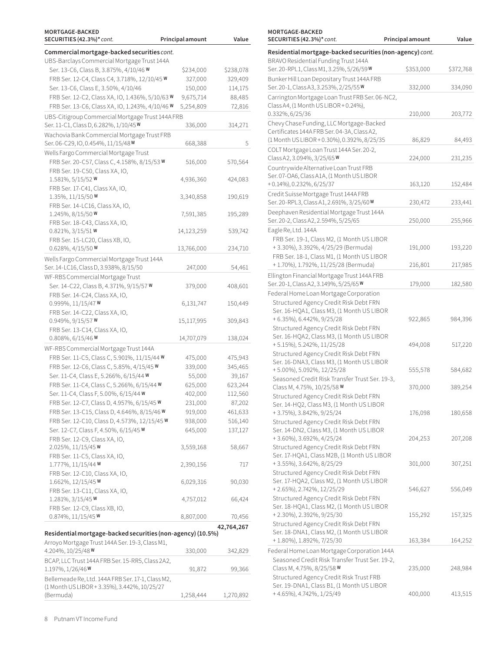| MORTGAGE-BACKED<br>SECURITIES (42.3%)* cont.                                      | <b>Principal amount</b> | Value      |
|-----------------------------------------------------------------------------------|-------------------------|------------|
| Commercial mortgage-backed securities cont.                                       |                         |            |
| UBS-Barclays Commercial Mortgage Trust 144A                                       |                         |            |
| Ser. 13-C6, Class B, 3.875%, 4/10/46 W                                            | \$234,000               | \$238,078  |
| FRB Ser. 12-C4, Class C4, 3.718%, 12/10/45 W                                      | 327,000                 | 329,409    |
| Ser. 13-C6, Class E, 3.50%, 4/10/46                                               | 150,000                 | 114,175    |
| FRB Ser. 12-C2, Class XA, IO, 1.436%, 5/10/63 W                                   | 9,675,714               | 88,485     |
| FRB Ser. 13-C6, Class XA, IO, 1.243%, 4/10/46 W                                   | 5,254,809               | 72,816     |
| UBS-Citigroup Commercial Mortgage Trust 144A FRB                                  |                         |            |
| Ser. 11-C1, Class D, 6.282%, 1/10/45 W                                            | 336,000                 | 314,271    |
| Wachovia Bank Commercial Mortgage Trust FRB<br>Ser. 06-C29, IO, 0.454%, 11/15/48W | 668,388                 | 5          |
| Wells Fargo Commercial Mortgage Trust                                             |                         |            |
| FRB Ser. 20-C57, Class C, 4.158%, 8/15/53 W                                       | 516,000                 | 570,564    |
| FRB Ser. 19-C50, Class XA, IO,                                                    |                         |            |
| 1.581%, 5/15/52 W                                                                 | 4,936,360               | 424,083    |
| FRB Ser. 17-C41, Class XA, IO,<br>1.35%, 11/15/50 W                               | 3,340,858               | 190,619    |
| FRB Ser. 14-LC16, Class XA, IO,                                                   |                         |            |
| $1.245\%, 8/15/50$ W<br>FRB Ser. 18-C43, Class XA, IO,                            | 7,591,385               | 195,289    |
| $0.821\%, 3/15/51$ W                                                              | 14,123,259              | 539,742    |
| FRB Ser. 15-LC20, Class XB, IO,                                                   |                         |            |
| 0.628%, 4/15/50 W                                                                 | 13,766,000              | 234,710    |
| Wells Fargo Commercial Mortgage Trust 144A                                        |                         |            |
| Ser. 14-LC16, Class D, 3.938%, 8/15/50                                            | 247,000                 | 54,461     |
| WF-RBS Commercial Mortgage Trust                                                  |                         |            |
| Ser. 14-C22, Class B, 4.371%, 9/15/57 W                                           | 379,000                 | 408,601    |
| FRB Ser. 14-C24, Class XA, IO,                                                    |                         |            |
| 0.999%, 11/15/47 W                                                                | 6,131,747               | 150,449    |
| FRB Ser. 14-C22, Class XA, IO,<br>0.949%, 9/15/57 W                               | 15,117,995              | 309,843    |
| FRB Ser. 13-C14, Class XA, IO,                                                    |                         |            |
| 0.808%, 6/15/46 W                                                                 | 14,707,079              | 138,024    |
| WF-RBS Commercial Mortgage Trust 144A                                             |                         |            |
| FRB Ser. 11-C5, Class C, 5.901%, 11/15/44 W                                       | 475,000                 | 475,943    |
| FRB Ser. 12-C6, Class C, 5.85%, 4/15/45 W                                         | 339,000                 | 345,465    |
| Ser. 11-C4, Class E, 5.266%, 6/15/44 W                                            | 55,000                  | 39,167     |
| FRB Ser. 11-C4, Class C, 5.266%, 6/15/44 W                                        | 625,000                 | 623,244    |
| Ser. 11-C4, Class F, 5.00%, 6/15/44 W                                             | 402,000                 | 112,560    |
| FRB Ser. 12-C7, Class D, 4.957%, 6/15/45 W                                        | 231,000                 | 87,202     |
| FRB Ser. 13-C15, Class D, 4.646%, 8/15/46 W                                       | 919,000                 | 461,633    |
| FRB Ser. 12-C10, Class D, 4.573%, 12/15/45 W                                      | 938,000                 | 516,140    |
| Ser. 12-C7, Class F, 4.50%, 6/15/45 W                                             | 645,000                 | 137,127    |
| FRB Ser. 12-C9, Class XA, IO,                                                     |                         |            |
| 2.025%, 11/15/45 W                                                                | 3,559,168               | 58,667     |
| FRB Ser. 11-C5, Class XA, IO,                                                     |                         |            |
| 1.777%, 11/15/44 W                                                                | 2,390,156               | 717        |
| FRB Ser. 12-C10, Class XA, IO,                                                    |                         |            |
| 1.662%, 12/15/45 W                                                                | 6,029,316               | 90,030     |
| FRB Ser. 13-C11, Class XA, IO,<br>1.281%, 3/15/45 W                               | 4,757,012               | 66,424     |
| FRB Ser. 12-C9, Class XB, IO,                                                     |                         |            |
| 0.874%, 11/15/45 W                                                                | 8,807,000               | 70,456     |
|                                                                                   |                         | 42,764,267 |
| Residential mortgage-backed securities (non-agency) (10.5%)                       |                         |            |
| Arroyo Mortgage Trust 144A Ser. 19-3, Class M1,                                   |                         |            |
| 4.204%, 10/25/48W<br>BCAP, LLC Trust 144A FRB Ser. 15-RR5, Class 2A2,             | 330,000                 | 342,829    |
| $1.197\%, 1/26/46$ W                                                              | 91,872                  | 99,366     |
| Bellemeade Re, Ltd. 144A FRB Ser. 17-1, Class M2,                                 |                         |            |
| (1 Month US LIBOR + 3.35%), 3.442%, 10/25/27                                      |                         |            |
| (Bermuda)                                                                         | 1,258,444               | 1,270,892  |
|                                                                                   |                         |            |

| MORTGAGE-BACKED<br>SECURITIES (42.3%)* cont.                                                                                                                          | <b>Principal amount</b> | Value     |
|-----------------------------------------------------------------------------------------------------------------------------------------------------------------------|-------------------------|-----------|
| Residential mortgage-backed securities (non-agency) cont.<br>BRAVO Residential Funding Trust 144A                                                                     |                         |           |
| Ser. 20-RPL1, Class M1, 3.25%, 5/26/59 W                                                                                                                              | \$353,000               | \$372,768 |
| Bunker Hill Loan Depositary Trust 144A FRB<br>Ser. 20-1, Class A3, 3.253%, 2/25/55 W                                                                                  | 332,000                 | 334,090   |
| Carrington Mortgage Loan Trust FRB Ser. 06-NC2,<br>Class A4, (1 Month US LIBOR + 0.24%),<br>0.332%, 6/25/36                                                           |                         |           |
| Chevy Chase Funding, LLC Mortgage-Backed                                                                                                                              | 210,000                 | 203,772   |
| Certificates 144A FRB Ser. 04-3A, Class A2,<br>(1 Month US LIBOR + 0.30%), 0.392%, 8/25/35                                                                            | 86,829                  | 84,493    |
| COLT Mortgage Loan Trust 144A Ser. 20-2,<br>Class A2, 3.094%, 3/25/65 W                                                                                               | 224,000                 | 231,235   |
| Countrywide Alternative Loan Trust FRB<br>Ser. 07-OA6, Class A1A, (1 Month US LIBOR<br>+0.14%), 0.232%, 6/25/37                                                       | 163,120                 | 152,484   |
| Credit Suisse Mortgage Trust 144A FRB<br>Ser. 20-RPL3, Class A1, 2.691%, 3/25/60 W                                                                                    | 230,472                 | 233,441   |
| Deephaven Residential Mortgage Trust 144A                                                                                                                             |                         |           |
| Ser. 20-2, Class A2, 2.594%, 5/25/65                                                                                                                                  | 250,000                 | 255,966   |
| Eagle Re, Ltd. 144A<br>FRB Ser. 19-1, Class M2, (1 Month US LIBOR                                                                                                     |                         |           |
| +3.30%), 3.392%, 4/25/29 (Bermuda)<br>FRB Ser. 18-1, Class M1, (1 Month US LIBOR                                                                                      | 191,000                 | 193,220   |
| +1.70%), 1.792%, 11/25/28 (Bermuda)                                                                                                                                   | 216,801                 | 217,985   |
| Ellington Financial Mortgage Trust 144A FRB<br>Ser. 20-1, Class A2, 3.149%, 5/25/65W                                                                                  | 179,000                 | 182,580   |
| Federal Home Loan Mortgage Corporation<br>Structured Agency Credit Risk Debt FRN<br>Ser. 16-HQA1, Class M3, (1 Month US LIBOR<br>+6.35%), 6.442%, 9/25/28             | 922,865                 | 984,396   |
| Structured Agency Credit Risk Debt FRN<br>Ser. 16-HQA2, Class M3, (1 Month US LIBOR<br>+ 5.15%), 5.242%, 11/25/28<br>Structured Agency Credit Risk Debt FRN           | 494,008                 | 517,220   |
| Ser. 16-DNA3, Class M3, (1 Month US LIBOR<br>+5.00%), 5.092%, 12/25/28                                                                                                | 555,578                 | 584,682   |
| Seasoned Credit Risk Transfer Trust Ser. 19-3,<br>Class M, 4.75%, 10/25/58 W<br>Structured Agency Credit Risk Debt FRN                                                | 370,000                 | 389,254   |
| Ser. 14-HQ2, Class M3, (1 Month US LIBOR<br>+3.75%), 3.842%, 9/25/24<br>Structured Agency Credit Risk Debt FRN<br>Ser. 14-DN2, Class M3, (1 Month US LIBOR            | 176,098                 | 180,658   |
| +3.60%), 3.692%, 4/25/24<br>Structured Agency Credit Risk Debt FRN                                                                                                    | 204,253                 | 207,208   |
| Ser. 17-HQA1, Class M2B, (1 Month US LIBOR<br>+3.55%), 3.642%, 8/25/29<br>Structured Agency Credit Risk Debt FRN                                                      | 301,000                 | 307,251   |
| Ser. 17-HQA2, Class M2, (1 Month US LIBOR<br>+2.65%), 2.742%, 12/25/29<br>Structured Agency Credit Risk Debt FRN<br>Ser. 18-HQA1, Class M2, (1 Month US LIBOR         | 546,627                 | 556,049   |
| + 2.30%), 2.392%, 9/25/30<br>Structured Agency Credit Risk Debt FRN<br>Ser. 18-DNA1, Class M2, (1 Month US LIBOR                                                      | 155,292                 | 157,325   |
| +1.80%), 1.892%, 7/25/30                                                                                                                                              | 163,384                 | 164,252   |
| Federal Home Loan Mortgage Corporation 144A<br>Seasoned Credit Risk Transfer Trust Ser. 19-2,<br>Class M, 4.75%, 8/25/58 W<br>Structured Agency Credit Risk Trust FRB | 235,000                 | 248,984   |
| Ser. 19-DNA1, Class B1, (1 Month US LIBOR<br>+4.65%), 4.742%, 1/25/49                                                                                                 | 400,000                 | 413,515   |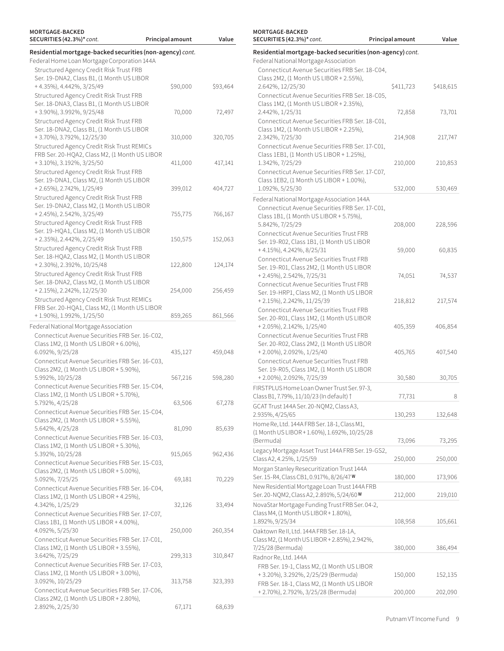| MORTGAGE-BACKED<br>SECURITIES (42.3%)* cont.                                                                                      | <b>Principal amount</b> | Value    |
|-----------------------------------------------------------------------------------------------------------------------------------|-------------------------|----------|
| Residential mortgage-backed securities (non-agency) cont.                                                                         |                         |          |
| Federal Home Loan Mortgage Corporation 144A                                                                                       |                         |          |
| Structured Agency Credit Risk Trust FRB<br>Ser. 19-DNA2, Class B1, (1 Month US LIBOR<br>+4.35%), 4.442%, 3/25/49                  | \$90,000                | \$93,464 |
| Structured Agency Credit Risk Trust FRB<br>Ser. 18-DNA3, Class B1, (1 Month US LIBOR                                              |                         |          |
| +3.90%), 3.992%, 9/25/48<br>Structured Agency Credit Risk Trust FRB                                                               | 70,000                  | 72,497   |
| Ser. 18-DNA2, Class B1, (1 Month US LIBOR<br>+3.70%), 3.792%, 12/25/30<br>Structured Agency Credit Risk Trust REMICs              | 310,000                 | 320,705  |
| FRB Ser. 20-HQA2, Class M2, (1 Month US LIBOR<br>+3.10%), 3.192%, 3/25/50<br>Structured Agency Credit Risk Trust FRB              | 411,000                 | 417,141  |
| Ser. 19-DNA1, Class M2, (1 Month US LIBOR<br>+ 2.65%), 2.742%, 1/25/49<br>Structured Agency Credit Risk Trust FRB                 | 399,012                 | 404,727  |
| Ser. 19-DNA2, Class M2, (1 Month US LIBOR<br>+ 2.45%), 2.542%, 3/25/49<br>Structured Agency Credit Risk Trust FRB                 | 755,775                 | 766,167  |
| Ser. 19-HQA1, Class M2, (1 Month US LIBOR<br>+ 2.35%), 2.442%, 2/25/49                                                            | 150,575                 | 152,063  |
| Structured Agency Credit Risk Trust FRB<br>Ser. 18-HQA2, Class M2, (1 Month US LIBOR<br>+ 2.30%), 2.392%, 10/25/48                | 122,800                 | 124,174  |
| Structured Agency Credit Risk Trust FRB<br>Ser. 18-DNA2, Class M2, (1 Month US LIBOR<br>+ 2.15%), 2.242%, 12/25/30                | 254,000                 | 256,459  |
| Structured Agency Credit Risk Trust REMICs<br>FRB Ser. 20-HQA1, Class M2, (1 Month US LIBOR<br>+1.90%), 1.992%, 1/25/50           | 859,265                 | 861,566  |
|                                                                                                                                   |                         |          |
| Federal National Mortgage Association<br>Connecticut Avenue Securities FRB Ser. 16-C02,<br>Class 1M2, (1 Month US LIBOR + 6.00%), |                         |          |
| 6.092%, 9/25/28<br>Connecticut Avenue Securities FRB Ser. 16-C03,<br>Class 2M2, (1 Month US LIBOR + 5.90%),                       | 435,127                 | 459,048  |
| 5.992%, 10/25/28<br>Connecticut Avenue Securities FRB Ser. 15-C04,<br>Class 1M2, (1 Month US LIBOR + 5.70%),                      | 567,216                 | 598,280  |
| 5.792%, 4/25/28<br>Connecticut Avenue Securities FRB Ser. 15-C04,                                                                 | 63,506                  | 67,278   |
| Class 2M2, (1 Month US LIBOR + 5.55%),<br>5.642%, 4/25/28<br>Connecticut Avenue Securities FRB Ser. 16-C03,                       | 81,090                  | 85,639   |
| Class 1M2, (1 Month US LIBOR + 5.30%),<br>5.392%, 10/25/28<br>Connecticut Avenue Securities FRB Ser. 15-C03,                      | 915,065                 | 962,436  |
| Class 2M2, (1 Month US LIBOR + 5.00%),<br>5.092%, 7/25/25                                                                         | 69,181                  | 70,229   |
| Connecticut Avenue Securities FRB Ser. 16-C04,<br>Class 1M2, (1 Month US LIBOR + 4.25%),<br>4.342%, 1/25/29                       | 32,126                  | 33,494   |
| Connecticut Avenue Securities FRB Ser. 17-C07,<br>Class 1B1, (1 Month US LIBOR + 4.00%),<br>4.092%, 5/25/30                       | 250,000                 | 260,354  |
| Connecticut Avenue Securities FRB Ser. 17-C01,<br>Class 1M2, (1 Month US LIBOR + 3.55%),<br>3.642%, 7/25/29                       | 299,313                 | 310,847  |
| Connecticut Avenue Securities FRB Ser. 17-C03,<br>Class 1M2, (1 Month US LIBOR + 3.00%),                                          |                         |          |
| 3.092%, 10/25/29<br>Connecticut Avenue Securities FRB Ser. 17-C06,<br>Class 2M2, (1 Month US LIBOR + 2.80%),                      | 313,758                 | 323,393  |
| 2.892%, 2/25/30                                                                                                                   | 67,171                  | 68,639   |

| MORTGAGE-BACKED<br>SECURITIES (42.3%)* cont.                                                                                           | <b>Principal amount</b> | Value     |
|----------------------------------------------------------------------------------------------------------------------------------------|-------------------------|-----------|
| Residential mortgage-backed securities (non-agency) cont.                                                                              |                         |           |
| Federal National Mortgage Association                                                                                                  |                         |           |
| Connecticut Avenue Securities FRB Ser. 18-C04,<br>Class 2M2, (1 Month US LIBOR + 2.55%),                                               |                         |           |
| 2.642%, 12/25/30<br>Connecticut Avenue Securities FRB Ser. 18-C05,                                                                     | \$411,723               | \$418,615 |
| Class 1M2, (1 Month US LIBOR + 2.35%),<br>2.442%, 1/25/31                                                                              | 72,858                  | 73,701    |
| Connecticut Avenue Securities FRB Ser. 18-C01,<br>Class 1M2, (1 Month US LIBOR + 2.25%),<br>2.342%, 7/25/30                            | 214,908                 | 217,747   |
| Connecticut Avenue Securities FRB Ser. 17-C01,<br>Class 1EB1, (1 Month US LIBOR + 1.25%),<br>1.342%, 7/25/29                           | 210,000                 | 210,853   |
| Connecticut Avenue Securities FRB Ser. 17-C07,<br>Class 1EB2, (1 Month US LIBOR + 1.00%),                                              |                         |           |
| 1.092%, 5/25/30                                                                                                                        | 532,000                 | 530,469   |
| Federal National Mortgage Association 144A<br>Connecticut Avenue Securities FRB Ser. 17-C01,<br>Class 1B1, (1 Month US LIBOR + 5.75%), |                         |           |
| 5.842%, 7/25/29<br>Connecticut Avenue Securities Trust FRB                                                                             | 208,000                 | 228,596   |
| Ser. 19-R02, Class 1B1, (1 Month US LIBOR<br>+4.15%), 4.242%, 8/25/31<br>Connecticut Avenue Securities Trust FRB                       | 59,000                  | 60,835    |
| Ser. 19-R01, Class 2M2, (1 Month US LIBOR<br>+ 2.45%), 2.542%, 7/25/31<br>Connecticut Avenue Securities Trust FRB                      | 74,051                  | 74,537    |
| Ser. 19-HRP1, Class M2, (1 Month US LIBOR<br>+ 2.15%), 2.242%, 11/25/39                                                                | 218,812                 | 217,574   |
| Connecticut Avenue Securities Trust FRB<br>Ser. 20-R01, Class 1M2, (1 Month US LIBOR<br>+ 2.05%), 2.142%, 1/25/40                      | 405,359                 | 406,854   |
| Connecticut Avenue Securities Trust FRB<br>Ser. 20-R02, Class 2M2, (1 Month US LIBOR<br>+2.00%), 2.092%, 1/25/40                       | 405,765                 | 407,540   |
| Connecticut Avenue Securities Trust FRB<br>Ser. 19-R05, Class 1M2, (1 Month US LIBOR<br>+ 2.00%), 2.092%, 7/25/39                      | 30,580                  | 30,705    |
| FIRSTPLUS Home Loan Owner Trust Ser. 97-3,<br>Class B1, 7.79%, 11/10/23 (In default) †                                                 | 77,731                  | 8         |
| GCAT Trust 144A Ser. 20-NQM2, Class A3,<br>2.935%, 4/25/65                                                                             | 130,293                 | 132,648   |
| Home Re, Ltd. 144A FRB Ser. 18-1, Class M1,<br>(1 Month US LIBOR + 1.60%), 1.692%, 10/25/28                                            |                         |           |
| (Bermuda)<br>Legacy Mortgage Asset Trust 144A FRB Ser. 19-GS2,                                                                         | 73,096                  | 73,295    |
| Class A2, 4.25%, 1/25/59<br>Morgan Stanley Resecuritization Trust 144A                                                                 | 250,000                 | 250,000   |
| Ser. 15-R4, Class CB1, 0.917%, 8/26/47W                                                                                                | 180,000                 | 173,906   |
| New Residential Mortgage Loan Trust 144A FRB<br>Ser. 20-NQM2, Class A2, 2.891%, 5/24/60W                                               | 212,000                 | 219,010   |
| NovaStar Mortgage Funding Trust FRB Ser. 04-2,<br>Class M4, (1 Month US LIBOR + 1.80%),<br>1.892%, 9/25/34                             | 108,958                 | 105,661   |
| Oaktown Re II, Ltd. 144A FRB Ser. 18-1A,<br>Class M2, (1 Month US LIBOR + 2.85%), 2.942%,<br>7/25/28 (Bermuda)                         | 380,000                 | 386,494   |
| Radnor Re, Ltd. 144A<br>FRB Ser. 19-1, Class M2, (1 Month US LIBOR                                                                     |                         |           |
| +3.20%), 3.292%, 2/25/29 (Bermuda)<br>FRB Ser. 18-1, Class M2, (1 Month US LIBOR                                                       | 150,000                 | 152,135   |
| + 2.70%), 2.792%, 3/25/28 (Bermuda)                                                                                                    | 200,000                 | 202,090   |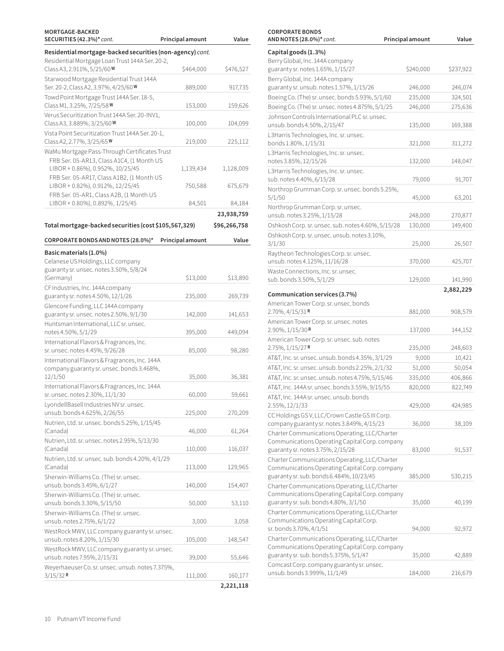| MORTGAGE-BACKED<br>SECURITIES (42.3%)* cont.                                                          | Principal amount        | Value                |
|-------------------------------------------------------------------------------------------------------|-------------------------|----------------------|
| Residential mortgage-backed securities (non-agency) cont.                                             |                         |                      |
| Residential Mortgage Loan Trust 144A Ser. 20-2,<br>Class A3, 2.911%, 5/25/60W                         | \$464,000               | \$476,527            |
| Starwood Mortgage Residential Trust 144A<br>Ser. 20-2, Class A2, 3.97%, 4/25/60 W                     | 889,000                 | 917,735              |
| Towd Point Mortgage Trust 144A Ser. 18-5,<br>Class M1, 3.25%, 7/25/58W                                | 153,000                 | 159,626              |
| Verus Securitization Trust 144A Ser. 20-INV1,<br>Class A3, 3.889%, 3/25/60W                           | 100,000                 | 104,099              |
| Vista Point Securitization Trust 144A Ser. 20-1,<br>Class A2, 2.77%, 3/25/65W                         | 219,000                 | 225,112              |
| WaMu Mortgage Pass-Through Certificates Trust                                                         |                         |                      |
| FRB Ser. 05-AR13, Class A1C4, (1 Month US<br>LIBOR + 0.86%), 0.952%, 10/25/45                         | 1,139,434               | 1,128,009            |
| FRB Ser. 05-AR17, Class A1B2, (1 Month US<br>LIBOR + 0.82%), 0.912%, 12/25/45                         | 750,588                 | 675,679              |
| FRB Ser. 05-AR1, Class A2B, (1 Month US<br>LIBOR + 0.80%), 0.892%, 1/25/45                            | 84,501                  | 84,184               |
|                                                                                                       |                         | 23,938,759           |
| Total mortgage-backed securities (cost \$105,567,329)                                                 |                         | \$96,266,758         |
| CORPORATE BONDS AND NOTES (28.0%)*                                                                    | <b>Principal amount</b> | Value                |
| Basic materials (1.0%)                                                                                |                         |                      |
| Celanese US Holdings, LLC company<br>guaranty sr. unsec. notes 3.50%, 5/8/24                          |                         |                      |
| (Germany)<br>CF Industries, Inc. 144A company                                                         | \$13,000                | \$13,890             |
| guaranty sr. notes 4.50%, 12/1/26                                                                     | 235,000                 | 269,739              |
| Glencore Funding, LLC 144A company<br>guaranty sr. unsec. notes 2.50%, 9/1/30                         | 142,000                 | 141,653              |
| Huntsman International, LLC sr. unsec.<br>notes 4.50%, 5/1/29                                         | 395,000                 | 449,094              |
| International Flavors & Fragrances, Inc.<br>sr. unsec. notes 4.45%, 9/26/28                           | 85,000                  | 98,280               |
| International Flavors & Fragrances, Inc. 144A<br>company guaranty sr. unsec. bonds 3.468%,<br>12/1/50 | 35,000                  | 36,381               |
| International Flavors & Fragrances, Inc. 144A<br>sr. unsec. notes 2.30%, 11/1/30                      | 60,000                  | 59,661               |
| LyondellBasell Industries NV sr. unsec.<br>unsub. bonds 4.625%, 2/26/55                               | 225,000                 | 270,209              |
| Nutrien, Ltd. sr. unsec. bonds 5.25%, 1/15/45<br>(Canada)                                             | 46,000                  | 61,264               |
| Nutrien, Ltd. sr. unsec. notes 2.95%, 5/13/30<br>(Canada)                                             | 110,000                 | 116,037              |
| Nutrien, Ltd. sr. unsec. sub. bonds 4.20%, 4/1/29<br>(Canada)                                         | 113,000                 | 129,965              |
| Sherwin-Williams Co. (The) sr. unsec.<br>unsub. bonds 3.45%, 6/1/27                                   | 140,000                 | 154,407              |
| Sherwin-Williams Co. (The) sr. unsec.<br>unsub. bonds 3.30%, 5/15/50                                  | 50,000                  | 53,110               |
| Sherwin-Williams Co. (The) sr. unsec.<br>unsub. notes 2.75%, 6/1/22                                   | 3,000                   | 3,058                |
| WestRock MWV, LLC company guaranty sr. unsec.<br>unsub. notes 8.20%, 1/15/30                          | 105,000                 | 148,547              |
| WestRock MWV, LLC company guaranty sr. unsec.<br>unsub. notes 7.95%, 2/15/31                          |                         |                      |
| Weyerhaeuser Co. sr. unsec. unsub. notes 7.375%,                                                      | 39,000                  | 55,646               |
| $3/15/32$ R                                                                                           | 111,000                 | 160,177<br>2,221,118 |

| <b>CORPORATE BONDS</b><br>AND NOTES (28.0%)* cont.                                                                                       | <b>Principal amount</b> | Value     |
|------------------------------------------------------------------------------------------------------------------------------------------|-------------------------|-----------|
| Capital goods (1.3%)                                                                                                                     |                         |           |
| Berry Global, Inc. 144A company                                                                                                          |                         |           |
| guaranty sr. notes 1.65%, 1/15/27                                                                                                        | \$240,000               | \$237,922 |
| Berry Global, Inc. 144A company                                                                                                          |                         |           |
| guaranty sr. unsub. notes 1.57%, 1/15/26                                                                                                 | 246,000                 | 246,074   |
| Boeing Co. (The) sr. unsec. bonds 5.93%, 5/1/60                                                                                          | 235,000                 | 324,501   |
| Boeing Co. (The) sr. unsec. notes 4.875%, 5/1/25                                                                                         | 246,000                 | 275,636   |
| Johnson Controls International PLC sr. unsec.<br>unsub. bonds 4.50%, 2/15/47                                                             | 135,000                 | 169,388   |
| L3Harris Technologies, Inc. sr. unsec.<br>bonds 1.80%, 1/15/31                                                                           | 321,000                 | 311,272   |
| L3Harris Technologies, Inc. sr. unsec.<br>notes 3.85%, 12/15/26                                                                          | 132,000                 | 148,047   |
| L3Harris Technologies, Inc. sr. unsec.<br>sub. notes 4.40%, 6/15/28                                                                      | 79,000                  | 91,707    |
| Northrop Grumman Corp. sr. unsec. bonds 5.25%,<br>5/1/50                                                                                 | 45,000                  | 63,201    |
| Northrop Grumman Corp. sr. unsec.                                                                                                        |                         |           |
| unsub. notes 3.25%, 1/15/28                                                                                                              | 248,000                 | 270,877   |
| Oshkosh Corp. sr. unsec. sub. notes 4.60%, 5/15/28                                                                                       | 130,000                 | 149,400   |
| Oshkosh Corp. sr. unsec. unsub. notes 3.10%,<br>3/1/30                                                                                   | 25,000                  | 26,507    |
| Raytheon Technologies Corp. sr. unsec.<br>unsub. notes 4.125%, 11/16/28                                                                  | 370,000                 | 425,707   |
| Waste Connections, Inc. sr. unsec.<br>sub. bonds 3.50%, 5/1/29                                                                           | 129,000                 | 141,990   |
|                                                                                                                                          |                         | 2,882,229 |
| Communication services (3.7%)                                                                                                            |                         |           |
| American Tower Corp. sr. unsec. bonds<br>2.70%, 4/15/31R                                                                                 | 881,000                 | 908,579   |
| American Tower Corp. sr. unsec. notes<br>2.90%, 1/15/30R                                                                                 | 137,000                 | 144,152   |
| American Tower Corp. sr. unsec. sub. notes<br>2.75%, 1/15/27R                                                                            | 235,000                 | 248,603   |
| AT&T, Inc. sr. unsec. unsub. bonds 4.35%, 3/1/29                                                                                         | 9,000                   | 10,421    |
| AT&T, Inc. sr. unsec. unsub. bonds 2.25%, 2/1/32                                                                                         | 51,000                  | 50,054    |
| AT&T, Inc. sr. unsec. unsub. notes 4.75%, 5/15/46                                                                                        | 335,000                 | 406,866   |
| AT&T, Inc. 144A sr. unsec. bonds 3.55%, 9/15/55                                                                                          | 820,000                 | 822,749   |
| AT&T, Inc. 144A sr. unsec. unsub. bonds<br>2.55%, 12/1/33                                                                                | 429,000                 | 424,985   |
| CC Holdings GSV, LLC/Crown Castle GS III Corp.                                                                                           |                         |           |
| company guaranty sr. notes 3.849%, 4/15/23                                                                                               | 36,000                  | 38,109    |
| Charter Communications Operating, LLC/Charter<br>Communications Operating Capital Corp. company                                          |                         |           |
| guaranty sr. notes 3.75%, 2/15/28<br>Charter Communications Operating, LLC/Charter                                                       | 83,000                  | 91,537    |
| Communications Operating Capital Corp. company<br>guaranty sr. sub. bonds 6.484%, 10/23/45                                               | 385,000                 | 530,215   |
| Charter Communications Operating, LLC/Charter<br>Communications Operating Capital Corp. company<br>guaranty sr. sub. bonds 4.80%, 3/1/50 | 35,000                  | 40,199    |
| Charter Communications Operating, LLC/Charter<br>Communications Operating Capital Corp.                                                  |                         |           |
| sr. bonds 3.70%, 4/1/51                                                                                                                  | 94,000                  | 92,972    |
| Charter Communications Operating, LLC/Charter                                                                                            |                         |           |
| Communications Operating Capital Corp. company<br>guaranty sr. sub. bonds 5.375%, 5/1/47                                                 | 35,000                  | 42,889    |
| Comcast Corp. company guaranty sr. unsec.<br>unsub. bonds 3.999%, 11/1/49                                                                | 184,000                 | 216,679   |
|                                                                                                                                          |                         |           |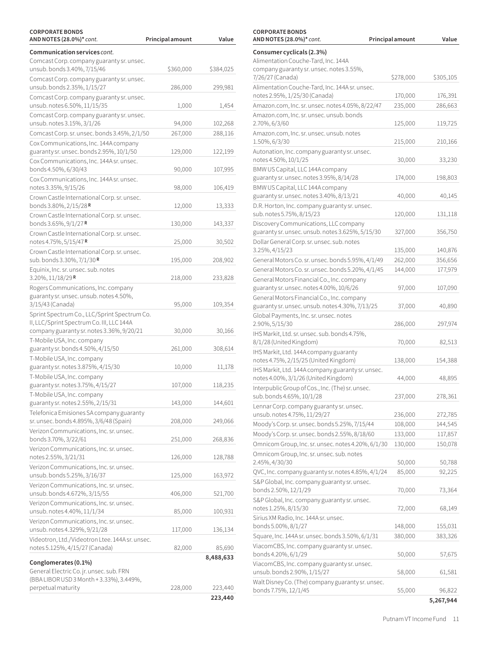| <b>CORPORATE BONDS</b><br>AND NOTES (28.0%)* cont.                                        | Principal amount | Value     |
|-------------------------------------------------------------------------------------------|------------------|-----------|
| Communication services cont.                                                              |                  |           |
| Comcast Corp. company guaranty sr. unsec.<br>unsub. bonds 3.40%, 7/15/46                  | \$360,000        | \$384,025 |
| Comcast Corp. company guaranty sr. unsec.<br>unsub. bonds 2.35%, 1/15/27                  | 286,000          | 299,981   |
| Comcast Corp. company guaranty sr. unsec.                                                 |                  |           |
| unsub. notes 6.50%, 11/15/35                                                              | 1,000            | 1,454     |
| Comcast Corp. company guaranty sr. unsec.<br>unsub. notes 3.15%, 3/1/26                   | 94,000           | 102,268   |
| Comcast Corp. sr. unsec. bonds 3.45%, 2/1/50                                              | 267,000          | 288,116   |
| Cox Communications, Inc. 144A company<br>guaranty sr. unsec. bonds 2.95%, 10/1/50         | 129,000          | 122,199   |
| Cox Communications, Inc. 144A sr. unsec.<br>bonds 4.50%, 6/30/43                          | 90,000           | 107,995   |
| Cox Communications, Inc. 144A sr. unsec.<br>notes 3.35%, 9/15/26                          | 98,000           | 106,419   |
| Crown Castle International Corp. sr. unsec.<br>bonds 3.80%, 2/15/28 R                     | 12,000           | 13,333    |
| Crown Castle International Corp. sr. unsec.<br>bonds 3.65%, 9/1/27 R                      | 130,000          | 143,337   |
| Crown Castle International Corp. sr. unsec.<br>notes 4.75%, 5/15/47 R                     | 25,000           | 30,502    |
| Crown Castle International Corp. sr. unsec.<br>sub. bonds 3.30%, 7/1/30R                  | 195,000          | 208,902   |
| Equinix, Inc. sr. unsec. sub. notes<br>3.20%, 11/18/29R                                   | 218,000          | 233,828   |
| Rogers Communications, Inc. company                                                       |                  |           |
| guaranty sr. unsec. unsub. notes 4.50%,<br>3/15/43 (Canada)                               | 95,000           | 109,354   |
| Sprint Spectrum Co., LLC/Sprint Spectrum Co.<br>II, LLC/Sprint Spectrum Co. III, LLC 144A |                  |           |
| company guaranty sr. notes 3.36%, 9/20/21                                                 | 30,000           | 30,166    |
| T-Mobile USA, Inc. company<br>guaranty sr. bonds 4.50%, 4/15/50                           | 261,000          | 308,614   |
| T-Mobile USA, Inc. company<br>guaranty sr. notes 3.875%, 4/15/30                          | 10,000           | 11,178    |
| T-Mobile USA, Inc. company<br>guaranty sr. notes 3.75%, 4/15/27                           | 107,000          | 118,235   |
| T-Mobile USA, Inc. company<br>guaranty sr. notes 2.55%, 2/15/31                           | 143,000          | 144,601   |
| Telefonica Emisiones SA company guaranty<br>sr. unsec. bonds 4.895%, 3/6/48 (Spain)       | 208,000          | 249,066   |
| Verizon Communications, Inc. sr. unsec.                                                   |                  |           |
| bonds 3.70%, 3/22/61<br>Verizon Communications, Inc. sr. unsec.                           | 251,000          | 268,836   |
| notes 2.55%, 3/21/31                                                                      | 126,000          | 128,788   |
| Verizon Communications, Inc. sr. unsec.<br>unsub. bonds 5.25%, 3/16/37                    | 125,000          | 163,972   |
| Verizon Communications, Inc. sr. unsec.<br>unsub. bonds 4.672%, 3/15/55                   | 406,000          | 521,700   |
| Verizon Communications, Inc. sr. unsec.<br>unsub. notes 4.40%, 11/1/34                    | 85,000           | 100,931   |
| Verizon Communications, Inc. sr. unsec.<br>unsub.notes 4.329%, 9/21/28                    | 117,000          | 136,134   |
| Videotron, Ltd./Videotron Ltee. 144A sr. unsec.<br>notes 5.125%, 4/15/27 (Canada)         | 82,000           | 85,690    |
| Conglomerates (0.1%)                                                                      |                  | 8,488,633 |
| General Electric Co. jr. unsec. sub. FRN                                                  |                  |           |
| (BBALIBORUSD3Month+3.33%), 3.449%,<br>perpetual maturity                                  | 228,000          | 223,440   |
|                                                                                           |                  | 223,440   |

| AND NOTES (28.0%)* cont.                                                                      | <b>Principal amount</b> | Value     |
|-----------------------------------------------------------------------------------------------|-------------------------|-----------|
| Consumer cyclicals (2.3%)                                                                     |                         |           |
| Alimentation Couche-Tard, Inc. 144A                                                           |                         |           |
| company guaranty sr. unsec. notes 3.55%,                                                      |                         |           |
| 7/26/27 (Canada)                                                                              | \$278,000               | \$305,105 |
| Alimentation Couche-Tard, Inc. 144A sr. unsec.<br>notes 2.95%, 1/25/30 (Canada)               | 170,000                 | 176,391   |
| Amazon.com, Inc. sr. unsec. notes 4.05%, 8/22/47                                              | 235,000                 | 286,663   |
| Amazon.com, Inc. sr. unsec. unsub. bonds<br>2.70%, 6/3/60                                     | 125,000                 | 119,725   |
| Amazon.com, Inc. sr. unsec. unsub. notes<br>1.50%, 6/3/30                                     | 215,000                 | 210,166   |
| Autonation, Inc. company guaranty sr. unsec.<br>notes 4.50%, 10/1/25                          | 30,000                  | 33,230    |
| BMW US Capital, LLC 144A company<br>guaranty sr. unsec. notes 3.95%, 8/14/28                  | 174,000                 | 198,803   |
| BMW US Capital, LLC 144A company                                                              |                         |           |
| guaranty sr. unsec. notes 3.40%, 8/13/21                                                      | 40,000                  | 40,145    |
| D.R. Horton, Inc. company guaranty sr. unsec.<br>sub. notes 5.75%, 8/15/23                    | 120,000                 | 131,118   |
| Discovery Communications, LLC company                                                         |                         |           |
| guaranty sr. unsec. unsub. notes 3.625%, 5/15/30                                              | 327,000                 | 356,750   |
| Dollar General Corp. sr. unsec. sub. notes<br>3.25%, 4/15/23                                  | 135,000                 | 140,876   |
| General Motors Co. sr. unsec. bonds 5.95%, 4/1/49                                             | 262,000                 | 356,656   |
| General Motors Co. sr. unsec. bonds 5.20%, 4/1/45                                             | 144,000                 | 177,979   |
| General Motors Financial Co., Inc. company<br>guaranty sr. unsec. notes 4.00%, 10/6/26        | 97,000                  | 107,090   |
| General Motors Financial Co., Inc. company<br>guaranty sr. unsec. unsub. notes 4.30%, 7/13/25 | 37,000                  | 40,890    |
| Global Payments, Inc. sr. unsec. notes                                                        |                         |           |
| 2.90%, 5/15/30                                                                                | 286,000                 | 297,974   |
| IHS Markit, Ltd. sr. unsec. sub. bonds 4.75%,<br>8/1/28 (United Kingdom)                      | 70,000                  | 82,513    |
| IHS Markit, Ltd. 144A company guaranty<br>notes 4.75%, 2/15/25 (United Kingdom)               | 138,000                 | 154,388   |
| IHS Markit, Ltd. 144A company guaranty sr. unsec.<br>notes 4.00%, 3/1/26 (United Kingdom)     | 44,000                  | 48,895    |
| Interpublic Group of Cos., Inc. (The) sr. unsec.                                              |                         |           |
| sub. bonds 4.65%, 10/1/28                                                                     | 237,000                 | 278,361   |
| Lennar Corp. company guaranty sr. unsec.<br>unsub. notes 4.75%, 11/29/27                      | 236,000                 | 272,785   |
| Moody's Corp. sr. unsec. bonds 5.25%, 7/15/44                                                 | 108,000                 | 144,545   |
| Moody's Corp. sr. unsec. bonds 2.55%, 8/18/60                                                 | 133,000                 | 117,857   |
| Omnicom Group, Inc. sr. unsec. notes 4.20%, 6/1/30                                            | 130,000                 | 150,078   |
| Omnicom Group, Inc. sr. unsec. sub. notes<br>2.45%, 4/30/30                                   | 50,000                  | 50,788    |
| QVC, Inc. company guaranty sr. notes 4.85%, 4/1/24                                            | 85,000                  | 92,225    |
| S&P Global, Inc. company guaranty sr. unsec.<br>bonds 2.50%, 12/1/29                          | 70,000                  | 73,364    |
| S&P Global, Inc. company guaranty sr. unsec.<br>notes 1.25%, 8/15/30                          | 72,000                  | 68,149    |
| Sirius XM Radio, Inc. 144A sr. unsec.                                                         |                         |           |
| bonds 5.00%, 8/1/27                                                                           | 148,000                 | 155,031   |
| Square, Inc. 144A sr. unsec. bonds 3.50%, 6/1/31                                              | 380,000                 | 383,326   |
| ViacomCBS, Inc. company guaranty sr. unsec.<br>bonds 4.20%, 6/1/29                            | 50,000                  | 57,675    |
| ViacomCBS, Inc. company guaranty sr. unsec.<br>unsub. bonds 2.90%, 1/15/27                    | 58,000                  | 61,581    |
| Walt Disney Co. (The) company guaranty sr. unsec.                                             |                         |           |
| bonds 7.75%, 12/1/45                                                                          | 55,000                  | 96,822    |
|                                                                                               |                         | 5,267,944 |

**CORPORATE BONDS**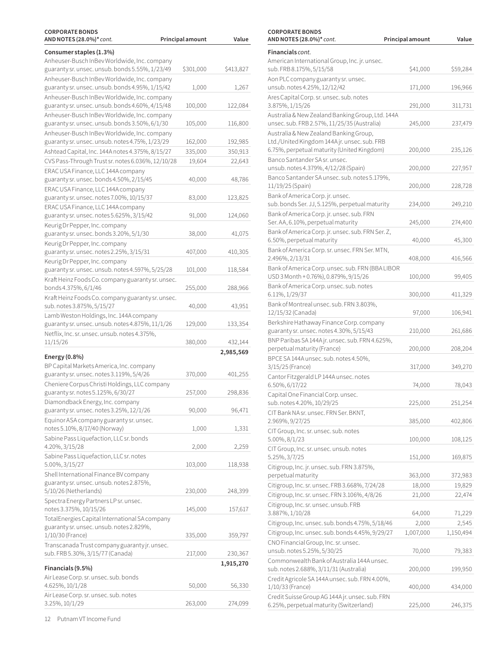| <b>CORPORATE BONDS</b><br>AND NOTES (28.0%)* cont.                                 | <b>Principal amount</b> | Value     |
|------------------------------------------------------------------------------------|-------------------------|-----------|
| Consumer staples (1.3%)                                                            |                         |           |
| Anheuser-Busch InBev Worldwide, Inc. company                                       |                         |           |
| guaranty sr. unsec. unsub. bonds 5.55%, 1/23/49                                    | \$301,000               | \$413,827 |
| Anheuser-Busch InBev Worldwide, Inc. company                                       |                         |           |
| guaranty sr. unsec. unsub. bonds 4.95%, 1/15/42                                    | 1,000                   | 1,267     |
| Anheuser-Busch InBev Worldwide, Inc. company                                       |                         |           |
| guaranty sr. unsec. unsub. bonds 4.60%, 4/15/48                                    | 100,000                 | 122,084   |
| Anheuser-Busch InBev Worldwide, Inc. company                                       |                         |           |
| guaranty sr. unsec. unsub. bonds 3.50%, 6/1/30                                     | 105,000                 | 116,800   |
| Anheuser-Busch InBev Worldwide, Inc. company                                       |                         |           |
| guaranty sr. unsec. unsub. notes 4.75%, 1/23/29                                    | 162,000                 | 192,985   |
| Ashtead Capital, Inc. 144A notes 4.375%, 8/15/27                                   | 335,000                 | 350,913   |
| CVS Pass-Through Trust sr. notes 6.036%, 12/10/28                                  | 19,604                  | 22,643    |
| ERAC USA Finance, LLC 144A company                                                 |                         |           |
| guaranty sr. unsec. bonds 4.50%, 2/15/45                                           | 40,000                  | 48,786    |
| ERAC USA Finance, LLC 144A company                                                 |                         |           |
| guaranty sr. unsec. notes 7.00%, 10/15/37                                          | 83,000                  | 123,825   |
| ERAC USA Finance, LLC 144A company                                                 |                         |           |
| guaranty sr. unsec. notes 5.625%, 3/15/42                                          | 91,000                  | 124,060   |
| Keurig Dr Pepper, Inc. company                                                     |                         |           |
| guaranty sr. unsec. bonds 3.20%, 5/1/30                                            | 38,000                  | 41,075    |
| Keurig Dr Pepper, Inc. company                                                     |                         |           |
| guaranty sr. unsec. notes 2.25%, 3/15/31                                           | 407,000                 | 410,305   |
| Keurig Dr Pepper, Inc. company                                                     |                         |           |
| guaranty sr. unsec. unsub. notes 4.597%, 5/25/28                                   | 101,000                 | 118,584   |
| Kraft Heinz Foods Co. company guaranty sr. unsec.                                  |                         |           |
| bonds 4.375%, 6/1/46                                                               | 255,000                 | 288,966   |
| Kraft Heinz Foods Co. company guaranty sr. unsec.                                  |                         |           |
| sub. notes 3.875%, 5/15/27                                                         | 40,000                  | 43,951    |
| Lamb Weston Holdings, Inc. 144A company                                            |                         |           |
| guaranty sr. unsec. unsub. notes 4.875%, 11/1/26                                   | 129,000                 | 133,354   |
| Netflix, Inc. sr. unsec. unsub. notes 4.375%,                                      |                         |           |
| 11/15/26                                                                           | 380,000                 | 432,144   |
|                                                                                    |                         | 2,985,569 |
| Energy (0.8%)                                                                      |                         |           |
| BP Capital Markets America, Inc. company                                           |                         |           |
| guaranty sr. unsec. notes 3.119%, 5/4/26                                           | 370,000                 | 401,255   |
| Cheniere Corpus Christi Holdings, LLC company                                      |                         |           |
| guaranty sr. notes 5.125%, 6/30/27                                                 | 257,000                 | 298,836   |
| Diamondback Energy, Inc. company                                                   |                         |           |
| guaranty sr. unsec. notes 3.25%, 12/1/26                                           | 90,000                  | 96,471    |
| Equinor ASA company guaranty sr. unsec.                                            |                         |           |
| notes 5.10%, 8/17/40 (Norway)                                                      | 1,000                   | 1,331     |
| Sabine Pass Liquefaction, LLC sr. bonds<br>4.20%, 3/15/28                          |                         |           |
|                                                                                    | 2,000                   | 2,259     |
| Sabine Pass Liquefaction, LLC sr. notes<br>5.00%, 3/15/27                          | 103,000                 | 118,938   |
|                                                                                    |                         |           |
| Shell International Finance BV company<br>guaranty sr. unsec. unsub. notes 2.875%, |                         |           |
| 5/10/26 (Netherlands)                                                              | 230,000                 | 248,399   |
| Spectra Energy Partners LP sr. unsec.                                              |                         |           |
| notes 3.375%, 10/15/26                                                             | 145,000                 | 157,617   |
| TotalEnergies Capital International SA company                                     |                         |           |
| guaranty sr. unsec. unsub. notes 2.829%,                                           |                         |           |
| 1/10/30 (France)                                                                   | 335,000                 | 359,797   |
| Transcanada Trust company guaranty jr. unsec.                                      |                         |           |
| sub. FRB 5.30%, 3/15/77 (Canada)                                                   | 217,000                 | 230,367   |
|                                                                                    |                         | 1,915,270 |
| Financials (9.5%)                                                                  |                         |           |
| Air Lease Corp. sr. unsec. sub. bonds                                              |                         |           |
| 4.625%, 10/1/28                                                                    | 50,000                  | 56,330    |
| Air Lease Corp. sr. unsec. sub. notes<br>3.25%, 10/1/29                            |                         |           |
|                                                                                    | 263,000                 | 274,099   |

| <b>CORPORATE BONDS</b><br>AND NOTES (28.0%)* cont.                                                                                   | Principal amount | Value     |
|--------------------------------------------------------------------------------------------------------------------------------------|------------------|-----------|
| Financials cont.                                                                                                                     |                  |           |
| American International Group, Inc. jr. unsec.                                                                                        |                  |           |
| sub. FRB 8.175%, 5/15/58                                                                                                             | \$41,000         | \$59,284  |
| Aon PLC company guaranty sr. unsec.<br>unsub. notes 4.25%, 12/12/42                                                                  | 171,000          | 196,966   |
| Ares Capital Corp. sr. unsec. sub. notes                                                                                             |                  |           |
| 3.875%, 1/15/26<br>Australia & New Zealand Banking Group, Ltd. 144A                                                                  | 291,000          | 311,731   |
| unsec. sub. FRB 2.57%, 11/25/35 (Australia)                                                                                          | 245,000          | 237,479   |
| Australia & New Zealand Banking Group,<br>Ltd./United Kingdom 144A jr. unsec. sub. FRB<br>6.75%, perpetual maturity (United Kingdom) | 200,000          | 235,126   |
| Banco Santander SA sr. unsec.<br>unsub. notes 4.379%, 4/12/28 (Spain)                                                                | 200,000          | 227,957   |
| Banco Santander SA unsec. sub. notes 5.179%,<br>11/19/25 (Spain)                                                                     | 200,000          | 228,728   |
| Bank of America Corp. jr. unsec.                                                                                                     |                  |           |
| sub. bonds Ser. JJ, 5.125%, perpetual maturity<br>Bank of America Corp. jr. unsec. sub. FRN                                          | 234,000          | 249,210   |
| Ser. AA, 6.10%, perpetual maturity                                                                                                   | 245,000          | 274,400   |
| Bank of America Corp. jr. unsec. sub. FRN Ser. Z,<br>6.50%, perpetual maturity                                                       | 40,000           | 45,300    |
| Bank of America Corp. sr. unsec. FRN Ser. MTN,<br>2.496%, 2/13/31                                                                    | 408,000          | 416,566   |
| Bank of America Corp. unsec. sub. FRN (BBA LIBOR                                                                                     |                  |           |
| USD 3 Month + 0.76%), 0.879%, 9/15/26                                                                                                | 100,000          | 99,405    |
| Bank of America Corp. unsec. sub. notes<br>6.11%, 1/29/37                                                                            | 300,000          | 411,329   |
| Bank of Montreal unsec. sub. FRN 3.803%,<br>12/15/32 (Canada)                                                                        | 97,000           | 106,941   |
| Berkshire Hathaway Finance Corp. company<br>guaranty sr. unsec. notes 4.30%, 5/15/43                                                 | 210,000          | 261,686   |
| BNP Paribas SA 144A jr. unsec. sub. FRN 4.625%,                                                                                      |                  |           |
| perpetual maturity (France)                                                                                                          | 200,000          | 208,204   |
| BPCE SA 144A unsec. sub. notes 4.50%,<br>3/15/25 (France)                                                                            | 317,000          | 349,270   |
| Cantor Fitzgerald LP 144A unsec. notes<br>6.50%, 6/17/22                                                                             | 74,000           | 78,043    |
| Capital One Financial Corp. unsec.<br>sub. notes 4.20%, 10/29/25                                                                     | 225,000          | 251,254   |
| CIT Bank NA sr. unsec. FRN Ser. BKNT,                                                                                                |                  |           |
| 2.969%, 9/27/25                                                                                                                      | 385,000          | 402,806   |
| CIT Group, Inc. sr. unsec. sub. notes<br>5.00%, 8/1/23                                                                               | 100,000          | 108,125   |
| CIT Group, Inc. sr. unsec. unsub. notes<br>5.25%, 3/7/25                                                                             | 151,000          | 169,875   |
| Citigroup, Inc. jr. unsec. sub. FRN 3.875%,                                                                                          | 363,000          | 372,983   |
| perpetual maturity<br>Citigroup, Inc. sr. unsec. FRB 3.668%, 7/24/28                                                                 | 18,000           | 19,829    |
| Citigroup, Inc. sr. unsec. FRN 3.106%, 4/8/26                                                                                        | 21,000           | 22,474    |
| Citigroup, Inc. sr. unsec. unsub. FRB                                                                                                |                  |           |
| 3.887%, 1/10/28                                                                                                                      | 64,000           | 71,229    |
| Citigroup, Inc. unsec. sub. bonds 4.75%, 5/18/46                                                                                     | 2,000            | 2,545     |
| Citigroup, Inc. unsec. sub. bonds 4.45%, 9/29/27                                                                                     | 1,007,000        | 1,150,494 |
| CNO Financial Group, Inc. sr. unsec.<br>unsub. notes 5.25%, 5/30/25                                                                  | 70,000           | 79,383    |
| Commonwealth Bank of Australia 144A unsec.                                                                                           |                  |           |
| sub. notes 2.688%, 3/11/31 (Australia)                                                                                               | 200,000          | 199,950   |
| Credit Agricole SA 144A unsec. sub. FRN 4.00%,<br>1/10/33 (France)                                                                   | 400,000          | 434,000   |
| Credit Suisse Group AG 144A jr. unsec. sub. FRN<br>6.25%, perpetual maturity (Switzerland)                                           | 225,000          | 246,375   |

12 Putnam VT Income Fund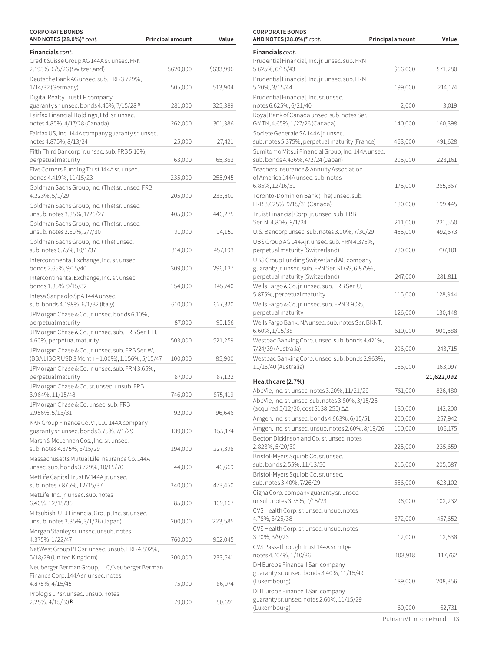| <b>CORPORATE BONDS</b><br>AND NOTES (28.0%)* cont.                                                   | Principal amount | Value     |
|------------------------------------------------------------------------------------------------------|------------------|-----------|
| Financials cont.                                                                                     |                  |           |
| Credit Suisse Group AG 144A sr. unsec. FRN                                                           |                  |           |
| 2.193%, 6/5/26 (Switzerland)                                                                         | \$620,000        | \$633,996 |
| Deutsche Bank AG unsec. sub. FRB 3.729%,<br>1/14/32 (Germany)                                        | 505,000          | 513,904   |
| Digital Realty Trust LP company<br>guaranty sr. unsec. bonds 4.45%, 7/15/28 R                        | 281,000          | 325,389   |
| Fairfax Financial Holdings, Ltd. sr. unsec.<br>notes 4.85%, 4/17/28 (Canada)                         | 262,000          | 301,386   |
| Fairfax US, Inc. 144A company guaranty sr. unsec.<br>notes 4.875%, 8/13/24                           | 25,000           | 27,421    |
| Fifth Third Bancorp jr. unsec. sub. FRB 5.10%,<br>perpetual maturity                                 | 63,000           | 65,363    |
| Five Corners Funding Trust 144A sr. unsec.                                                           |                  |           |
| bonds 4.419%, 11/15/23                                                                               | 235,000          | 255,945   |
| Goldman Sachs Group, Inc. (The) sr. unsec. FRB<br>4.223%, 5/1/29                                     | 205,000          | 233,801   |
| Goldman Sachs Group, Inc. (The) sr. unsec.<br>unsub. notes 3.85%, 1/26/27                            | 405,000          | 446,275   |
| Goldman Sachs Group, Inc. (The) sr. unsec.<br>unsub. notes 2.60%, 2/7/30                             | 91,000           | 94,151    |
| Goldman Sachs Group, Inc. (The) unsec.                                                               |                  |           |
| sub. notes 6.75%, 10/1/37                                                                            | 314,000          | 457,193   |
| Intercontinental Exchange, Inc. sr. unsec.<br>bonds 2.65%, 9/15/40                                   | 309,000          | 296,137   |
| Intercontinental Exchange, Inc. sr. unsec.<br>bonds 1.85%, 9/15/32                                   | 154,000          | 145,740   |
| Intesa Sanpaolo SpA 144A unsec.<br>sub. bonds 4.198%, 6/1/32 (Italy)                                 | 610,000          | 627,320   |
| JPMorgan Chase & Co. jr. unsec. bonds 6.10%,                                                         |                  |           |
| perpetual maturity                                                                                   | 87,000           | 95,156    |
| JPMorgan Chase & Co. jr. unsec. sub. FRB Ser. HH,<br>4.60%, perpetual maturity                       | 503,000          | 521,259   |
| JPMorgan Chase & Co. jr. unsec. sub. FRB Ser. W,<br>(BBA LIBOR USD 3 Month + 1.00%), 1.156%, 5/15/47 | 100,000          | 85,900    |
| JPMorgan Chase & Co. jr. unsec. sub. FRN 3.65%,<br>perpetual maturity                                | 87,000           | 87,122    |
| JPMorgan Chase & Co. sr. unsec. unsub. FRB<br>3.964%, 11/15/48                                       | 746,000          | 875,419   |
| JPMorgan Chase & Co. unsec. sub. FRB<br>2.956%, 5/13/31                                              | 92,000           | 96,646    |
| KKR Group Finance Co. VI, LLC 144A company<br>guaranty sr. unsec. bonds 3.75%, 7/1/29                | 139,000          | 155,174   |
| Marsh & McLennan Cos., Inc. sr. unsec.<br>sub. notes 4.375%, 3/15/29                                 | 194,000          | 227,398   |
| Massachusetts Mutual Life Insurance Co. 144A<br>unsec. sub. bonds 3.729%, 10/15/70                   | 44,000           | 46,669    |
| MetLife Capital Trust IV 144A jr. unsec.                                                             |                  |           |
| sub. notes 7.875%, 12/15/37<br>MetLife, Inc. jr. unsec. sub. notes                                   | 340,000          | 473,450   |
| 6.40%, 12/15/36<br>Mitsubishi UFJ Financial Group, Inc. sr. unsec.                                   | 85,000           | 109,167   |
| unsub. notes 3.85%, 3/1/26 (Japan)                                                                   | 200,000          | 223,585   |
| Morgan Stanley sr. unsec. unsub. notes<br>4.375%, 1/22/47                                            | 760,000          | 952,045   |
| NatWest Group PLC sr. unsec. unsub. FRB 4.892%,<br>5/18/29 (United Kingdom)                          | 200,000          | 233,641   |
| Neuberger Berman Group, LLC/Neuberger Berman<br>Finance Corp. 144A sr. unsec. notes                  |                  |           |
| 4.875%, 4/15/45                                                                                      | 75,000           | 86,974    |
| Prologis LP sr. unsec. unsub. notes<br>$2.25\%, 4/15/30$ R                                           | 79,000           | 80,691    |

| <b>CORPORATE BONDS</b><br>AND NOTES (28.0%)* cont.                                               | <b>Principal amount</b> | Value      |
|--------------------------------------------------------------------------------------------------|-------------------------|------------|
| Financials cont.                                                                                 |                         |            |
| Prudential Financial, Inc. jr. unsec. sub. FRN<br>5.625%, 6/15/43                                | \$66,000                | \$71,280   |
| Prudential Financial, Inc. jr. unsec. sub. FRN<br>5.20%, 3/15/44                                 | 199,000                 | 214,174    |
| Prudential Financial, Inc. sr. unsec.<br>notes 6.625%, 6/21/40                                   | 2,000                   | 3,019      |
| Royal Bank of Canada unsec. sub. notes Ser.<br>GMTN, 4.65%, 1/27/26 (Canada)                     | 140,000                 | 160,398    |
| Societe Generale SA 144A jr. unsec.<br>sub. notes 5.375%, perpetual maturity (France)            | 463,000                 | 491,628    |
| Sumitomo Mitsui Financial Group, Inc. 144A unsec.<br>sub. bonds 4.436%, 4/2/24 (Japan)           | 205,000                 | 223,161    |
| Teachers Insurance & Annuity Association<br>of America 144A unsec. sub. notes<br>6.85%, 12/16/39 | 175,000                 | 265,367    |
| Toronto-Dominion Bank (The) unsec. sub.<br>FRB 3.625%, 9/15/31 (Canada)                          | 180,000                 | 199,445    |
| Truist Financial Corp. jr. unsec. sub. FRB<br>Ser. N, 4.80%, 9/1/24                              | 211,000                 | 221,550    |
| U.S. Bancorp unsec. sub. notes 3.00%, 7/30/29                                                    | 455,000                 | 492,673    |
| UBS Group AG 144A jr. unsec. sub. FRN 4.375%,<br>perpetual maturity (Switzerland)                | 780,000                 | 797,101    |
| UBS Group Funding Switzerland AG company<br>guaranty jr. unsec. sub. FRN Ser. REGS, 6.875%,      |                         |            |
| perpetual maturity (Switzerland)                                                                 | 247,000                 | 281,811    |
| Wells Fargo & Co. jr. unsec. sub. FRB Ser. U,<br>5.875%, perpetual maturity                      | 115,000                 | 128,944    |
| Wells Fargo & Co. jr. unsec. sub. FRN 3.90%,<br>perpetual maturity                               | 126,000                 | 130,448    |
| Wells Fargo Bank, NA unsec. sub. notes Ser. BKNT,<br>6.60%, 1/15/38                              | 610,000                 | 900,588    |
| Westpac Banking Corp. unsec. sub. bonds 4.421%,<br>7/24/39 (Australia)                           | 206,000                 | 243,715    |
| Westpac Banking Corp. unsec. sub. bonds 2.963%,<br>11/16/40 (Australia)                          | 166,000                 | 163,097    |
| Health care (2.7%)                                                                               |                         | 21,622,092 |
| AbbVie, Inc. sr. unsec. notes 3.20%, 11/21/29                                                    | 761,000                 | 826,480    |
| AbbVie, Inc. sr. unsec. sub. notes 3.80%, 3/15/25<br>(acquired 5/12/20, cost \$138,255) ΔΔ       | 130,000                 | 142,200    |
| Amgen, Inc. sr. unsec. bonds 4.663%, 6/15/51                                                     | 200,000                 | 257,942    |
| Amgen, Inc. sr. unsec. unsub. notes 2.60%, 8/19/26<br>Becton Dickinson and Co. sr. unsec. notes  | 100,000                 | 106,175    |
| 2.823%, 5/20/30<br>Bristol-Myers Squibb Co. sr. unsec.                                           | 225,000                 | 235,659    |
| sub. bonds 2.55%, 11/13/50                                                                       | 215,000                 | 205,587    |
| Bristol-Myers Squibb Co. sr. unsec.<br>sub. notes 3.40%, 7/26/29                                 | 556,000                 | 623,102    |
| Cigna Corp. company guaranty sr. unsec.<br>unsub. notes 3.75%, 7/15/23                           | 96,000                  | 102,232    |
| CVS Health Corp. sr. unsec. unsub. notes<br>4.78%, 3/25/38                                       | 372,000                 | 457,652    |
| CVS Health Corp. sr. unsec. unsub. notes<br>3.70%, 3/9/23                                        | 12,000                  | 12,638     |
| CVS Pass-Through Trust 144A sr. mtge.<br>notes 4.704%, 1/10/36                                   | 103,918                 | 117,762    |
| DH Europe Finance II Sarl company<br>guaranty sr. unsec. bonds 3.40%, 11/15/49<br>(Luxembourg)   | 189,000                 | 208,356    |
| DH Europe Finance II Sarl company<br>guaranty sr. unsec. notes 2.60%, 11/15/29<br>(Luxembourg)   | 60,000                  | 62,731     |
|                                                                                                  |                         |            |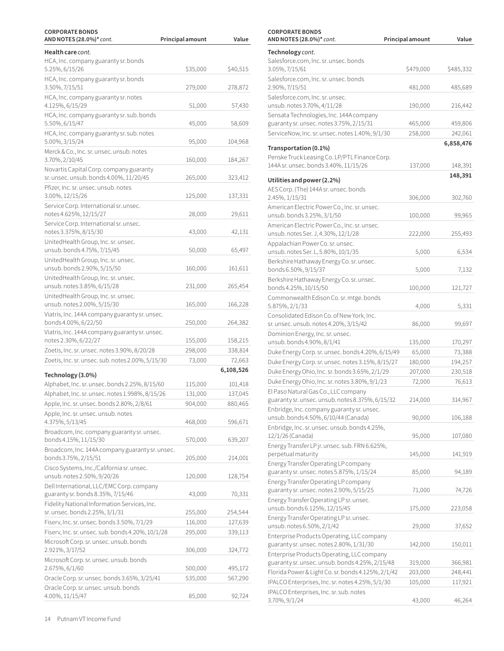| <b>CORPORATE BONDS</b><br>AND NOTES (28.0%)* cont.                                 | Principal amount | Value     |
|------------------------------------------------------------------------------------|------------------|-----------|
| Health care cont.                                                                  |                  |           |
| HCA, Inc. company guaranty sr. bonds<br>5.25%, 6/15/26                             | \$35,000         | \$40,515  |
| HCA, Inc. company guaranty sr. bonds<br>3.50%, 7/15/51                             | 279,000          | 278,872   |
| HCA, Inc. company guaranty sr. notes<br>4.125%, 6/15/29                            | 51,000           | 57,430    |
| HCA, Inc. company guaranty sr. sub. bonds<br>5.50%, 6/15/47                        | 45,000           | 58,609    |
| HCA, Inc. company guaranty sr. sub. notes<br>5.00%, 3/15/24                        | 95,000           | 104,968   |
| Merck & Co., Inc. sr. unsec. unsub. notes<br>3.70%, 2/10/45                        | 160,000          | 184,267   |
| Novartis Capital Corp. company guaranty<br>sr. unsec. unsub. bonds 4.00%, 11/20/45 | 265,000          | 323,412   |
| Pfizer, Inc. sr. unsec. unsub. notes<br>3.00%, 12/15/26                            | 125,000          | 137,331   |
| Service Corp. International sr. unsec.<br>notes 4.625%, 12/15/27                   | 28,000           | 29,611    |
| Service Corp. International sr. unsec.<br>notes 3.375%, 8/15/30                    | 43,000           | 42,131    |
| UnitedHealth Group, Inc. sr. unsec.<br>unsub. bonds 4.75%, 7/15/45                 | 50,000           | 65,497    |
| UnitedHealth Group, Inc. sr. unsec.<br>unsub. bonds 2.90%, 5/15/50                 | 160,000          | 161,611   |
| UnitedHealth Group, Inc. sr. unsec.<br>unsub. notes 3.85%, 6/15/28                 | 231,000          | 265,454   |
| UnitedHealth Group, Inc. sr. unsec.<br>unsub. notes 2.00%, 5/15/30                 | 165,000          | 166,228   |
| Viatris, Inc. 144A company guaranty sr. unsec.<br>bonds 4.00%, 6/22/50             | 250,000          | 264,382   |
| Viatris, Inc. 144A company guaranty sr. unsec.<br>notes 2.30%, 6/22/27             | 155,000          | 158,215   |
| Zoetis, Inc. sr. unsec. notes 3.90%, 8/20/28                                       | 298,000          | 338,814   |
| Zoetis, Inc. sr. unsec. sub. notes 2.00%, 5/15/30                                  | 73,000           | 72,663    |
| Technology (3.0%)                                                                  |                  | 6,108,526 |
| Alphabet, Inc. sr. unsec. bonds 2.25%, 8/15/60                                     | 115,000          | 101,418   |
| Alphabet, Inc. sr. unsec. notes 1.998%, 8/15/26                                    | 131,000          | 137,045   |
| Apple, Inc. sr. unsec. bonds 2.80%, 2/8/61                                         | 904,000          | 880,465   |
| Apple, Inc. sr. unsec. unsub. notes<br>4.375%, 5/13/45                             | 468,000          | 596,671   |
| Broadcom, Inc. company guaranty sr. unsec.<br>bonds 4.15%, 11/15/30                | 570,000          | 639,207   |
| Broadcom, Inc. 144A company guaranty sr. unsec.<br>bonds 3.75%, 2/15/51            | 205,000          | 214,001   |
| Cisco Systems, Inc./California sr. unsec.<br>unsub. notes 2.50%, 9/20/26           | 120,000          | 128,754   |
| Dell International, LLC/EMC Corp. company<br>guaranty sr. bonds 8.35%, 7/15/46     | 43,000           | 70,331    |
| Fidelity National Information Services, Inc.<br>sr. unsec. bonds 2.25%, 3/1/31     | 255,000          | 254,544   |
| Fiserv, Inc. sr. unsec. bonds 3.50%, 7/1/29                                        | 116,000          | 127,639   |
| Fiserv, Inc. sr. unsec. sub. bonds 4.20%, 10/1/28                                  | 295,000          | 339,113   |
| Microsoft Corp. sr. unsec. unsub. bonds<br>2.921%, 3/17/52                         | 306,000          | 324,772   |
| Microsoft Corp. sr. unsec. unsub. bonds<br>2.675%, 6/1/60                          | 500,000          | 495,172   |
| Oracle Corp. sr. unsec. bonds 3.65%, 3/25/41                                       | 535,000          | 567,290   |
| Oracle Corp. sr. unsec. unsub. bonds<br>4.00%, 11/15/47                            | 85,000           | 92,724    |

| <b>CORPORATE BONDS</b><br>AND NOTES (28.0%)* cont.                                       | <b>Principal amount</b> | Value              |
|------------------------------------------------------------------------------------------|-------------------------|--------------------|
| Technology cont.                                                                         |                         |                    |
| Salesforce.com, Inc. sr. unsec. bonds                                                    |                         |                    |
| 3.05%, 7/15/61                                                                           | \$479,000               | \$485,332          |
| Salesforce.com, Inc. sr. unsec. bonds<br>2.90%, 7/15/51                                  | 481,000                 | 485,689            |
| Salesforce.com, Inc. sr. unsec.<br>unsub. notes 3.70%, 4/11/28                           | 190,000                 | 216,442            |
| Sensata Technologies, Inc. 144A company                                                  |                         |                    |
| guaranty sr. unsec. notes 3.75%, 2/15/31                                                 | 465,000                 | 459,806            |
| ServiceNow, Inc. sr. unsec. notes 1.40%, 9/1/30                                          | 258,000                 | 242,061            |
| Transportation (0.1%)                                                                    |                         | 6,858,476          |
| Penske Truck Leasing Co. LP/PTL Finance Corp.                                            |                         |                    |
| 144A sr. unsec. bonds 3.40%, 11/15/26                                                    | 137,000                 | 148,391<br>148,391 |
| Utilities and power (2.2%)                                                               |                         |                    |
| AES Corp. (The) 144A sr. unsec. bonds                                                    |                         |                    |
| 2.45%, 1/15/31                                                                           | 306,000                 | 302,760            |
| American Electric Power Co., Inc. sr. unsec.<br>unsub. bonds 3.25%, 3/1/50               | 100,000                 | 99,965             |
| American Electric Power Co., Inc. sr. unsec.                                             |                         |                    |
| unsub. notes Ser. J, 4.30%, 12/1/28                                                      | 222,000                 | 255,493            |
| Appalachian Power Co. sr. unsec.<br>unsub. notes Ser. L, 5.80%, 10/1/35                  |                         | 6,534              |
| Berkshire Hathaway Energy Co. sr. unsec.                                                 | 5,000                   |                    |
| bonds 6.50%, 9/15/37                                                                     | 5,000                   | 7,132              |
| Berkshire Hathaway Energy Co. sr. unsec.<br>bonds 4.25%, 10/15/50                        | 100,000                 | 121,727            |
| Commonwealth Edison Co. sr. mtge. bonds<br>5.875%, 2/1/33                                | 4,000                   | 5,331              |
| Consolidated Edison Co. of New York, Inc.                                                |                         |                    |
| sr. unsec. unsub. notes 4.20%, 3/15/42                                                   | 86,000                  | 99,697             |
| Dominion Energy, Inc. sr. unsec.<br>unsub. bonds 4.90%, 8/1/41                           | 135,000                 | 170,297            |
| Duke Energy Corp. sr. unsec. bonds 4.20%, 6/15/49                                        | 65,000                  | 73,388             |
| Duke Energy Corp. sr. unsec. notes 3.15%, 8/15/27                                        | 180,000                 | 194,257            |
| Duke Energy Ohio, Inc. sr. bonds 3.65%, 2/1/29                                           | 207,000                 | 230,518            |
| Duke Energy Ohio, Inc. sr. notes 3.80%, 9/1/23                                           | 72,000                  | 76,613             |
| El Paso Natural Gas Co., LLC company<br>guaranty sr. unsec. unsub. notes 8.375%, 6/15/32 | 214,000                 | 314,967            |
| Enbridge, Inc. company guaranty sr. unsec.                                               |                         |                    |
| unsub. bonds 4.50%, 6/10/44 (Canada)                                                     | 90,000                  | 106,188            |
| Enbridge, Inc. sr. unsec. unsub. bonds 4.25%,<br>12/1/26 (Canada)                        | 95,000                  | 107,080            |
| Energy Transfer LP jr. unsec. sub. FRN 6.625%,                                           |                         |                    |
| perpetual maturity                                                                       | 145,000                 | 141,919            |
| Energy Transfer Operating LP company<br>guaranty sr. unsec. notes 5.875%, 1/15/24        | 85,000                  | 94,189             |
| Energy Transfer Operating LP company                                                     | 71,000                  |                    |
| guaranty sr. unsec. notes 2.90%, 5/15/25<br>Energy Transfer Operating LP sr. unsec.      |                         | 74,726             |
| unsub. bonds 6.125%, 12/15/45                                                            | 175,000                 | 223,058            |
| Energy Transfer Operating LP sr. unsec.<br>unsub.notes 6.50%, 2/1/42                     | 29,000                  | 37,652             |
| Enterprise Products Operating, LLC company<br>guaranty sr. unsec. notes 2.80%, 1/31/30   | 142,000                 | 150,011            |
| Enterprise Products Operating, LLC company                                               |                         |                    |
| guaranty sr. unsec. unsub. bonds 4.25%, 2/15/48                                          | 319,000                 | 366,981            |
| Florida Power & Light Co. sr. bonds 4.125%, 2/1/42                                       | 203,000                 | 248,441            |
| IPALCO Enterprises, Inc. sr. notes 4.25%, 5/1/30                                         | 105,000                 | 117,921            |
| IPALCO Enterprises, Inc. sr. sub. notes<br>3.70%, 9/1/24                                 | 43,000                  | 46,264             |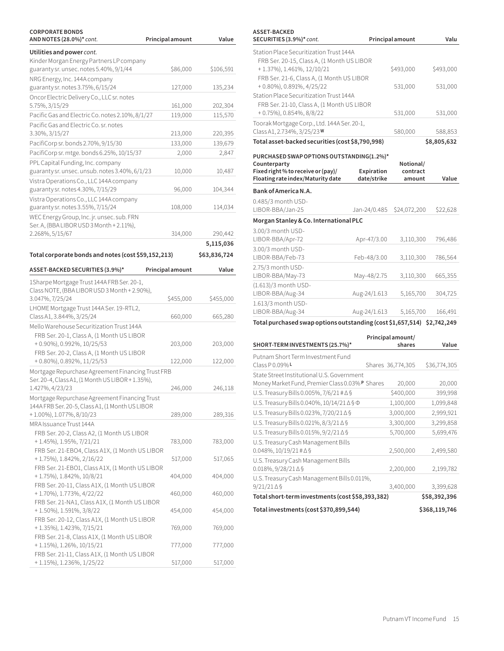| <b>CORPORATE BONDS</b><br>AND NOTES (28.0%)* cont.                                                    | <b>Principal amount</b> | Value        |
|-------------------------------------------------------------------------------------------------------|-------------------------|--------------|
| Utilities and power cont.                                                                             |                         |              |
| Kinder Morgan Energy Partners LP company                                                              |                         |              |
| guaranty sr. unsec. notes 5.40%, 9/1/44                                                               | \$86,000                | \$106,591    |
| NRG Energy, Inc. 144A company<br>guaranty sr. notes 3.75%, 6/15/24                                    | 127,000                 | 135,234      |
| Oncor Electric Delivery Co., LLC sr. notes                                                            |                         |              |
| 5.75%, 3/15/29                                                                                        | 161,000                 | 202,304      |
| Pacific Gas and Electric Co. notes 2.10%, 8/1/27                                                      | 119,000                 | 115,570      |
| Pacific Gas and Electric Co. sr. notes                                                                |                         |              |
| 3.30%, 3/15/27<br>PacifiCorp sr. bonds 2.70%, 9/15/30                                                 | 213,000                 | 220,395      |
| PacifiCorp sr. mtge. bonds 6.25%, 10/15/37                                                            | 133,000                 | 139,679      |
|                                                                                                       | 2,000                   | 2,847        |
| PPL Capital Funding, Inc. company<br>guaranty sr. unsec. unsub. notes 3.40%, 6/1/23                   | 10,000                  | 10,487       |
| Vistra Operations Co., LLC 144A company                                                               |                         |              |
| guaranty sr. notes 4.30%, 7/15/29                                                                     | 96,000                  | 104,344      |
| Vistra Operations Co., LLC 144A company<br>guaranty sr. notes 3.55%, 7/15/24                          | 108,000                 | 114,034      |
| WEC Energy Group, Inc. jr. unsec. sub. FRN<br>Ser. A, (BBA LIBOR USD 3 Month + 2.11%),                |                         |              |
| 2.268%, 5/15/67                                                                                       | 314,000                 | 290,442      |
|                                                                                                       |                         | 5,115,036    |
| Total corporate bonds and notes (cost \$59,152,213)                                                   |                         | \$63,836,724 |
| ASSET-BACKED SECURITIES (3.9%)*                                                                       | <b>Principal amount</b> | Value        |
| 1Sharpe Mortgage Trust 144A FRB Ser. 20-1,<br>Class NOTE, (BBA LIBOR USD 3 Month + 2.90%),            |                         |              |
| 3.047%, 7/25/24                                                                                       | \$455,000               | \$455,000    |
| LHOME Mortgage Trust 144A Ser. 19-RTL2,<br>Class A1, 3.844%, 3/25/24                                  | 660,000                 | 665,280      |
| Mello Warehouse Securitization Trust 144A                                                             |                         |              |
| FRB Ser. 20-1, Class A, (1 Month US LIBOR                                                             |                         |              |
| + 0.90%), 0.992%, 10/25/53                                                                            | 203,000                 | 203,000      |
| FRB Ser. 20-2, Class A, (1 Month US LIBOR                                                             |                         |              |
| $+0.80\%$ , 0.892%, 11/25/53                                                                          | 122,000                 | 122,000      |
| Mortgage Repurchase Agreement Financing Trust FRB<br>Ser. 20-4, Class A1, (1 Month US LIBOR + 1.35%), |                         |              |
| 1.427%, 4/23/23                                                                                       | 246,000                 | 246,118      |
| Mortgage Repurchase Agreement Financing Trust                                                         |                         |              |
| 144A FRB Ser. 20-5, Class A1, (1 Month US LIBOR<br>$+1.00\%$ , 1.077%, 8/10/23                        | 289,000                 | 289,316      |
| MRA Issuance Trust 144A                                                                               |                         |              |
| FRB Ser. 20-2, Class A2, (1 Month US LIBOR                                                            |                         |              |
| +1.45%), 1.95%, 7/21/21                                                                               | 783,000                 | 783,000      |
| FRB Ser. 21-EBO4, Class A1X, (1 Month US LIBOR                                                        |                         |              |
| +1.75%), 1.842%, 2/16/22                                                                              | 517,000                 | 517,065      |
| FRB Ser. 21-EBO1, Class A1X, (1 Month US LIBOR<br>+1.75%), 1.842%, 10/8/21                            | 404,000                 | 404,000      |
| FRB Ser. 20-11, Class A1X, (1 Month US LIBOR                                                          |                         |              |
| +1.70%), 1.773%, 4/22/22                                                                              | 460,000                 | 460,000      |
| FRB Ser. 21-NA1, Class A1X, (1 Month US LIBOR                                                         |                         |              |
| + 1.50%), 1.591%, 3/8/22                                                                              | 454,000                 | 454,000      |
| FRB Ser. 20-12, Class A1X, (1 Month US LIBOR<br>+ 1.35%), 1.423%, 7/15/21                             | 769,000                 | 769,000      |
| FRB Ser. 21-8, Class A1X, (1 Month US LIBOR                                                           |                         |              |
| $+1.15\%$ , 1.26%, 10/15/21                                                                           | 777,000                 | 777,000      |
| FRB Ser. 21-11, Class A1X, (1 Month US LIBOR                                                          |                         |              |
| +1.15%), 1.236%, 1/25/22                                                                              | 517,000                 | 517,000      |

| <b>ASSET-BACKED</b><br>SECURITIES (3.9%)* cont.                                                     |                                  | Principal amount     | Valu                 |
|-----------------------------------------------------------------------------------------------------|----------------------------------|----------------------|----------------------|
| Station Place Securitization Trust 144A<br>FRB Ser. 20-15, Class A, (1 Month US LIBOR               |                                  |                      |                      |
| +1.37%), 1.461%, 12/10/21<br>FRB Ser. 21-6, Class A, (1 Month US LIBOR<br>+ 0.80%), 0.891%, 4/25/22 |                                  | \$493,000<br>531,000 | \$493,000<br>531,000 |
| Station Place Securitization Trust 144A                                                             |                                  |                      |                      |
| FRB Ser. 21-10, Class A, (1 Month US LIBOR<br>+ 0.75%), 0.854%, 8/8/22                              |                                  | 531,000              | 531,000              |
| Toorak Mortgage Corp., Ltd. 144A Ser. 20-1,<br>Class A1, 2.734%, 3/25/23W                           |                                  | 580,000              | 588,853              |
| Total asset-backed securities (cost \$8,790,998)                                                    |                                  |                      | \$8,805,632          |
| PURCHASED SWAP OPTIONS OUTSTANDING(1.2%)*                                                           |                                  |                      |                      |
| Counterparty                                                                                        |                                  | Notional/            |                      |
| Fixed right % to receive or (pay)/<br>Floating rate index/Maturity date                             | <b>Expiration</b><br>date/strike | contract<br>amount   | Value                |
| Bank of America N.A.                                                                                |                                  |                      |                      |
| 0.485/3 month USD-<br>LIBOR-BBA/Jan-25                                                              | Jan-24/0.485                     | \$24,072,200         | \$22,628             |
| Morgan Stanley & Co. International PLC                                                              |                                  |                      |                      |
| 3.00/3 month USD-<br>LIBOR-BBA/Apr-72                                                               | Apr-47/3.00                      | 3,110,300            | 796,486              |
| 3.00/3 month USD-<br>LIBOR-BBA/Feb-73                                                               | Feb-48/3.00                      | 3,110,300            | 786,564              |
| 2.75/3 month USD-<br>LIBOR-BBA/May-73                                                               | May-48/2.75                      | 3,110,300            | 665,355              |
| (1.613)/3 month USD-<br>LIBOR-BBA/Aug-34                                                            | Aug-24/1.613                     | 5,165,700            | 304,725              |
| 1.613/3 month USD-<br>LIBOR-BBA/Aug-34                                                              | Aug-24/1.613                     | 5,165,700            | 166,491              |
| Total purchased swap options outstanding (cost \$1,657,514) \$2,742,249                             |                                  |                      |                      |
|                                                                                                     |                                  | Principal amount/    |                      |
| SHORT-TERM INVESTMENTS (25.7%)*                                                                     |                                  | shares               | Value                |

| <b>SHURI-IERMINVESIMENIS(23.1%)</b>                  | suares            | value         |
|------------------------------------------------------|-------------------|---------------|
| Putnam Short Term Investment Fund<br>Class P 0.09% L | Shares 36,774,305 | \$36,774,305  |
|                                                      |                   |               |
| State Street Institutional U.S. Government           |                   |               |
| Money Market Fund, Premier Class 0.03% P Shares      | 20,000            | 20,000        |
| U.S. Treasury Bills 0.005%, 7/6/21 # △§              | \$400,000         | 399,998       |
| U.S. Treasury Bills 0.040%, 10/14/21 ∆§ Ф            | 1,100,000         | 1,099,848     |
| U.S. Treasury Bills 0.023%, 7/20/21△§                | 3,000,000         | 2,999,921     |
| U.S. Treasury Bills 0.021%, 8/3/21△§                 | 3,300,000         | 3,299,858     |
| U.S. Treasury Bills 0.015%, 9/2/21△§                 | 5,700,000         | 5,699,476     |
| U.S. Treasury Cash Management Bills                  |                   |               |
| $0.048\%, 10/19/21 \,\texttt{\#} \Delta \S$          | 2,500,000         | 2,499,580     |
| U.S. Treasury Cash Management Bills                  |                   |               |
| $0.018\%, 9/28/21 \Delta$ §                          | 2,200,000         | 2,199,782     |
| U.S. Treasury Cash Management Bills 0.011%,          |                   |               |
| $9/21/21\Delta$ §                                    | 3,400,000         | 3,399,628     |
| Total short-term investments (cost \$58,393,382)     |                   | \$58,392,396  |
| Total investments (cost \$370,899,544)               |                   | \$368,119,746 |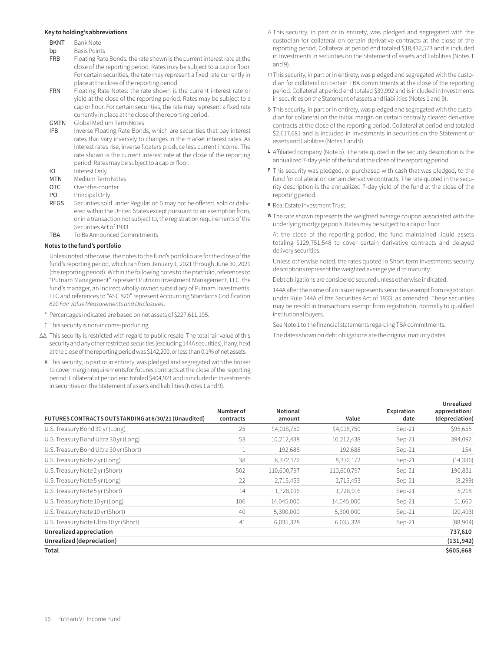#### **Key to holding's abbreviations**

- BKNT Bank Note
- bp Basis Points
- FRB Floating Rate Bonds: the rate shown is the current interest rate at the close of the reporting period. Rates may be subject to a cap or floor. For certain securities, the rate may represent a fixed rate currently in place at the close of the reporting period.
- FRN Floating Rate Notes: the rate shown is the current interest rate or yield at the close of the reporting period. Rates may be subject to a cap or floor. For certain securities, the rate may represent a fixed rate currently in place at the close of the reporting period.
- GMTN Global Medium Term Notes
- IFB Inverse Floating Rate Bonds, which are securities that pay interest rates that vary inversely to changes in the market interest rates. As interest rates rise, inverse floaters produce less current income. The rate shown is the current interest rate at the close of the reporting period. Rates may be subject to a cap or floor.
- IO Interest Only
- MTN Medium Term Notes
- OTC Over-the-counter
- PO Principal Only
- REGS Securities sold under Regulation S may not be offered, sold or delivered within the United States except pursuant to an exemption from, or in a transaction not subject to, the registration requirements of the Securities Act of 1933.
- TBA To Be Announced Commitments

#### **Notes to the fund's portfolio**

Unless noted otherwise, the notes to the fund's portfolio are for the close of the fund's reporting period, which ran from January 1, 2021 through June 30, 2021 (the reporting period). Within the following notes to the portfolio, references to "Putnam Management" represent Putnam Investment Management, LLC, the fund's manager, an indirect wholly-owned subsidiary of Putnam Investments, LLC and references to "ASC 820" represent Accounting Standards Codification 820 *Fair Value Measurements and Disclosures*.

- \* Percentages indicated are based on net assets of \$227,611,195.
- † This security is non-income-producing.
- ∆∆ This security is restricted with regard to public resale. The total fair value of this security and any other restricted securities (excluding 144A securities), if any, held at the close of the reporting period was \$142,200, or less than 0.1% of net assets.
- # This security, in part or in entirety, was pledged and segregated with the broker to cover margin requirements for futures contracts at the close of the reporting period. Collateral at period end totaled \$404,921 and is included in Investments in securities on the Statement of assets and liabilities (Notes 1 and 9).
- ∆ This security, in part or in entirety, was pledged and segregated with the custodian for collateral on certain derivative contracts at the close of the reporting period. Collateral at period end totaled \$18,432,573 and is included in Investments in securities on the Statement of assets and liabilities (Notes 1 and 9).
- ΦThis security, in part or in entirety, was pledged and segregated with the custodian for collateral on certain TBA commitments at the close of the reporting period. Collateral at period end totaled \$39,992 and is included in Investments in securities on the Statement of assets and liabilities (Notes 1 and 9).
- § This security, in part or in entirety, was pledged and segregated with the custodian for collateral on the initial margin on certain centrally cleared derivative contracts at the close of the reporting period. Collateral at period end totaled \$2,617,681 and is included in Investments in securities on the Statement of assets and liabilities (Notes 1 and 9).
- **<sup>L</sup>** Affiliated company (Note 5). The rate quoted in the security description is the annualized 7-day yield of the fund at the close of the reporting period.
- **<sup>P</sup>** This security was pledged, or purchased with cash that was pledged, to the fund for collateral on certain derivative contracts. The rate quoted in the security description is the annualized 7-day yield of the fund at the close of the reporting period.
- **<sup>R</sup>** Real Estate Investment Trust.
- **<sup>W</sup>** The rate shown represents the weighted average coupon associated with the underlying mortgage pools. Rates may be subject to a cap or floor.

At the close of the reporting period, the fund maintained liquid assets totaling \$129,751,548 to cover certain derivative contracts and delayed delivery securities.

Unless otherwise noted, the rates quoted in Short-term investments security descriptions represent the weighted average yield to maturity.

Debt obligations are considered secured unless otherwise indicated.

144A after the name of an issuer represents securities exempt from registration under Rule 144A of the Securities Act of 1933, as amended. These securities may be resold in transactions exempt from registration, normally to qualified institutional buyers.

See Note 1 to the financial statements regarding TBA commitments.

The dates shown on debt obligations are the original maturity dates.

| FUTURES CONTRACTS OUTSTANDING at 6/30/21 (Unaudited) | Number of<br>contracts | Notional<br>amount | Value       | Expiration<br>date | Unrealized<br>appreciation/<br>(depreciation) |
|------------------------------------------------------|------------------------|--------------------|-------------|--------------------|-----------------------------------------------|
| U.S. Treasury Bond 30 yr (Long)                      | 25                     | \$4,018,750        | \$4,018,750 | Sep-21             | \$95,655                                      |
| U.S. Treasury Bond Ultra 30 yr (Long)                | 53                     | 10,212,438         | 10,212,438  | Sep-21             | 394,092                                       |
| U.S. Treasury Bond Ultra 30 yr (Short)               |                        | 192,688            | 192,688     | Sep-21             | 154                                           |
| U.S. Treasury Note 2 yr (Long)                       | 38                     | 8,372,172          | 8,372,172   | Sep-21             | (14, 336)                                     |
| U.S. Treasury Note 2 yr (Short)                      | 502                    | 110,600,797        | 110,600,797 | Sep-21             | 190,831                                       |
| U.S. Treasury Note 5 yr (Long)                       | 22                     | 2,715,453          | 2,715,453   | Sep-21             | (8, 299)                                      |
| U.S. Treasury Note 5 yr (Short)                      | 14                     | 1,728,016          | 1,728,016   | Sep-21             | 5,218                                         |
| U.S. Treasury Note 10 yr (Long)                      | 106                    | 14,045,000         | 14,045,000  | Sep-21             | 51,660                                        |
| U.S. Treasury Note 10 yr (Short)                     | 40                     | 5,300,000          | 5,300,000   | Sep-21             | (20, 403)                                     |
| U.S. Treasury Note Ultra 10 yr (Short)               | 41                     | 6,035,328          | 6,035,328   | $Sep-21$           | (88,904)                                      |
| Unrealized appreciation                              |                        |                    |             |                    | 737,610                                       |
| Unrealized (depreciation)                            |                        |                    |             |                    | (131, 942)                                    |
| Total                                                |                        |                    |             |                    | \$605,668                                     |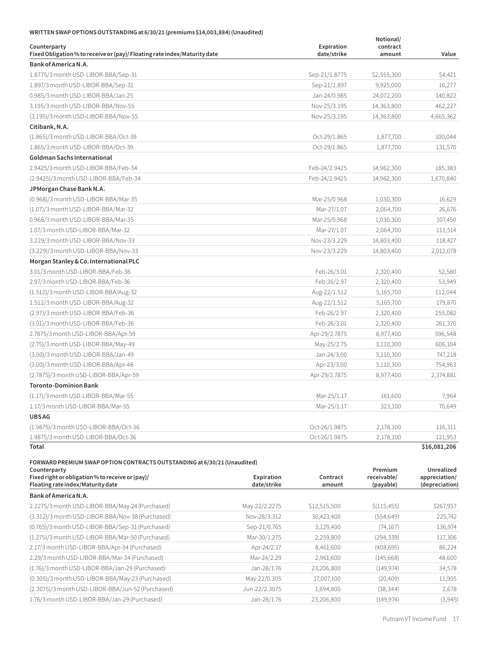#### **WRITTEN SWAP OPTIONS OUTSTANDING at 6/30/21 (premiums \$14,003,884) (Unaudited)**

| Counterparty<br>Fixed Obligation % to receive or (pay)/ Floating rate index/Maturity date | Expiration<br>date/strike | Notional/<br>contract<br>amount | Value        |
|-------------------------------------------------------------------------------------------|---------------------------|---------------------------------|--------------|
| Bank of America N.A.                                                                      |                           |                                 |              |
| 1.8775/3 month USD-LIBOR-BBA/Sep-31                                                       | Sep-21/1.8775             | \$2,555,300                     | \$4,421      |
| 1.897/3 month USD-LIBOR-BBA/Sep-31                                                        | Sep-21/1.897              | 9,925,000                       | 16,277       |
| 0.985/3 month USD-LIBOR-BBA/Jan-25                                                        | Jan-24/0.985              | 24,072,200                      | 140,822      |
| 3.195/3 month USD-LIBOR-BBA/Nov-55                                                        | Nov-25/3.195              | 14,363,800                      | 462,227      |
| (3.195)/3 month USD-LIBOR-BBA/Nov-55                                                      | Nov-25/3.195              | 14,363,800                      | 4,665,362    |
| Citibank, N.A.                                                                            |                           |                                 |              |
| (1.865)/3 month USD-LIBOR-BBA/Oct-39                                                      | Oct-29/1.865              | 1,877,700                       | 100,044      |
| 1.865/3 month USD-LIBOR-BBA/Oct-39                                                        | Oct-29/1.865              | 1,877,700                       | 131,570      |
| Goldman Sachs International                                                               |                           |                                 |              |
| 2.9425/3 month USD-LIBOR-BBA/Feb-34                                                       | Feb-24/2.9425             | 14,962,300                      | 185,383      |
| (2.9425)/3 month USD-LIBOR-BBA/Feb-34                                                     | Feb-24/2.9425             | 14,962,300                      | 1,670,840    |
| JPMorgan Chase Bank N.A.                                                                  |                           |                                 |              |
| (0.968)/3 month USD-LIBOR-BBA/Mar-35                                                      | Mar-25/0.968              | 1,030,300                       | 16,629       |
| (1.07)/3 month USD-LIBOR-BBA/Mar-32                                                       | Mar-27/1.07               | 2,064,700                       | 26,676       |
| 0.968/3 month USD-LIBOR-BBA/Mar-35                                                        | Mar-25/0.968              | 1,030,300                       | 107,450      |
| 1.07/3 month USD-LIBOR-BBA/Mar-32                                                         | Mar-27/1.07               | 2,064,700                       | 111,514      |
| 3.229/3 month USD-LIBOR-BBA/Nov-33                                                        | Nov-23/3.229              | 14,803,400                      | 118,427      |
| (3.229)/3 month USD-LIBOR-BBA/Nov-33                                                      | Nov-23/3.229              | 14,803,400                      | 2,012,078    |
| Morgan Stanley & Co. International PLC                                                    |                           |                                 |              |
| 3.01/3 month USD-LIBOR-BBA/Feb-36                                                         | Feb-26/3.01               | 2,320,400                       | 52,580       |
| 2.97/3 month USD-LIBOR-BBA/Feb-36                                                         | Feb-26/2.97               | 2,320,400                       | 53,949       |
| (1.512)/3 month USD-LIBOR-BBA/Aug-32                                                      | Aug-22/1.512              | 5,165,700                       | 112,044      |
| 1.512/3 month USD-LIBOR-BBA/Aug-32                                                        | Aug-22/1.512              | 5,165,700                       | 179,870      |
| (2.97)/3 month USD-LIBOR-BBA/Feb-36                                                       | Feb-26/2.97               | 2,320,400                       | 255,082      |
| (3.01)/3 month USD-LIBOR-BBA/Feb-36                                                       | Feb-26/3.01               | 2,320,400                       | 261,370      |
| 2.7875/3 month USD-LIBOR-BBA/Apr-59                                                       | Apr-29/2.7875             | 8,977,400                       | 596,548      |
| (2.75)/3 month USD-LIBOR-BBA/May-49                                                       | May-25/2.75               | 3,110,300                       | 606,104      |
| (3.00)/3 month USD-LIBOR-BBA/Jan-49                                                       | Jan-24/3.00               | 3,110,300                       | 747,218      |
| (3.00)/3 month USD-LIBOR-BBA/Apr-48                                                       | Apr-23/3.00               | 3,110,300                       | 754,963      |
| (2.7875)/3 month USD-LIBOR-BBA/Apr-59                                                     | Apr-29/2.7875             | 8,977,400                       | 2,374,881    |
| <b>Toronto-Dominion Bank</b>                                                              |                           |                                 |              |
| (1.17)/3 month USD-LIBOR-BBA/Mar-55                                                       | Mar-25/1.17               | 161,600                         | 7,964        |
| 1.17/3 month USD-LIBOR-BBA/Mar-55                                                         | Mar-25/1.17               | 323,100                         | 70,649       |
| <b>UBSAG</b>                                                                              |                           |                                 |              |
| (1.9875)/3 month USD-LIBOR-BBA/Oct-36                                                     | Oct-26/1.9875             | 2,178,100                       | 116,311      |
| 1.9875/3 month USD-LIBOR-BBA/Oct-36                                                       | Oct-26/1.9875             | 2,178,100                       | 121,953      |
| Total                                                                                     |                           |                                 | \$16,081,206 |
| FORWARD PREMIUM SWAP OPTION CONTRACTS OUTSTANDING at 6/30/21 (Unaudited)<br>Counterparty  |                           | Premium                         | Unrealized   |

| <b>COMILCIPALLY</b><br>Fixed right or obligation % to receive or (pay)/<br>Floating rate index/Maturity date | Expiration<br>date/strike | Contract<br>amount | .<br>receivable/<br>(payable) | <u>UIILLULLU</u><br>appreciation/<br>(depreciation) |
|--------------------------------------------------------------------------------------------------------------|---------------------------|--------------------|-------------------------------|-----------------------------------------------------|
| Bank of America N.A.                                                                                         |                           |                    |                               |                                                     |
| 2.2275/3 month USD-LIBOR-BBA/May-24 (Purchased)                                                              | May-22/2.2275             | \$12,515,500       | \$(115, 455)                  | \$267,957                                           |
| (3.312)/3 month USD-LIBOR-BBA/Nov-38 (Purchased)                                                             | Nov-28/3.312              | 30,423,400         | (554, 649)                    | 225,742                                             |
| (0.765)/3 month USD-LIBOR-BBA/Sep-31 (Purchased)                                                             | Sep-21/0.765              | 3,129,400          | (74, 167)                     | 136,974                                             |
| (1.275)/3 month USD-LIBOR-BBA/Mar-50 (Purchased)                                                             | Mar-30/1.275              | 2,259,800          | (294, 339)                    | 117,306                                             |
| 2.17/3 month USD-LIBOR-BBA/Apr-34 (Purchased)                                                                | Apr-24/2.17               | 8,461,600          | (408, 695)                    | 86,224                                              |
| 2.29/3 month USD-LIBOR-BBA/Mar-34 (Purchased)                                                                | Mar-24/2.29               | 2,961,600          | (145, 668)                    | 48,600                                              |
| (1.76)/3 month USD-LIBOR-BBA/Jan-29 (Purchased)                                                              | Jan-28/1.76               | 23,206,800         | (149, 974)                    | 34,578                                              |
| (0.305)/3 month USD-LIBOR-BBA/May-23 (Purchased)                                                             | May-22/0.305              | 17,007,100         | (20, 409)                     | 11,905                                              |
| (2.3075)/3 month USD-LIBOR-BBA/Jun-52 (Purchased)                                                            | Jun-22/2.3075             | 1,694,800          | (38, 344)                     | 2,678                                               |
| 1.76/3 month USD-LIBOR-BBA/Jan-29 (Purchased)                                                                | Jan-28/1.76               | 23,206,800         | (149, 974)                    | (3,945)                                             |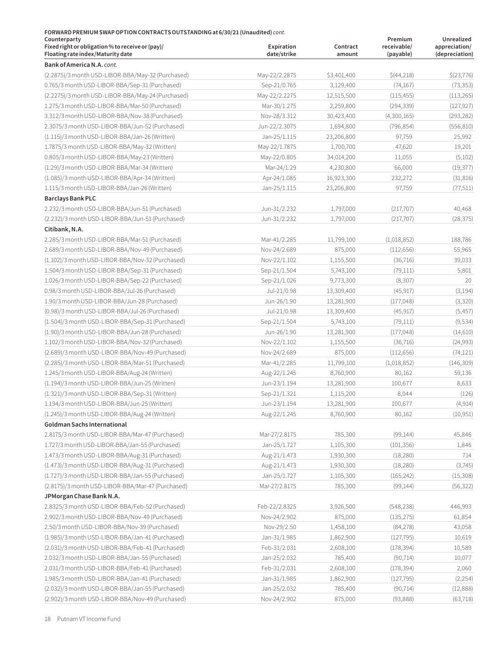#### **FORWARD PREMIUM SWAP OPTION CONTRACTS OUTSTANDING at 6/30/21 (Unaudited)** *cont.*

| Counterparty |
|--------------|
|--------------|

| Counterparty<br>Fixed right or obligation % to receive or (pay)/ | Expiration    | Contract    | Premium<br>receivable/ | Unrealized<br>appreciation/ |
|------------------------------------------------------------------|---------------|-------------|------------------------|-----------------------------|
| Floating rate index/Maturity date                                | date/strike   | amount      | (payable)              | (depreciation)              |
| Bank of America N.A. cont.                                       |               |             |                        |                             |
| (2.2875)/3 month USD-LIBOR-BBA/May-32 (Purchased)                | May-22/2.2875 | \$3,401,400 | \$ (44, 218)           | \$(23, 776)                 |
| 0.765/3 month USD-LIBOR-BBA/Sep-31 (Purchased)                   | Sep-21/0.765  | 3,129,400   | (74, 167)              | (73, 353)                   |
| (2.2275)/3 month USD-LIBOR-BBA/May-24 (Purchased)                | May-22/2.2275 | 12,515,500  | (115, 455)             | (113, 265)                  |
| 1.275/3 month USD-LIBOR-BBA/Mar-50 (Purchased)                   | Mar-30/1.275  | 2,259,800   | (294, 339)             | (127, 927)                  |
| 3.312/3 month USD-LIBOR-BBA/Nov-38 (Purchased)                   | Nov-28/3.312  | 30,423,400  | (4,300,165)            | (293, 282)                  |
| 2.3075/3 month USD-LIBOR-BBA/Jun-52 (Purchased)                  | Jun-22/2.3075 | 1,694,800   | (796, 854)             | (556, 810)                  |
| (1.115)/3 month USD-LIBOR-BBA/Jan-26 (Written)                   | Jan-25/1.115  | 23,206,800  | 97,759                 | 25,992                      |
| 1.7875/3 month USD-LIBOR-BBA/May-32 (Written)                    | May-22/1.7875 | 1,700,700   | 47,620                 | 19,201                      |
| 0.805/3 month USD-LIBOR-BBA/May-23 (Written)                     | May-22/0.805  | 34,014,200  | 11,055                 | (5,102)                     |
| (1.29)/3 month USD-LIBOR-BBA/Mar-34 (Written)                    | Mar-24/1.29   | 4,230,800   | 66,000                 | (19, 377)                   |
| (1.085)/3 month USD-LIBOR-BBA/Apr-34 (Written)                   | Apr-24/1.085  | 16,923,300  | 232,272                | (31, 816)                   |
| 1.115/3 month USD-LIBOR-BBA/Jan-26 (Written)                     | Jan-25/1.115  | 23,206,800  | 97,759                 | (77, 511)                   |
| <b>Barclays Bank PLC</b>                                         |               |             |                        |                             |
| 2.232/3 month USD-LIBOR-BBA/Jun-51 (Purchased)                   | Jun-31/2.232  | 1,797,000   | (217, 707)             | 40,468                      |
| (2.232)/3 month USD-LIBOR-BBA/Jun-51 (Purchased)                 | Jun-31/2.232  | 1,797,000   | (217, 707)             | (28, 375)                   |
| Citibank, N.A.                                                   |               |             |                        |                             |
| 2.285/3 month USD-LIBOR-BBA/Mar-51 (Purchased)                   | Mar-41/2.285  | 11,799,100  | (1,018,852)            | 188,786                     |
| 2.689/3 month USD-LIBOR-BBA/Nov-49 (Purchased)                   | Nov-24/2.689  | 875,000     | (112, 656)             | 55,965                      |
| (1.102)/3 month USD-LIBOR-BBA/Nov-32 (Purchased)                 | Nov-22/1.102  | 1,155,500   | (36, 716)              | 39,033                      |
| 1.504/3 month USD-LIBOR-BBA/Sep-31 (Purchased)                   | Sep-21/1.504  | 5,743,100   | (79, 111)              | 5,801                       |
| 1.026/3 month USD-LIBOR-BBA/Sep-22 (Purchased)                   | Sep-21/1.026  | 9,773,300   | (8, 307)               | 20                          |
| 0.98/3 month USD-LIBOR-BBA/Jul-26 (Purchased)                    | Jul-21/0.98   | 13,309,400  | (45, 917)              | (3, 194)                    |
| 1.90/3 month USD-LIBOR-BBA/Jun-28 (Purchased)                    | Jun-26/1.90   | 13,281,900  | (177, 048)             | (3,320)                     |
| (0.98)/3 month USD-LIBOR-BBA/Jul-26 (Purchased)                  | Jul-21/0.98   | 13,309,400  | (45, 917)              | (5, 457)                    |
| (1.504)/3 month USD-LIBOR-BBA/Sep-31 (Purchased)                 | Sep-21/1.504  | 5,743,100   | (79, 111)              | (9,534)                     |
| (1.90)/3 month USD-LIBOR-BBA/Jun-28 (Purchased)                  | Jun-26/1.90   | 13,281,900  | (177, 048)             | (14,610)                    |
| 1.102/3 month USD-LIBOR-BBA/Nov-32 (Purchased)                   | Nov-22/1.102  | 1,155,500   | (36, 716)              | (24,993)                    |
| (2.689)/3 month USD-LIBOR-BBA/Nov-49 (Purchased)                 | Nov-24/2.689  | 875,000     | (112, 656)             | (74, 121)                   |
| (2.285)/3 month USD-LIBOR-BBA/Mar-51 (Purchased)                 | Mar-41/2.285  | 11,799,100  | (1,018,852)            | (146, 309)                  |
| 1.245/3 month USD-LIBOR-BBA/Aug-24 (Written)                     | Aug-22/1.245  | 8,760,900   | 80,162                 | 59,136                      |
| (1.194)/3 month USD-LIBOR-BBA/Jun-25 (Written)                   | Jun-23/1.194  | 13,281,900  | 100,677                | 8,633                       |
| (1.321)/3 month USD-LIBOR-BBA/Sep-31 (Written)                   | Sep-21/1.321  | 1,115,200   | 8,044                  | (126)                       |
| 1.194/3 month USD-LIBOR-BBA/Jun-25 (Written)                     | Jun-23/1.194  | 13,281,900  | 100,677                | (4, 914)                    |
| (1.245)/3 month USD-LIBOR-BBA/Aug-24 (Written)                   | Aug-22/1.245  | 8,760,900   | 80,162                 | (10, 951)                   |
| Goldman Sachs International                                      |               |             |                        |                             |
| 2.8175/3 month USD-LIBOR-BBA/Mar-47 (Purchased)                  | Mar-27/2.8175 | 785,300     | (99, 144)              | 45,846                      |
| 1.727/3 month USD-LIBOR-BBA/Jan-55 (Purchased)                   | Jan-25/1.727  | 1,105,300   | (101, 356)             | 1,846                       |
| 1.473/3 month USD-LIBOR-BBA/Aug-31 (Purchased)                   | Aug-21/1.473  | 1,930,300   | (18, 280)              | 714                         |
| (1.473)/3 month USD-LIBOR-BBA/Aug-31 (Purchased)                 | Aug-21/1.473  | 1,930,300   | (18, 280)              | (3,745)                     |
| (1.727)/3 month USD-LIBOR-BBA/Jan-55 (Purchased)                 | Jan-25/1.727  | 1,105,300   | (165, 242)             | (15, 308)                   |
| (2.8175)/3 month USD-LIBOR-BBA/Mar-47 (Purchased)                | Mar-27/2.8175 | 785,300     | (99, 144)              | (56, 322)                   |
| JPMorgan Chase Bank N.A.                                         |               |             |                        |                             |
| 2.8325/3 month USD-LIBOR-BBA/Feb-52 (Purchased)                  | Feb-22/2.8325 | 3,926,500   | (548, 238)             | 446,993                     |
| 2.902/3 month USD-LIBOR-BBA/Nov-49 (Purchased)                   | Nov-24/2.902  | 875,000     | (135, 275)             | 61,854                      |
| 2.50/3 month USD-LIBOR-BBA/Nov-39 (Purchased)                    | Nov-29/2.50   | 1,458,100   | (84, 278)              | 43,058                      |
| (1.985)/3 month USD-LIBOR-BBA/Jan-41 (Purchased)                 | Jan-31/1.985  | 1,862,900   | (127, 795)             | 10,619                      |
| (2.031)/3 month USD-LIBOR-BBA/Feb-41 (Purchased)                 | Feb-31/2.031  | 2,608,100   | (178, 394)             | 10,589                      |
| 2.032/3 month USD-LIBOR-BBA/Jan-55 (Purchased)                   | Jan-25/2.032  | 785,400     | (90, 714)              | 10,077                      |
| 2.031/3 month USD-LIBOR-BBA/Feb-41 (Purchased)                   | Feb-31/2.031  | 2,608,100   | (178, 394)             | 2,060                       |
| 1.985/3 month USD-LIBOR-BBA/Jan-41 (Purchased)                   | Jan-31/1.985  | 1,862,900   | (127, 795)             | (2, 254)                    |
| (2.032)/3 month USD-LIBOR-BBA/Jan-55 (Purchased)                 | Jan-25/2.032  | 785,400     | (90, 714)              | (12,888)                    |
| (2.902)/3 month USD-LIBOR-BBA/Nov-49 (Purchased)                 | Nov-24/2.902  | 875,000     | (93,888)               | (63, 718)                   |
|                                                                  |               |             |                        |                             |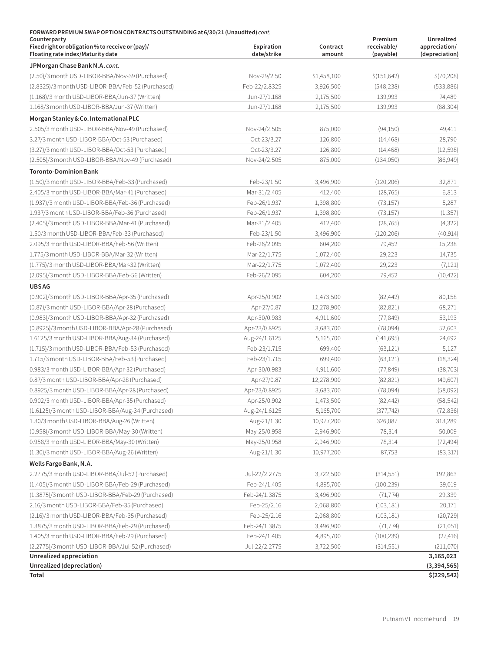| FORWARD PREMIUM SWAP OPTION CONTRACTS OUTSTANDING at 6/30/21 (Unaudited) cont.<br>Counterparty<br>Fixed right or obligation % to receive or (pay)/<br>Floating rate index/Maturity date | Expiration<br>date/strike | Contract<br>amount | Premium<br>receivable/<br>(payable) | Unrealized<br>appreciation/<br>(depreciation) |
|-----------------------------------------------------------------------------------------------------------------------------------------------------------------------------------------|---------------------------|--------------------|-------------------------------------|-----------------------------------------------|
| JPMorgan Chase Bank N.A. cont.                                                                                                                                                          |                           |                    |                                     |                                               |
| (2.50)/3 month USD-LIBOR-BBA/Nov-39 (Purchased)                                                                                                                                         | Nov-29/2.50               | \$1,458,100        | \$(151, 642)                        | \$(70, 208)                                   |
| (2.8325)/3 month USD-LIBOR-BBA/Feb-52 (Purchased)                                                                                                                                       | Feb-22/2.8325             | 3,926,500          | (548, 238)                          | (533,886)                                     |
| (1.168)/3 month USD-LIBOR-BBA/Jun-37 (Written)                                                                                                                                          | Jun-27/1.168              | 2,175,500          | 139,993                             | 74,489                                        |
| 1.168/3 month USD-LIBOR-BBA/Jun-37 (Written)                                                                                                                                            | Jun-27/1.168              | 2,175,500          | 139,993                             | (88, 304)                                     |
| Morgan Stanley & Co. International PLC                                                                                                                                                  |                           |                    |                                     |                                               |
| 2.505/3 month USD-LIBOR-BBA/Nov-49 (Purchased)                                                                                                                                          | Nov-24/2.505              | 875,000            | (94, 150)                           | 49,411                                        |
| 3.27/3 month USD-LIBOR-BBA/Oct-53 (Purchased)                                                                                                                                           | Oct-23/3.27               | 126,800            | (14, 468)                           | 28,790                                        |
| (3.27)/3 month USD-LIBOR-BBA/Oct-53 (Purchased)                                                                                                                                         | Oct-23/3.27               | 126,800            | (14, 468)                           | (12, 598)                                     |
| (2.505)/3 month USD-LIBOR-BBA/Nov-49 (Purchased)                                                                                                                                        | Nov-24/2.505              | 875,000            | (134,050)                           | (86,949)                                      |
| <b>Toronto-Dominion Bank</b>                                                                                                                                                            |                           |                    |                                     |                                               |
| (1.50)/3 month USD-LIBOR-BBA/Feb-33 (Purchased)                                                                                                                                         | Feb-23/1.50               | 3,496,900          | (120, 206)                          | 32,871                                        |
| 2.405/3 month USD-LIBOR-BBA/Mar-41 (Purchased)                                                                                                                                          | Mar-31/2.405              | 412,400            | (28, 765)                           | 6,813                                         |
| (1.937)/3 month USD-LIBOR-BBA/Feb-36 (Purchased)                                                                                                                                        | Feb-26/1.937              | 1,398,800          | (73, 157)                           | 5,287                                         |
| 1.937/3 month USD-LIBOR-BBA/Feb-36 (Purchased)                                                                                                                                          | Feb-26/1.937              | 1,398,800          | (73, 157)                           | (1, 357)                                      |
| (2.405)/3 month USD-LIBOR-BBA/Mar-41 (Purchased)                                                                                                                                        | Mar-31/2.405              | 412,400            | (28, 765)                           | (4, 322)                                      |
| 1.50/3 month USD-LIBOR-BBA/Feb-33 (Purchased)                                                                                                                                           | Feb-23/1.50               | 3,496,900          | (120, 206)                          | (40, 914)                                     |
| 2.095/3 month USD-LIBOR-BBA/Feb-56 (Written)                                                                                                                                            | Feb-26/2.095              | 604,200            | 79,452                              | 15,238                                        |
| 1.775/3 month USD-LIBOR-BBA/Mar-32 (Written)                                                                                                                                            | Mar-22/1.775              | 1,072,400          | 29,223                              | 14,735                                        |
| (1.775)/3 month USD-LIBOR-BBA/Mar-32 (Written)                                                                                                                                          | Mar-22/1.775              | 1,072,400          | 29,223                              | (7,121)                                       |
| (2.095)/3 month USD-LIBOR-BBA/Feb-56 (Written)                                                                                                                                          | Feb-26/2.095              | 604,200            | 79,452                              | (10, 422)                                     |
| <b>UBSAG</b>                                                                                                                                                                            |                           |                    |                                     |                                               |
| (0.902)/3 month USD-LIBOR-BBA/Apr-35 (Purchased)                                                                                                                                        | Apr-25/0.902              | 1,473,500          | (82, 442)                           | 80,158                                        |
| (0.87)/3 month USD-LIBOR-BBA/Apr-28 (Purchased)                                                                                                                                         | Apr-27/0.87               | 12,278,900         | (82, 821)                           | 68,271                                        |
| (0.983)/3 month USD-LIBOR-BBA/Apr-32 (Purchased)                                                                                                                                        | Apr-30/0.983              | 4,911,600          | (77, 849)                           | 53,193                                        |
| (0.8925)/3 month USD-LIBOR-BBA/Apr-28 (Purchased)                                                                                                                                       | Apr-23/0.8925             | 3,683,700          | (78,094)                            | 52,603                                        |
| 1.6125/3 month USD-LIBOR-BBA/Aug-34 (Purchased)                                                                                                                                         | Aug-24/1.6125             | 5,165,700          | (141, 695)                          | 24,692                                        |
| (1.715)/3 month USD-LIBOR-BBA/Feb-53 (Purchased)                                                                                                                                        | Feb-23/1.715              | 699,400            | (63, 121)                           | 5,127                                         |
| 1.715/3 month USD-LIBOR-BBA/Feb-53 (Purchased)                                                                                                                                          | Feb-23/1.715              | 699,400            | (63, 121)                           | (18, 324)                                     |
| 0.983/3 month USD-LIBOR-BBA/Apr-32 (Purchased)                                                                                                                                          | Apr-30/0.983              | 4,911,600          | (77, 849)                           | (38, 703)                                     |
| 0.87/3 month USD-LIBOR-BBA/Apr-28 (Purchased)                                                                                                                                           | Apr-27/0.87               | 12,278,900         | (82, 821)                           | (49,607)                                      |
| 0.8925/3 month USD-LIBOR-BBA/Apr-28 (Purchased)                                                                                                                                         | Apr-23/0.8925             | 3,683,700          | (78,094)                            | (58,092)                                      |
| 0.902/3 month USD-LIBOR-BBA/Apr-35 (Purchased)                                                                                                                                          | Apr-25/0.902              | 1,473,500          | (82, 442)                           | (58, 542)                                     |
| (1.6125)/3 month USD-LIBOR-BBA/Aug-34 (Purchased)                                                                                                                                       | Aug-24/1.6125             | 5,165,700          | (377, 742)                          | (72, 836)                                     |
| 1.30/3 month USD-LIBOR-BBA/Aug-26 (Written)                                                                                                                                             | Aug-21/1.30               | 10,977,200         | 326,087                             | 313,289                                       |
| (0.958)/3 month USD-LIBOR-BBA/May-30 (Written)                                                                                                                                          | May-25/0.958              | 2,946,900          | 78,314                              | 50,009                                        |
| 0.958/3 month USD-LIBOR-BBA/May-30 (Written)                                                                                                                                            | May-25/0.958              | 2,946,900          | 78,314                              | (72, 494)                                     |
| (1.30)/3 month USD-LIBOR-BBA/Aug-26 (Written)                                                                                                                                           | Aug-21/1.30               | 10,977,200         | 87,753                              | (83, 317)                                     |
| Wells Fargo Bank, N.A.                                                                                                                                                                  |                           |                    |                                     |                                               |
| 2.2775/3 month USD-LIBOR-BBA/Jul-52 (Purchased)                                                                                                                                         | Jul-22/2.2775             | 3,722,500          | (314, 551)                          | 192,863                                       |
| (1.405)/3 month USD-LIBOR-BBA/Feb-29 (Purchased)                                                                                                                                        | Feb-24/1.405              | 4,895,700          | (100, 239)                          | 39,019                                        |
| (1.3875)/3 month USD-LIBOR-BBA/Feb-29 (Purchased)                                                                                                                                       | Feb-24/1.3875             | 3,496,900          | (71, 774)                           | 29,339                                        |
| 2.16/3 month USD-LIBOR-BBA/Feb-35 (Purchased)                                                                                                                                           | Feb-25/2.16               | 2,068,800          | (103, 181)                          | 20,171                                        |
| (2.16)/3 month USD-LIBOR-BBA/Feb-35 (Purchased)                                                                                                                                         | Feb-25/2.16               | 2,068,800          | (103, 181)                          | (20, 729)                                     |
| 1.3875/3 month USD-LIBOR-BBA/Feb-29 (Purchased)                                                                                                                                         | Feb-24/1.3875             | 3,496,900          | (71, 774)                           | (21, 051)                                     |
| 1.405/3 month USD-LIBOR-BBA/Feb-29 (Purchased)                                                                                                                                          | Feb-24/1.405              | 4,895,700          | (100, 239)                          | (27, 416)                                     |
| (2.2775)/3 month USD-LIBOR-BBA/Jul-52 (Purchased)                                                                                                                                       | Jul-22/2.2775             | 3,722,500          | (314, 551)                          | (211,070)                                     |
| Unrealized appreciation                                                                                                                                                                 |                           |                    |                                     | 3,165,023                                     |
| Unrealized (depreciation)                                                                                                                                                               |                           |                    |                                     | (3, 394, 565)                                 |
| Total                                                                                                                                                                                   |                           |                    |                                     | \$(229, 542)                                  |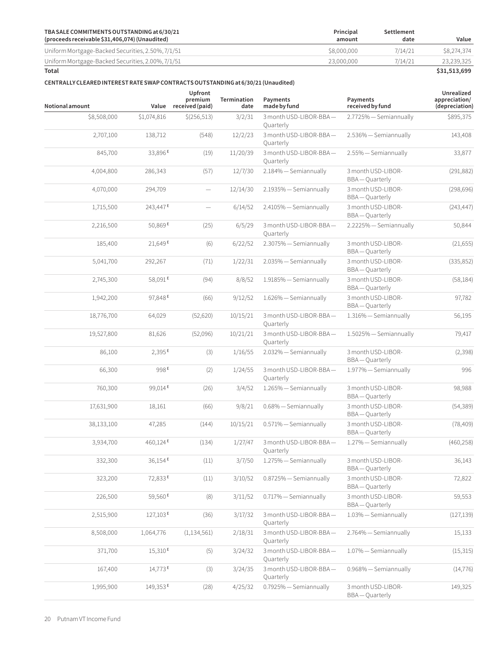| TBA SALE COMMITMENTS OUTSTANDING at 6/30/21<br>(proceeds receivable \$31,406,074) (Unaudited) | Principal<br>amount | Settlement<br>date | Value        |
|-----------------------------------------------------------------------------------------------|---------------------|--------------------|--------------|
| Uniform Mortgage-Backed Securities, 2.50%, 7/1/51                                             | \$8,000,000         | 7/14/21            | \$8,274,374  |
| Uniform Mortgage-Backed Securities, 2.00%, 7/1/51                                             | 23,000,000          | 7/14/21            | 23,239,325   |
| Total                                                                                         |                     |                    | \$31,513,699 |

#### **CENTRALLY CLEARED INTEREST RATE SWAP CONTRACTS OUTSTANDING at 6/30/21 (Unaudited)**

| Notional amount |                       | Upfront<br>premium<br>Value received (paid) | Termination<br>date | Payments<br>made by fund            | Payments<br>received by fund               | Unrealized<br>appreciation/<br>(depreciation) |
|-----------------|-----------------------|---------------------------------------------|---------------------|-------------------------------------|--------------------------------------------|-----------------------------------------------|
| \$8,508,000     | \$1,074,816           | \$(256, 513)                                | 3/2/31              | 3 month USD-LIBOR-BBA-<br>Quarterly | 2.7725% - Semiannually                     | \$895,375                                     |
| 2,707,100       | 138,712               | (548)                                       | 12/2/23             | 3 month USD-LIBOR-BBA-<br>Quarterly | 2.536% - Semiannually                      | 143,408                                       |
| 845,700         | 33,896 <sup>E</sup>   | (19)                                        | 11/20/39            | 3 month USD-LIBOR-BBA-<br>Quarterly | 2.55% - Semiannually                       | 33,877                                        |
| 4,004,800       | 286,343               | (57)                                        | 12/7/30             | 2.184% - Semiannually               | 3 month USD-LIBOR-<br><b>BBA-Quarterly</b> | (291, 882)                                    |
| 4,070,000       | 294,709               |                                             | 12/14/30            | 2.1935% - Semiannually              | 3 month USD-LIBOR-<br><b>BBA-Quarterly</b> | (298, 696)                                    |
| 1,715,500       | 243,447 <sup>E</sup>  |                                             | 6/14/52             | 2.4105% - Semiannually              | 3 month USD-LIBOR-<br><b>BBA-Quarterly</b> | (243, 447)                                    |
| 2,216,500       | 50,869 <sup>E</sup>   | (25)                                        | 6/5/29              | 3 month USD-LIBOR-BBA-<br>Quarterly | 2.2225% - Semiannually                     | 50,844                                        |
| 185,400         | 21,649E               | (6)                                         | 6/22/52             | 2.3075% - Semiannually              | 3 month USD-LIBOR-<br><b>BBA-Quarterly</b> | (21, 655)                                     |
| 5,041,700       | 292,267               | (71)                                        | 1/22/31             | 2.035% - Semiannually               | 3 month USD-LIBOR-<br><b>BBA-Quarterly</b> | (335, 852)                                    |
| 2,745,300       | 58,091 <sup>E</sup>   | (94)                                        | 8/8/52              | 1.9185% - Semiannually              | 3 month USD-LIBOR-<br><b>BBA-Quarterly</b> | (58, 184)                                     |
| 1,942,200       | 97,848 <sup>E</sup>   | (66)                                        | 9/12/52             | 1.626% - Semiannually               | 3 month USD-LIBOR-<br><b>BBA-Quarterly</b> | 97,782                                        |
| 18,776,700      | 64,029                | (52,620)                                    | 10/15/21            | 3 month USD-LIBOR-BBA-<br>Quarterly | 1.316% - Semiannually                      | 56,195                                        |
| 19,527,800      | 81,626                | (52,096)                                    | 10/21/21            | 3 month USD-LIBOR-BBA-<br>Quarterly | 1.5025% - Semiannually                     | 79,417                                        |
| 86,100          | 2,395E                | (3)                                         | 1/16/55             | 2.032% - Semiannually               | 3 month USD-LIBOR-<br><b>BBA-Quarterly</b> | (2, 398)                                      |
| 66,300          | 998 <sup>E</sup>      | (2)                                         | 1/24/55             | 3 month USD-LIBOR-BBA-<br>Quarterly | 1.977% - Semiannually                      | 996                                           |
| 760,300         | 99,014 <sup>E</sup>   | (26)                                        | 3/4/52              | 1.265% - Semiannually               | 3 month USD-LIBOR-<br><b>BBA-Quarterly</b> | 98,988                                        |
| 17,631,900      | 18,161                | (66)                                        | 9/8/21              | 0.68% - Semiannually                | 3 month USD-LIBOR-<br><b>BBA-Quarterly</b> | (54, 389)                                     |
| 38,133,100      | 47,285                | (144)                                       | 10/15/21            | 0.571% - Semiannually               | 3 month USD-LIBOR-<br><b>BBA-Quarterly</b> | (78, 409)                                     |
| 3,934,700       | 460,124 <sup>E</sup>  | (134)                                       | 1/27/47             | 3 month USD-LIBOR-BBA-<br>Quarterly | 1.27% - Semiannually                       | (460, 258)                                    |
| 332,300         | $36,154$ <sup>E</sup> | (11)                                        |                     | 3/7/50   1.275% - Semiannually      | 3 month USD-LIBOR-<br><b>BBA-Quarterly</b> | 36,143                                        |
| 323,200         | 72,833 <sup>E</sup>   | (11)                                        | 3/10/52             | 0.8725% - Semiannually              | 3 month USD-LIBOR-<br><b>BBA-Quarterly</b> | 72,822                                        |
| 226,500         | 59,560 <sup>E</sup>   | (8)                                         | 3/11/52             | 0.717% - Semiannually               | 3 month USD-LIBOR-<br>BBA-Quarterly        | 59,553                                        |
| 2,515,900       | 127,103E              | (36)                                        | 3/17/32             | 3 month USD-LIBOR-BBA-<br>Quarterly | 1.03% - Semiannually                       | (127, 139)                                    |
| 8,508,000       | 1,064,776             | (1, 134, 561)                               | 2/18/31             | 3 month USD-LIBOR-BBA-<br>Quarterly | 2.764% - Semiannually                      | 15,133                                        |
| 371,700         | 15,310 <sup>E</sup>   | (5)                                         | 3/24/32             | 3 month USD-LIBOR-BBA-<br>Quarterly | 1.07% - Semiannually                       | (15, 315)                                     |
| 167,400         | 14,773 <sup>E</sup>   | (3)                                         | 3/24/35             | 3 month USD-LIBOR-BBA-<br>Quarterly | 0.968% - Semiannually                      | (14, 776)                                     |
| 1,995,900       | 149,353 <sup>E</sup>  | (28)                                        | 4/25/32             | 0.7925% - Semiannually              | 3 month USD-LIBOR-<br><b>BBA-Quarterly</b> | 149,325                                       |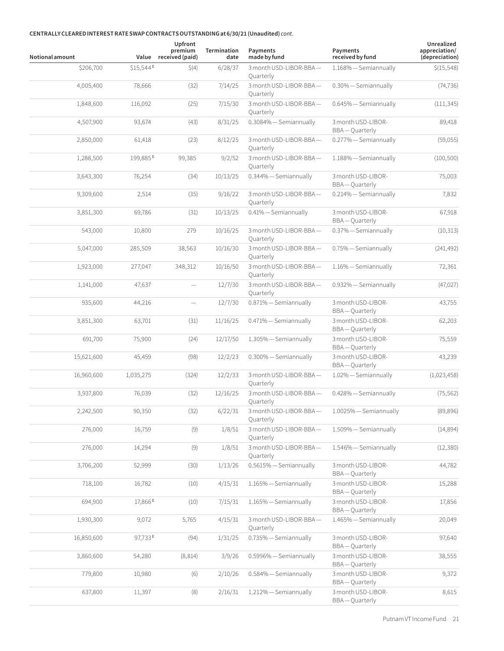#### **CENTRALLY CLEARED INTEREST RATE SWAP CONTRACTS OUTSTANDING at 6/30/21 (Unaudited)** *cont.*

| <b>Notional amount</b> | Value                 | Upfront<br>premium<br>received (paid) | Termination<br>date | Payments<br>made by fund            | Payments<br>received by fund               | Unrealized<br>appreciation/<br>(depreciation) |
|------------------------|-----------------------|---------------------------------------|---------------------|-------------------------------------|--------------------------------------------|-----------------------------------------------|
| \$206,700              | \$15,544 <sup>E</sup> | $\zeta(4)$                            | 6/28/37             | 3 month USD-LIBOR-BBA-<br>Quarterly | 1.168% - Semiannually                      | \$(15,548)                                    |
| 4,005,400              | 78,666                | (32)                                  | 7/14/25             | 3 month USD-LIBOR-BBA-<br>Quarterly | 0.30% - Semiannually                       | (74, 736)                                     |
| 1,848,600              | 116,092               | (25)                                  | 7/15/30             | 3 month USD-LIBOR-BBA-<br>Quarterly | 0.645% - Semiannually                      | (111, 345)                                    |
| 4,507,900              | 93,674                | (43)                                  | 8/31/25             | 0.3084% - Semiannually              | 3 month USD-LIBOR-<br><b>BBA-Quarterly</b> | 89,418                                        |
| 2,850,000              | 61,418                | (23)                                  | 8/12/25             | 3 month USD-LIBOR-BBA-<br>Quarterly | 0.277% - Semiannually                      | (59,055)                                      |
| 1,288,500              | 199,885 <sup>E</sup>  | 99,385                                | 9/2/52              | 3 month USD-LIBOR-BBA-<br>Quarterly | 1.188% - Semiannually                      | (100, 500)                                    |
| 3,643,300              | 76,254                | (34)                                  | 10/13/25            | 0.344% - Semiannually               | 3 month USD-LIBOR-<br><b>BBA-Quarterly</b> | 75,003                                        |
| 9,309,600              | 2,514                 | (35)                                  | 9/16/22             | 3 month USD-LIBOR-BBA-<br>Ouarterly | $0.214\%$ - Semiannually                   | 7,832                                         |
| 3,851,300              | 69,786                | (31)                                  | 10/13/25            | 0.41% - Semiannually                | 3 month USD-LIBOR-<br><b>BBA-Quarterly</b> | 67,918                                        |
| 543,000                | 10,800                | 279                                   | 10/16/25            | 3 month USD-LIBOR-BBA-<br>Quarterly | 0.37% - Semiannually                       | (10, 313)                                     |
| 5,047,000              | 285,509               | 38,563                                | 10/16/30            | 3 month USD-LIBOR-BBA-<br>Quarterly | 0.75% - Semiannually                       | (241, 492)                                    |
| 1,923,000              | 277,047               | 348,312                               | 10/16/50            | 3 month USD-LIBOR-BBA-<br>Quarterly | 1.16% - Semiannually                       | 72,361                                        |
| 1,141,000              | 47,637                |                                       | 12/7/30             | 3 month USD-LIBOR-BBA-<br>Quarterly | 0.932% - Semiannually                      | (47, 027)                                     |
| 935,600                | 44,216                |                                       | 12/7/30             | 0.871% - Semiannually               | 3 month USD-LIBOR-<br><b>BBA-Quarterly</b> | 43,755                                        |
| 3,851,300              | 63,701                | (31)                                  | 11/16/25            | 0.471% - Semiannually               | 3 month USD-LIBOR-<br><b>BBA-Quarterly</b> | 62,203                                        |
| 691,700                | 75,900                | (24)                                  | 12/17/50            | 1.305% - Semiannually               | 3 month USD-LIBOR-<br><b>BBA-Quarterly</b> | 75,559                                        |
| 15,621,600             | 45,459                | (98)                                  | 12/2/23             | 0.300% - Semiannually               | 3 month USD-LIBOR-<br><b>BBA-Quarterly</b> | 43,239                                        |
| 16,960,600             | 1,035,275             | (324)                                 | 12/2/33             | 3 month USD-LIBOR-BBA-<br>Ouarterly | 1.02% - Semiannually                       | (1,023,458)                                   |
| 3,937,800              | 76,039                | (32)                                  | 12/16/25            | 3 month USD-LIBOR-BBA-<br>Quarterly | 0.428% - Semiannually                      | (75, 562)                                     |
| 2,242,500              | 90,350                | (32)                                  | 6/22/31             | 3 month USD-LIBOR-BBA-<br>Quarterly | 1.0025% - Semiannually                     | (89, 896)                                     |
| 276,000                | 16,759                | (9)                                   | 1/8/51              | 3 month USD-LIBOR-BBA-<br>Quarterly | 1.509% - Semiannually                      | (14, 894)                                     |
| 276,000                | 14,294                | (9)                                   | 1/8/51              | 3 month USD-LIBOR-BBA-<br>Quarterly | 1.546% - Semiannually                      | (12, 380)                                     |
| 3,706,200              | 52,999                | (30)                                  | 1/13/26             | 0.5615% - Semiannually              | 3 month USD-LIBOR-<br><b>BBA-Quarterly</b> | 44,782                                        |
| 718,100                | 16,782                | (10)                                  | 4/15/31             | 1.165% - Semiannually               | 3 month USD-LIBOR-<br><b>BBA-Quarterly</b> | 15,288                                        |
| 694,900                | 17,866 <sup>E</sup>   | (10)                                  | 7/15/31             | 1.165% - Semiannually               | 3 month USD-LIBOR-<br>BBA-Quarterly        | 17,856                                        |
| 1,930,300              | 9,072                 | 5,765                                 | 4/15/31             | 3 month USD-LIBOR-BBA-<br>Quarterly | 1.465% - Semiannually                      | 20,049                                        |
| 16,850,600             | 97,733E               | (94)                                  | 1/31/25             | 0.735% - Semiannually               | 3 month USD-LIBOR-<br>BBA-Quarterly        | 97,640                                        |
| 3,860,600              | 54,280                | (8, 814)                              | 3/9/26              | 0.5996% - Semiannually              | 3 month USD-LIBOR-<br><b>BBA-Quarterly</b> | 38,555                                        |
| 779,800                | 10,980                | (6)                                   | 2/10/26             | 0.584% - Semiannually               | 3 month USD-LIBOR-<br><b>BBA-Quarterly</b> | 9,372                                         |
| 637,800                | 11,397                | (8)                                   | 2/16/31             | 1.212% - Semiannually               | 3 month USD-LIBOR-<br><b>BBA-Quarterly</b> | 8,615                                         |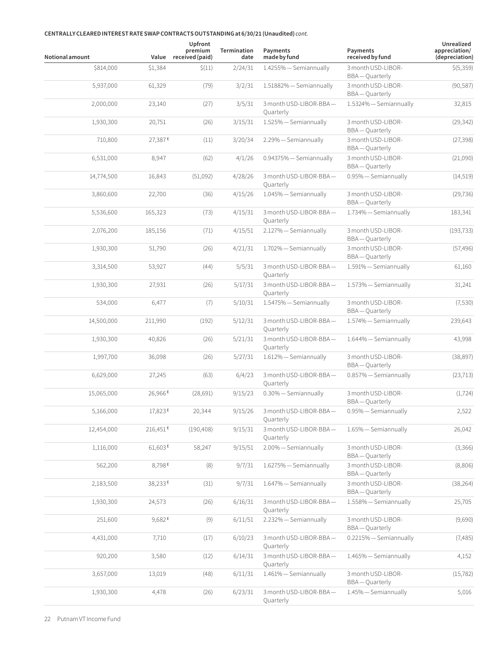#### **CENTRALLY CLEARED INTEREST RATE SWAP CONTRACTS OUTSTANDING at 6/30/21 (Unaudited)** *cont.*

| <b>Notional amount</b> | Value                | Upfront<br>premium<br>received (paid) | Termination<br>date | Payments<br>made by fund            | Payments<br>received by fund               | Unrealized<br>appreciation/<br>(depreciation) |
|------------------------|----------------------|---------------------------------------|---------------------|-------------------------------------|--------------------------------------------|-----------------------------------------------|
| \$814,000              | \$1,384              | $\zeta(11)$                           | 2/24/31             | 1.4255% - Semiannually              | 3 month USD-LIBOR-<br><b>BBA-Quarterly</b> | \$(5,359)                                     |
| 5,937,000              | 61,329               | (79)                                  | 3/2/31              | 1.51882% - Semiannually             | 3 month USD-LIBOR-<br><b>BBA-Ouarterly</b> | (90, 587)                                     |
| 2,000,000              | 23,140               | (27)                                  | 3/5/31              | 3 month USD-LIBOR-BBA-<br>Quarterly | 1.5324% - Semiannually                     | 32,815                                        |
| 1,930,300              | 20,751               | (26)                                  | 3/15/31             | 1.525% - Semiannually               | 3 month USD-LIBOR-<br><b>BBA-Quarterly</b> | (29, 342)                                     |
| 710,800                | 27.387 <sup>E</sup>  | (11)                                  | 3/20/34             | 2.29% - Semiannually                | 3 month USD-LIBOR-<br><b>BBA-Quarterly</b> | (27, 398)                                     |
| 6,531,000              | 8,947                | (62)                                  | 4/1/26              | 0.94375% - Semiannually             | 3 month USD-LIBOR-<br><b>BBA-Quarterly</b> | (21,090)                                      |
| 14,774,500             | 16,843               | (51,092)                              | 4/28/26             | 3 month USD-LIBOR-BBA-<br>Quarterly | 0.95% - Semiannually                       | (14, 519)                                     |
| 3,860,600              | 22,700               | (36)                                  | 4/15/26             | 1.045% - Semiannually               | 3 month USD-LIBOR-<br><b>BBA-Quarterly</b> | (29, 736)                                     |
| 5,536,600              | 165,323              | (73)                                  | 4/15/31             | 3 month USD-LIBOR-BBA-<br>Quarterly | 1.734% - Semiannually                      | 183,341                                       |
| 2,076,200              | 185,156              | (71)                                  | 4/15/51             | 2.127% - Semiannually               | 3 month USD-LIBOR-<br><b>BBA-Quarterly</b> | (193, 733)                                    |
| 1,930,300              | 51,790               | (26)                                  | 4/21/31             | 1.702% - Semiannually               | 3 month USD-LIBOR-<br><b>BBA-Quarterly</b> | (57, 496)                                     |
| 3,314,500              | 53,927               | (44)                                  | 5/5/31              | 3 month USD-LIBOR-BBA-<br>Quarterly | 1.591% - Semiannually                      | 61,160                                        |
| 1,930,300              | 27,931               | (26)                                  | 5/17/31             | 3 month USD-LIBOR-BBA-<br>Quarterly | 1.573% - Semiannually                      | 31,241                                        |
| 534,000                | 6,477                | (7)                                   | 5/10/31             | 1.5475% - Semiannually              | 3 month USD-LIBOR-<br><b>BBA-Quarterly</b> | (7,530)                                       |
| 14,500,000             | 211,990              | (192)                                 | 5/12/31             | 3 month USD-LIBOR-BBA-<br>Quarterly | 1.574% - Semiannually                      | 239,643                                       |
| 1,930,300              | 40,826               | (26)                                  | 5/21/31             | 3 month USD-LIBOR-BBA-<br>Quarterly | 1.644% - Semiannually                      | 43,998                                        |
| 1,997,700              | 36,098               | (26)                                  | 5/27/31             | 1.612% - Semiannually               | 3 month USD-LIBOR-<br><b>BBA-Quarterly</b> | (38, 897)                                     |
| 6,629,000              | 27,245               | (63)                                  | 6/4/23              | 3 month USD-LIBOR-BBA-<br>Quarterly | 0.857% - Semiannually                      | (23, 713)                                     |
| 15,065,000             | 26,966E              | (28, 691)                             | 9/15/23             | 0.30% - Semiannually                | 3 month USD-LIBOR-<br><b>BBA-Quarterly</b> | (1, 724)                                      |
| 5,166,000              | 17,823 <sup>E</sup>  | 20,344                                | 9/15/26             | 3 month USD-LIBOR-BBA-<br>Quarterly | 0.95% - Semiannually                       | 2,522                                         |
| 12,454,000             | 216,451 <sup>E</sup> | (190, 408)                            | 9/15/31             | 3 month USD-LIBOR-BBA-<br>Quarterly | 1.65% - Semiannually                       | 26,042                                        |
| 1,116,000              | 61,603E              | 58,247                                | 9/15/51             | 2.00% - Semiannually                | 3 month USD-LIBOR-<br><b>BBA-Quarterly</b> | (3,366)                                       |
| 562,200                | 8.798E               | (8)                                   | 9/7/31              | 1.6275% - Semiannually              | 3 month USD-LIBOR-<br><b>BBA-Quarterly</b> | (8,806)                                       |
| 2,183,500              | 38,233E              | (31)                                  | 9/7/31              | 1.647% - Semiannually               | 3 month USD-LIBOR-<br><b>BBA-Quarterly</b> | (38, 264)                                     |
| 1,930,300              | 24,573               | (26)                                  | 6/16/31             | 3 month USD-LIBOR-BBA-<br>Quarterly | 1.558% - Semiannually                      | 25,705                                        |
| 251,600                | 9,682E               | (9)                                   | 6/11/51             | 2.232% - Semiannually               | 3 month USD-LIBOR-<br><b>BBA-Quarterly</b> | (9,690)                                       |
| 4,431,000              | 7,710                | (17)                                  | 6/10/23             | 3 month USD-LIBOR-BBA-<br>Quarterly | 0.2215% - Semiannually                     | (7,485)                                       |
| 920,200                | 3,580                | (12)                                  | 6/14/31             | 3 month USD-LIBOR-BBA-<br>Quarterly | 1.465% - Semiannually                      | 4,152                                         |
| 3,657,000              | 13,019               | (48)                                  | 6/11/31             | 1.461% - Semiannually               | 3 month USD-LIBOR-<br><b>BBA-Quarterly</b> | (15, 782)                                     |
| 1,930,300              | 4,478                | (26)                                  | 6/23/31             | 3 month USD-LIBOR-BBA-<br>Quarterly | 1.45% - Semiannually                       | 5,016                                         |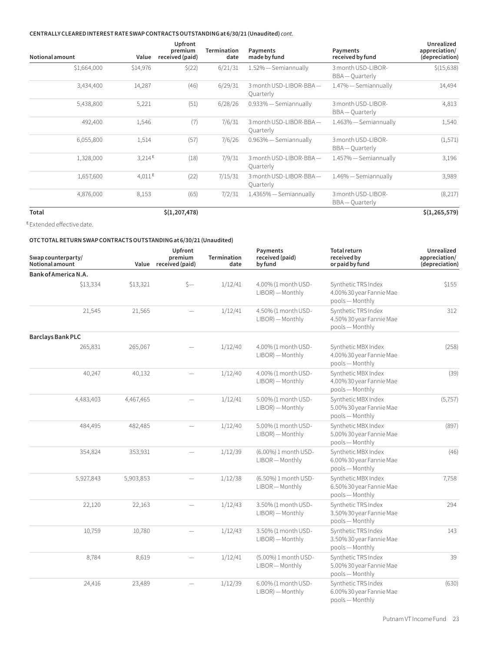#### **CENTRALLY CLEARED INTEREST RATE SWAP CONTRACTS OUTSTANDING at 6/30/21 (Unaudited)** *cont.*

| <b>Notional amount</b> | Value                | Upfront<br>premium<br>received (paid) | Termination<br>date | Payments<br>made by fund            | Payments<br>received by fund               | Unrealized<br>appreciation/<br>(depreciation) |
|------------------------|----------------------|---------------------------------------|---------------------|-------------------------------------|--------------------------------------------|-----------------------------------------------|
| \$1,664,000            | \$14,976             | \$(22)                                | 6/21/31             | $1.52\%$ - Semiannually             | 3 month USD-LIBOR-<br><b>BBA-Quarterly</b> | \$(15,638)                                    |
| 3,434,400              | 14,287               | (46)                                  | 6/29/31             | 3 month USD-LIBOR-BBA-<br>Quarterly | 1.47% - Semiannually                       | 14,494                                        |
| 5,438,800              | 5,221                | (51)                                  | 6/28/26             | $0.933\%$ - Semiannually            | 3 month USD-LIBOR-<br><b>BBA-Quarterly</b> | 4,813                                         |
| 492,400                | 1,546                | (7)                                   | 7/6/31              | 3 month USD-LIBOR-BBA-<br>Quarterly | 1.463% - Semiannually                      | 1,540                                         |
| 6,055,800              | 1,514                | (57)                                  | 7/6/26              | $0.963\%$ - Semiannually            | 3 month USD-LIBOR-<br><b>BBA-Quarterly</b> | (1, 571)                                      |
| 1,328,000              | 3,214E               | (18)                                  | 7/9/31              | 3 month USD-LIBOR-BBA-<br>Ouarterly | 1.457% - Semiannually                      | 3,196                                         |
| 1,657,600              | $4,011$ <sup>E</sup> | (22)                                  | 7/15/31             | 3 month USD-LIBOR-BBA-<br>Quarterly | 1.46% - Semiannually                       | 3,989                                         |
| 4,876,000              | 8,153                | (65)                                  | 7/2/31              | $1.4365\%$ - Semiannually           | 3 month USD-LIBOR-<br><b>BBA-Quarterly</b> | (8,217)                                       |
| Total                  |                      | \$(1, 207, 478)                       |                     |                                     |                                            | \$(1, 265, 579)                               |

<sup>E</sup> Extended effective date.

#### **OTC TOTAL RETURN SWAP CONTRACTS OUTSTANDING at 6/30/21 (Unaudited)**

| Swap counterparty/<br>Notional amount |           | Upfront<br>premium<br>Value received (paid) | Termination<br>date | Payments<br>received (paid)<br>by fund                                                                           | <b>Total return</b><br>received by<br>or paid by fund              | Unrealized<br>appreciation/<br>(depreciation) |
|---------------------------------------|-----------|---------------------------------------------|---------------------|------------------------------------------------------------------------------------------------------------------|--------------------------------------------------------------------|-----------------------------------------------|
| Bank of America N.A.                  |           |                                             |                     |                                                                                                                  |                                                                    |                                               |
| \$13,334                              | \$13,321  | $s-$                                        | 1/12/41             | 4.00% (1 month USD-<br>$LIBOR$ ) - Monthly                                                                       | Synthetic TRS Index<br>4.00% 30 year Fannie Mae<br>pools - Monthly | \$155                                         |
| 21,545                                | 21,565    |                                             | 1/12/41             | 4.50% (1 month USD-<br>Synthetic TRS Index<br>LIBOR) - Monthly<br>4.50% 30 year Fannie Mae<br>pools-Monthly      |                                                                    | 312                                           |
| <b>Barclays Bank PLC</b>              |           |                                             |                     |                                                                                                                  |                                                                    |                                               |
| 265,831                               | 265,067   |                                             | 1/12/40             | 4.00% (1 month USD-<br>$LIBOR$ ) - Monthly                                                                       | Synthetic MBX Index<br>4.00% 30 year Fannie Mae<br>pools - Monthly |                                               |
| 40,247                                | 40,132    |                                             | 1/12/40             | 4.00% (1 month USD-<br>$LIBOR$ ) - Monthly                                                                       | Synthetic MBX Index<br>4.00% 30 year Fannie Mae<br>pools - Monthly |                                               |
| 4,483,403                             | 4,467,465 |                                             | 1/12/41             | 5.00% (1 month USD-<br>Synthetic MBX Index<br>$LIBOR$ ) - Monthly<br>5.00% 30 year Fannie Mae<br>pools - Monthly |                                                                    | (5,757)                                       |
| 484,495                               | 482,485   |                                             | 1/12/40             | 5.00% (1 month USD-<br>$LIBOR$ ) - Monthly                                                                       | Synthetic MBX Index<br>5.00% 30 year Fannie Mae<br>pools - Monthly |                                               |
| 354,824                               | 353,931   |                                             | 1/12/39             | (6.00%) 1 month USD-<br>LIBOR-Monthly                                                                            | Synthetic MBX Index<br>6.00% 30 year Fannie Mae<br>pools - Monthly | (46)                                          |
| 5,927,843                             | 5,903,853 |                                             | 1/12/38             | (6.50%) 1 month USD-<br>LIBOR-Monthly                                                                            | Synthetic MBX Index<br>6.50% 30 year Fannie Mae<br>pools - Monthly | 7,758                                         |
| 22,120                                | 22,163    |                                             | 1/12/43             | 3.50% (1 month USD-<br>Synthetic TRS Index<br>$LIBOR$ ) - Monthly<br>3.50% 30 year Fannie Mae<br>pools - Monthly |                                                                    | 294                                           |
| 10,759                                | 10,780    | $\overline{\phantom{0}}$                    | 1/12/43             | 3.50% (1 month USD-<br>Synthetic TRS Index<br>3.50% 30 year Fannie Mae<br>$LIBOR$ ) - Monthly<br>pools - Monthly |                                                                    | 143                                           |
| 8,784                                 | 8,619     | $\overline{\phantom{0}}$                    | 1/12/41             | (5.00%) 1 month USD-<br>LIBOR-Monthly                                                                            | Synthetic TRS Index<br>5.00% 30 year Fannie Mae<br>pools-Monthly   | 39                                            |
| 24,416                                | 23,489    |                                             | 1/12/39             | 6.00% (1 month USD-<br>$LIBOR$ ) - Monthly                                                                       | Synthetic TRS Index<br>6.00% 30 year Fannie Mae<br>pools - Monthly | (630)                                         |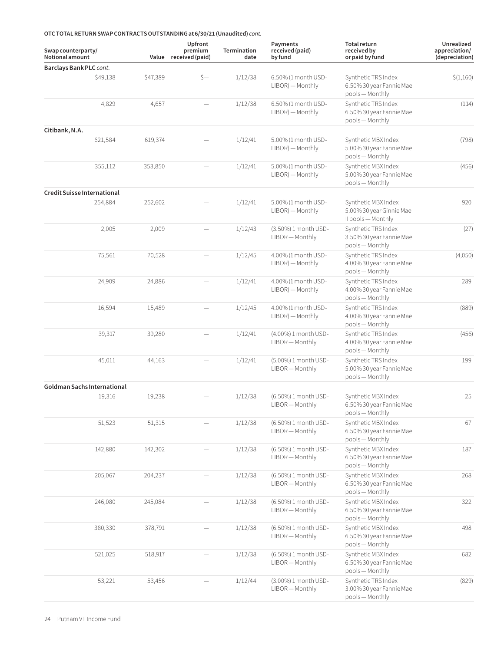#### **OTC TOTAL RETURN SWAP CONTRACTS OUTSTANDING at 6/30/21 (Unaudited)** *cont.*

| Swap counterparty/<br>Notional amount |          |          | Upfront<br>premium<br>Value received (paid) | Termination<br>date | Payments<br>received (paid)<br>by fund     | <b>Total return</b><br>received by<br>or paid by fund                 | Unrealized<br>appreciation/<br>(depreciation) |
|---------------------------------------|----------|----------|---------------------------------------------|---------------------|--------------------------------------------|-----------------------------------------------------------------------|-----------------------------------------------|
| Barclays Bank PLC cont.               |          |          |                                             |                     |                                            |                                                                       |                                               |
|                                       | \$49,138 | \$47,389 | \$—                                         | 1/12/38             | 6.50% (1 month USD-<br>$LIBOR$ ) - Monthly | Synthetic TRS Index<br>6.50% 30 year Fannie Mae<br>pools-Monthly      | $\zeta(1,160)$                                |
|                                       | 4,829    | 4,657    | $\overline{\phantom{m}}$                    | 1/12/38             | 6.50% (1 month USD-<br>LIBOR) - Monthly    | Synthetic TRS Index<br>6.50% 30 year Fannie Mae<br>pools-Monthly      | (114)                                         |
| Citibank, N.A.                        | 621,584  | 619,374  |                                             | 1/12/41             | 5.00% (1 month USD-<br>LIBOR) — Monthly    | Synthetic MBX Index<br>5.00% 30 year Fannie Mae<br>pools - Monthly    | (798)                                         |
|                                       | 355,112  | 353,850  |                                             | 1/12/41             | 5.00% (1 month USD-<br>$LIBOR$ ) - Monthly | Synthetic MBX Index<br>5.00% 30 year Fannie Mae<br>pools-Monthly      | (456)                                         |
| <b>Credit Suisse International</b>    |          |          |                                             |                     |                                            |                                                                       |                                               |
|                                       | 254,884  | 252,602  |                                             | 1/12/41             | 5.00% (1 month USD-<br>LIBOR) - Monthly    | Synthetic MBX Index<br>5.00% 30 year Ginnie Mae<br>Il pools - Monthly | 920                                           |
|                                       | 2,005    | 2,009    |                                             | 1/12/43             | (3.50%) 1 month USD-<br>LIBOR - Monthly    | Synthetic TRS Index<br>3.50% 30 year Fannie Mae<br>pools - Monthly    | (27)                                          |
|                                       | 75,561   | 70,528   |                                             | 1/12/45             | 4.00% (1 month USD-<br>LIBOR) - Monthly    | Synthetic TRS Index<br>4.00% 30 year Fannie Mae<br>pools - Monthly    | (4,050)                                       |
|                                       | 24,909   | 24,886   |                                             | 1/12/41             | 4.00% (1 month USD-<br>LIBOR) - Monthly    | Synthetic TRS Index<br>4.00% 30 year Fannie Mae<br>pools - Monthly    | 289                                           |
|                                       | 16,594   | 15,489   |                                             | 1/12/45             | 4.00% (1 month USD-<br>LIBOR) — Monthly    | Synthetic TRS Index<br>4.00% 30 year Fannie Mae<br>pools - Monthly    | (889)                                         |
|                                       | 39,317   | 39,280   | $\overline{\phantom{0}}$                    | 1/12/41             | (4.00%) 1 month USD-<br>LIBOR - Monthly    | Synthetic TRS Index<br>4.00% 30 year Fannie Mae<br>pools - Monthly    | (456)                                         |
|                                       | 45,011   | 44,163   |                                             | 1/12/41             | (5.00%) 1 month USD-<br>LIBOR-Monthly      | Synthetic TRS Index<br>5.00% 30 year Fannie Mae<br>pools-Monthly      | 199                                           |
| Goldman Sachs International           |          |          |                                             |                     |                                            |                                                                       |                                               |
|                                       | 19,316   | 19,238   |                                             | 1/12/38             | (6.50%) 1 month USD-<br>LIBOR-Monthly      | Synthetic MBX Index<br>6.50% 30 year Fannie Mae<br>pools-Monthly      | 25                                            |
|                                       | 51,523   | 51,315   |                                             | 1/12/38             | (6.50%) 1 month USD-<br>LIBOR-Monthly      | Synthetic MBX Index<br>6.50% 30 year Fannie Mae<br>pools - Monthly    | 67                                            |
|                                       | 142,880  | 142,302  |                                             | 1/12/38             | (6.50%) 1 month USD-<br>LIBOR - Monthly    | Synthetic MBX Index<br>6.50% 30 year Fannie Mae<br>pools - Monthly    | 187                                           |
|                                       | 205,067  | 204,237  |                                             | 1/12/38             | (6.50%) 1 month USD-<br>LIBOR-Monthly      | Synthetic MBX Index<br>6.50% 30 year Fannie Mae<br>pools - Monthly    | 268                                           |
|                                       | 246,080  | 245,084  |                                             | 1/12/38             | (6.50%) 1 month USD-<br>LIBOR-Monthly      | Synthetic MBX Index<br>6.50% 30 year Fannie Mae<br>pools - Monthly    | 322                                           |
|                                       | 380,330  | 378,791  |                                             | 1/12/38             | (6.50%) 1 month USD-<br>LIBOR-Monthly      | Synthetic MBX Index<br>6.50% 30 year Fannie Mae<br>pools - Monthly    | 498                                           |
|                                       | 521,025  | 518,917  |                                             | 1/12/38             | (6.50%) 1 month USD-<br>LIBOR-Monthly      | Synthetic MBX Index<br>6.50% 30 year Fannie Mae<br>pools - Monthly    | 682                                           |
|                                       | 53,221   | 53,456   |                                             | 1/12/44             | (3.00%) 1 month USD-<br>LIBOR-Monthly      | Synthetic TRS Index<br>3.00% 30 year Fannie Mae<br>pools-Monthly      | (829)                                         |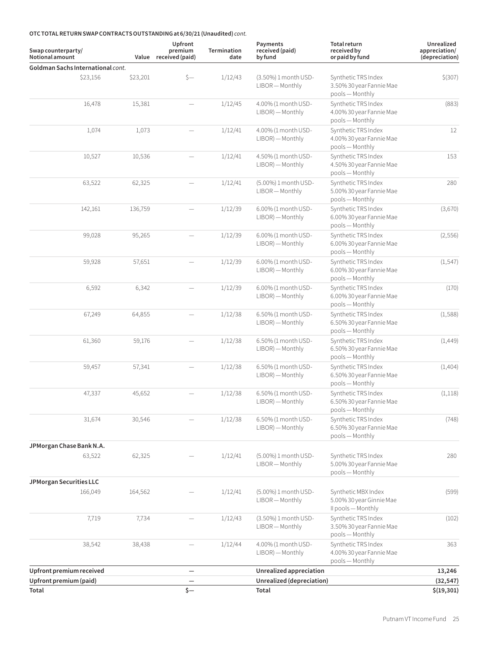#### **OTC TOTAL RETURN SWAP CONTRACTS OUTSTANDING at 6/30/21 (Unaudited)** *cont.*

| Swap counterparty/<br>Notional amount |          | Upfront<br>premium<br>Value received (paid) | Termination<br>date | Payments<br>received (paid)<br>by fund                                                                         | <b>Total return</b><br>received by<br>or paid by fund              | Unrealized<br>appreciation/<br>(depreciation) |
|---------------------------------------|----------|---------------------------------------------|---------------------|----------------------------------------------------------------------------------------------------------------|--------------------------------------------------------------------|-----------------------------------------------|
| Goldman Sachs International cont.     |          |                                             |                     |                                                                                                                |                                                                    |                                               |
| \$23,156                              | \$23,201 | $\zeta-$                                    | 1/12/43             | (3.50%) 1 month USD-<br>LIBOR-Monthly                                                                          | Synthetic TRS Index<br>3.50% 30 year Fannie Mae<br>pools - Monthly | \$ (307)                                      |
| 16,478                                | 15,381   |                                             | 1/12/45             | 4.00% (1 month USD-<br>LIBOR) - Monthly                                                                        | Synthetic TRS Index<br>4.00% 30 year Fannie Mae<br>pools - Monthly | (883)                                         |
| 1,074                                 | 1,073    |                                             | 1/12/41             | 4.00% (1 month USD-<br>$LIBOR$ ) — Monthly                                                                     | Synthetic TRS Index<br>4.00% 30 year Fannie Mae<br>pools - Monthly | $12 \overline{ }$                             |
| 10,527                                | 10,536   |                                             | 1/12/41             | 4.50% (1 month USD-<br>$LIBOR$ ) - Monthly                                                                     | Synthetic TRS Index<br>4.50% 30 year Fannie Mae<br>pools - Monthly | 153                                           |
| 63,522                                | 62,325   |                                             | 1/12/41             | (5.00%) 1 month USD-<br>LIBOR-Monthly                                                                          | Synthetic TRS Index<br>5.00% 30 year Fannie Mae<br>pools - Monthly | 280                                           |
| 142,161                               | 136,759  |                                             | 1/12/39             | 6.00% (1 month USD-<br>$LIBOR$ ) — Monthly                                                                     | Synthetic TRS Index<br>6.00% 30 year Fannie Mae<br>pools - Monthly | (3,670)                                       |
| 99,028                                | 95,265   |                                             | 1/12/39             | 6.00% (1 month USD-<br>LIBOR) - Monthly                                                                        | Synthetic TRS Index<br>6.00% 30 year Fannie Mae<br>pools - Monthly | (2, 556)                                      |
| 59,928                                | 57,651   |                                             | 1/12/39             | 6.00% (1 month USD-<br>LIBOR) - Monthly                                                                        | Synthetic TRS Index<br>6.00% 30 year Fannie Mae<br>pools - Monthly | (1, 547)                                      |
| 6,592                                 | 6,342    |                                             | 1/12/39             | 6.00% (1 month USD-<br>$LIBOR$ ) - Monthly                                                                     | Synthetic TRS Index<br>6.00% 30 year Fannie Mae<br>pools - Monthly | (170)                                         |
| 67,249                                | 64,855   |                                             | 1/12/38             | 6.50% (1 month USD-<br>$LIBOR$ ) - Monthly                                                                     | Synthetic TRS Index<br>6.50% 30 year Fannie Mae<br>pools - Monthly |                                               |
| 61,360                                | 59,176   | $\qquad \qquad -$                           | 1/12/38             | 6.50% (1 month USD-<br>$LIBOR$ ) - Monthly                                                                     | Synthetic TRS Index<br>6.50% 30 year Fannie Mae<br>pools - Monthly | (1, 449)                                      |
| 59,457                                | 57,341   |                                             | 1/12/38             | 6.50% (1 month USD-<br>$LIBOR$ ) - Monthly                                                                     | Synthetic TRS Index<br>6.50% 30 year Fannie Mae<br>pools - Monthly | (1,404)                                       |
| 47,337                                | 45,652   |                                             | 1/12/38             | 6.50% (1 month USD-<br>LIBOR) - Monthly                                                                        | Synthetic TRS Index<br>6.50% 30 year Fannie Mae<br>pools-Monthly   | (1, 118)                                      |
| 31,674                                | 30,546   |                                             | 1/12/38             | 6.50% (1 month USD-<br>$LIBOR$ ) — Monthly                                                                     | Synthetic TRS Index<br>6.50% 30 year Fannie Mae<br>pools - Monthly | (748)                                         |
| JPMorgan Chase Bank N.A.              |          |                                             |                     |                                                                                                                |                                                                    |                                               |
| 63,522                                | 62,325   |                                             | 1/12/41             | (5.00%) 1 month USD-<br>LIBOR-Monthly                                                                          | Synthetic TRS Index<br>5.00% 30 year Fannie Mae<br>pools - Monthly | 280                                           |
| JPMorgan Securities LLC               |          |                                             |                     |                                                                                                                |                                                                    |                                               |
| 166,049                               | 164,562  |                                             | 1/12/41             | Synthetic MBX Index<br>(5.00%) 1 month USD-<br>5.00% 30 year Ginnie Mae<br>LIBOR-Monthly<br>Il pools - Monthly |                                                                    | (599)                                         |
| 7,719                                 | 7,734    |                                             | 1/12/43             | (3.50%) 1 month USD-<br>LIBOR-Monthly                                                                          | Synthetic TRS Index<br>3.50% 30 year Fannie Mae<br>pools - Monthly | (102)                                         |
| 38,542                                | 38,438   |                                             | 1/12/44             | 4.00% (1 month USD-<br>$LIBOR$ ) - Monthly                                                                     | Synthetic TRS Index<br>4.00% 30 year Fannie Mae<br>pools - Monthly | 363                                           |
| Upfront premium received              |          | $\overline{\phantom{m}}$                    |                     | Unrealized appreciation                                                                                        |                                                                    | 13,246                                        |
| Upfront premium (paid)                |          | $\overline{\phantom{0}}$                    |                     | Unrealized (depreciation)                                                                                      |                                                                    | (32, 547)                                     |
| Total                                 |          | \$—                                         |                     | Total                                                                                                          |                                                                    | \$(19, 301)                                   |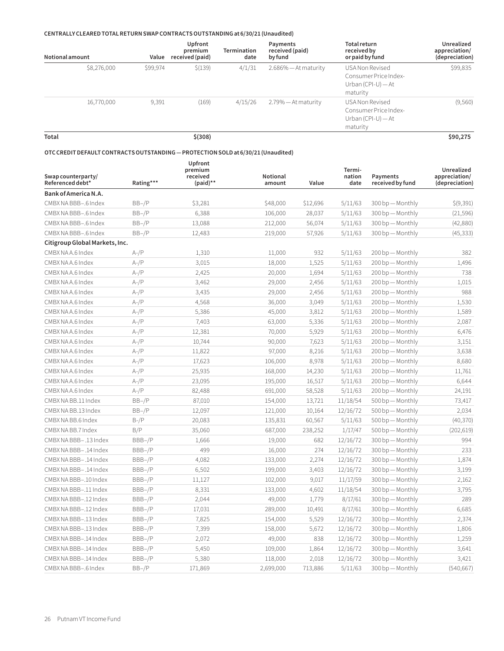#### **CENTRALLY CLEARED TOTAL RETURN SWAP CONTRACTS OUTSTANDING at 6/30/21 (Unaudited)**

| Notional amount | Value    | Upfront<br>premium<br>received (paid) | Termination<br>date | Payments<br>received (paid)<br>by fund | <b>Total return</b><br>received by<br>or paid by fund                        | Unrealized<br>appreciation/<br>(depreciation) |
|-----------------|----------|---------------------------------------|---------------------|----------------------------------------|------------------------------------------------------------------------------|-----------------------------------------------|
| \$8,276,000     | \$99,974 | \$(139)                               | 4/1/31              | $2.686\%$ - At maturity                | USA Non Revised<br>Consumer Price Index-<br>Urban (CPI-U) $-$ At<br>maturity | \$99,835                                      |
| 16,770,000      | 9,391    | (169)                                 | 4/15/26             | $2.79\%$ - At maturity                 | USA Non Revised<br>Consumer Price Index-<br>Urban (CPI-U) $-$ At<br>maturity | (9,560)                                       |
| Total           |          | \$(308)                               |                     |                                        |                                                                              | \$90,275                                      |

### **OTC CREDIT DEFAULT CONTRACTS OUTSTANDING — PROTECTION SOLD at 6/30/21 (Unaudited)**

| Swap counterparty/<br>Referenced debt* | Rating*** | Upfront<br>premium<br>received<br>(paid)** | Notional<br>amount | Value    | Termi-<br>nation<br>date | Payments<br>received by fund | Unrealized<br>appreciation/<br>(depreciation) |
|----------------------------------------|-----------|--------------------------------------------|--------------------|----------|--------------------------|------------------------------|-----------------------------------------------|
| Bank of America N.A.                   |           |                                            |                    |          |                          |                              |                                               |
| CMBX NA BBB-.6 Index                   | $BB-/P$   | \$3,281                                    | \$48,000           | \$12,696 | 5/11/63                  | 300 bp - Monthly             | \$ (9, 391)                                   |
| CMBX NA BBB-.6 Index                   | $BB-/P$   | 6,388                                      | 106,000            | 28,037   | 5/11/63                  | $300bp - Monthly$            | (21, 596)                                     |
| CMBX NA BBB-.6 Index                   | $BB-/P$   | 13,088                                     | 212,000            | 56,074   | 5/11/63                  | 300 bp - Monthly             | (42,880)                                      |
| CMBX NA BBB-.6 Index                   | $BB-/P$   | 12,483                                     | 219,000            | 57,926   | 5/11/63                  | 300 bp - Monthly             | (45, 333)                                     |
| Citigroup Global Markets, Inc.         |           |                                            |                    |          |                          |                              |                                               |
| CMBX NAA.6 Index                       | $A-fP$    | 1,310                                      | 11,000             | 932      | 5/11/63                  | 200 bp - Monthly             | 382                                           |
| CMBX NAA.6 Index                       | $A$ -/P   | 3,015                                      | 18,000             | 1,525    | 5/11/63                  | 200 bp - Monthly             | 1,496                                         |
| CMBX NAA.6 Index                       | $A - /P$  | 2,425                                      | 20,000             | 1,694    | 5/11/63                  | 200 bp - Monthly             | 738                                           |
| CMBX NAA.6 Index                       | $A$ -/P   | 3,462                                      | 29,000             | 2,456    | 5/11/63                  | 200 bp - Monthly             | 1,015                                         |
| CMBX NAA.6 Index                       | $A$ -/P   | 3,435                                      | 29,000             | 2,456    | 5/11/63                  | 200 bp - Monthly             | 988                                           |
| CMBX NAA.6 Index                       | $A$ -/P   | 4,568                                      | 36,000             | 3,049    | 5/11/63                  | 200 bp - Monthly             | 1,530                                         |
| CMBX NAA.6 Index                       | $A - /P$  | 5,386                                      | 45,000             | 3,812    | 5/11/63                  | 200 bp - Monthly             | 1,589                                         |
| CMBX NAA.6 Index                       | $A - /P$  | 7,403                                      | 63,000             | 5,336    | 5/11/63                  | 200 bp - Monthly             | 2,087                                         |
| CMBX NAA.6 Index                       | $A - /P$  | 12,381                                     | 70,000             | 5,929    | 5/11/63                  | 200 bp - Monthly             | 6,476                                         |
| CMBX NAA.6 Index                       | $A$ -/P   | 10,744                                     | 90,000             | 7,623    | 5/11/63                  | 200 bp - Monthly             | 3,151                                         |
| CMBX NAA.6 Index                       | $A$ -/P   | 11,822                                     | 97,000             | 8,216    | 5/11/63                  | 200 bp - Monthly             | 3,638                                         |
| CMBX NAA.6 Index                       | $A$ -/P   | 17,623                                     | 106,000            | 8,978    | 5/11/63                  | 200 bp - Monthly             | 8,680                                         |
| CMBX NAA.6 Index                       | $A$ -/P   | 25,935                                     | 168,000            | 14,230   | 5/11/63                  | 200 bp - Monthly             | 11,761                                        |
| CMBX NAA.6 Index                       | $A$ -/P   | 23,095                                     | 195,000            | 16,517   | 5/11/63                  | 200 bp - Monthly             | 6,644                                         |
| CMBX NAA.6 Index                       | $A$ -/P   | 82,488                                     | 691,000            | 58,528   | 5/11/63                  | 200 bp - Monthly             | 24,191                                        |
| CMBX NA BB.11 Index                    | $BB-/P$   | 87,010                                     | 154,000            | 13,721   | 11/18/54                 | 500 bp - Monthly             | 73,417                                        |
| CMBX NA BB.13 Index                    | $BB-/P$   | 12,097                                     | 121,000            | 10,164   | 12/16/72                 | 500 bp - Monthly             | 2,034                                         |
| CMBX NA BB.6 Index                     | $B$ -/P   | 20,083                                     | 135,831            | 60,567   | 5/11/63                  | 500 bp - Monthly             | (40, 370)                                     |
| CMBX NA BB.7 Index                     | B/P       | 35,060                                     | 687,000            | 238,252  | 1/17/47                  | 500 bp - Monthly             | (202, 619)                                    |
| CMBX NA BBB-.13 Index                  | BBB-/P    | 1,666                                      | 19,000             | 682      | 12/16/72                 | 300 bp - Monthly             | 994                                           |
| CMBX NA BBB-.14 Index                  | $BBB-/P$  | 499                                        | 16,000             | 274      | 12/16/72                 | 300 bp - Monthly             | 233                                           |
| CMBX NA BBB-.14 Index                  | $BBB-/P$  | 4,082                                      | 133,000            | 2,274    | 12/16/72                 | 300 bp - Monthly             | 1,874                                         |
| CMBX NA BBB-.14 Index                  | BBB-/P    | 6,502                                      | 199,000            | 3,403    | 12/16/72                 | 300 bp - Monthly             | 3,199                                         |
| CMBX NA BBB-.10 Index                  | $BBB-/P$  | 11,127                                     | 102,000            | 9,017    | 11/17/59                 | 300 bp - Monthly             | 2,162                                         |
| CMBX NA BBB-.11 Index                  | BBB-/P    | 8,331                                      | 133,000            | 4,602    | 11/18/54                 | 300 bp - Monthly             | 3,795                                         |
| CMBX NA BBB-.12 Index                  | BBB-/P    | 2,044                                      | 49,000             | 1,779    | 8/17/61                  | 300 bp - Monthly             | 289                                           |
| CMBX NA BBB-.12 Index                  | BBB-/P    | 17,031                                     | 289,000            | 10,491   | 8/17/61                  | 300 bp - Monthly             | 6,685                                         |
| CMBX NA BBB-.13 Index                  | BBB-/P    | 7,825                                      | 154,000            | 5,529    | 12/16/72                 | 300 bp - Monthly             | 2,374                                         |
| CMBX NA BBB-.13 Index                  | BBB-/P    | 7,399                                      | 158,000            | 5,672    | 12/16/72                 | 300bp-Monthly                | 1,806                                         |
| CMBX NA BBB-.14 Index                  | $BBB-/P$  | 2,072                                      | 49,000             | 838      | 12/16/72                 | 300 bp - Monthly             | 1,259                                         |
| CMBX NA BBB-.14 Index                  | $BBB-/P$  | 5,450                                      | 109,000            | 1,864    | 12/16/72                 | 300 bp - Monthly             | 3,641                                         |
| CMBX NA BBB-.14 Index                  | $BBB-/P$  | 5,380                                      | 118,000            | 2,018    | 12/16/72                 | 300 bp - Monthly             | 3,421                                         |
| CMBX NA BBB-.6 Index                   | $BB-/P$   | 171,869                                    | 2,699,000          | 713,886  | 5/11/63                  | 300 bp - Monthly             | (540, 667)                                    |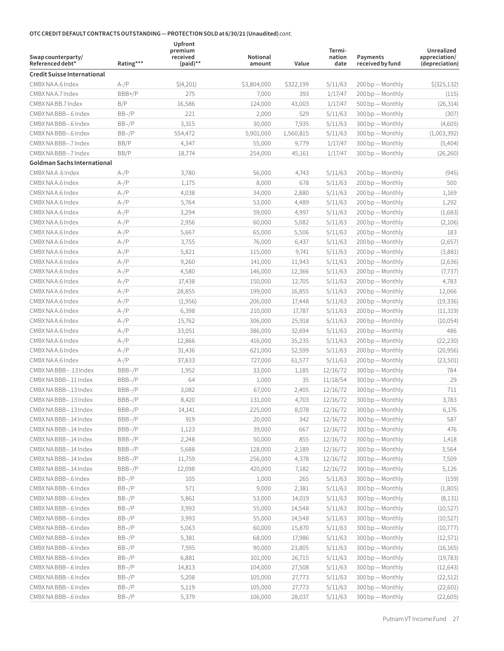#### **OTC CREDIT DEFAULT CONTRACTS OUTSTANDING — PROTECTION SOLD at 6/30/21 (Unaudited)** *cont.*

| Swap counterparty/<br>Referenced debt* | Rating*** | Upfront<br>premium<br>received<br>$(path**$ | Notional<br>amount | Value     | Termi-<br>nation<br>date | Payments<br>received by fund | Unrealized<br>appreciation/<br>(depreciation) |
|----------------------------------------|-----------|---------------------------------------------|--------------------|-----------|--------------------------|------------------------------|-----------------------------------------------|
| <b>Credit Suisse International</b>     |           |                                             |                    |           |                          |                              |                                               |
| CMBX NAA.6 Index                       | $A-fP$    | \$(4,201)                                   | \$3,804,000        | \$322,199 | 5/11/63                  | 200 bp - Monthly             | $$$ (325,132)                                 |
| CMBX NAA.7 Index                       | BBB+/P    | 275                                         | 7,000              | 393       | 1/17/47                  | 200 bp - Monthly             | (115)                                         |
| CMBX NA BB.7 Index                     | B/P       | 16,586                                      | 124,000            | 43,003    | 1/17/47                  | 500 bp - Monthly             | (26, 314)                                     |
| CMBX NA BBB-.6 Index                   | $BB-/P$   | 221                                         | 2,000              | 529       | 5/11/63                  | 300 bp - Monthly             | (307)                                         |
| CMBX NA BBB-.6 Index                   | $BB-/P$   | 3,315                                       | 30,000             | 7,935     | 5/11/63                  | 300 bp - Monthly             | (4,605)                                       |
| CMBX NA BBB-.6 Index                   | $BB-/P$   | 554,472                                     | 5,901,000          | 1,560,815 | 5/11/63                  | 300 bp - Monthly             | (1,003,392)                                   |
| CMBX NA BBB-.7 Index                   | BB/P      | 4,347                                       | 55,000             | 9,779     | 1/17/47                  | 300 bp - Monthly             | (5,404)                                       |
| CMBX NA BBB-.7 Index                   | BB/P      | 18,774                                      | 254,000            | 45,161    | 1/17/47                  | 300 bp - Monthly             | (26, 260)                                     |
| Goldman Sachs International            |           |                                             |                    |           |                          |                              |                                               |
| CMBX NAA.6 Index                       | $A-fP$    | 3,780                                       | 56,000             | 4,743     | 5/11/63                  | 200 bp - Monthly             | (945)                                         |
| CMBX NAA.6 Index                       | $A - /P$  | 1,175                                       | 8,000              | 678       | 5/11/63                  | 200 bp - Monthly             | 500                                           |
| CMBX NAA.6 Index                       | $A - /P$  | 4,038                                       | 34,000             | 2,880     | 5/11/63                  | 200 bp - Monthly             | 1,169                                         |
| CMBX NAA.6 Index                       | $A - /P$  | 5,764                                       | 53,000             | 4,489     | 5/11/63                  | 200 bp - Monthly             | 1,292                                         |
| CMBX NAA.6 Index                       | $A - /P$  | 3,294                                       | 59,000             | 4,997     | 5/11/63                  | 200 bp - Monthly             | (1,683)                                       |
| CMBX NAA.6 Index                       | $A - /P$  | 2,956                                       | 60,000             | 5,082     | 5/11/63                  | 200 bp - Monthly             | (2,106)                                       |
| CMBX NAA.6 Index                       | $A - /P$  | 5,667                                       | 65,000             | 5,506     | 5/11/63                  | 200 bp - Monthly             | 183                                           |
| CMBX NAA.6 Index                       | $A - /P$  | 3,755                                       | 76,000             | 6,437     | 5/11/63                  | 200 bp - Monthly             | (2,657)                                       |
| CMBX NAA.6 Index                       | $A - /P$  | 5,821                                       | 115,000            | 9,741     | 5/11/63                  | 200 bp - Monthly             | (3,881)                                       |
| CMBX NAA.6 Index                       | $A - /P$  | 9,260                                       | 141,000            | 11,943    | 5/11/63                  | 200 bp - Monthly             | (2,636)                                       |
| CMBX NAA.6 Index                       | $A - /P$  | 4,580                                       | 146,000            | 12,366    | 5/11/63                  | 200 bp - Monthly             | (7, 737)                                      |
| CMBX NAA.6 Index                       | $A - /P$  | 17,438                                      | 150,000            | 12,705    | 5/11/63                  | 200 bp - Monthly             | 4,783                                         |
| CMBX NAA.6 Index                       | $A - /P$  | 28,855                                      | 199,000            | 16,855    | 5/11/63                  | 200 bp - Monthly             | 12,066                                        |
| CMBX NAA.6 Index                       | $A - /P$  | (1,956)                                     | 206,000            | 17,448    | 5/11/63                  | 200 bp - Monthly             | (19, 336)                                     |
| CMBX NAA.6 Index                       | $A - /P$  | 6,398                                       | 210,000            | 17,787    | 5/11/63                  | 200 bp - Monthly             | (11, 319)                                     |
| CMBX NAA.6 Index                       | $A - /P$  | 15,762                                      | 306,000            | 25,918    | 5/11/63                  | 200 bp - Monthly             | (10,054)                                      |
| CMBX NAA.6 Index                       | $A - /P$  | 33,051                                      | 386,000            | 32,694    | 5/11/63                  | 200 bp - Monthly             | 486                                           |
| CMBX NAA.6 Index                       | $A - /P$  | 12,866                                      | 416,000            | 35,235    | 5/11/63                  | 200 bp - Monthly             | (22, 230)                                     |
| CMBX NAA.6 Index                       | $A - /P$  | 31,436                                      | 621,000            | 52,599    | 5/11/63                  | 200 bp - Monthly             | (20, 956)                                     |
| CMBX NAA.6 Index                       | $A - /P$  | 37,833                                      | 727,000            | 61,577    | 5/11/63                  | 200 bp - Monthly             | (23, 501)                                     |
| CMBX NA BBB-.13 Index                  | $BBB-/P$  | 1,952                                       | 33,000             | 1,185     | 12/16/72                 | 300 bp - Monthly             | 784                                           |
| CMBX NABBB-.11 Index                   | $BBB-/P$  | 64                                          | 1,000              | 35        | 11/18/54                 | 300 bp - Monthly             | 29                                            |
| CMBX NA BBB-.13 Index                  | $BBB-/P$  | 3,082                                       | 67,000             | 2,405     | 12/16/72                 | 300 bp - Monthly             | 711                                           |
| CMBX NA BBB-.13 Index                  | $BBB-/P$  | 8,420                                       | 131,000            | 4,703     | 12/16/72                 | 300 bp - Monthly             | 3,783                                         |
| CMBX NA BBB-.13 Index                  | BBB-/P    | 14,141                                      | 225,000            | 8,078     | 12/16/72                 | 300 bp - Monthly             | 6,176                                         |
| CMBX NA BBB-.14 Index                  | $BBB-/P$  | 919                                         | 20,000             | 342       | 12/16/72                 | 300 bp — Monthly             | 587                                           |
| CMBX NA BBB-.14 Index                  | $BBB-/P$  | 1,123                                       | 39,000             | 667       | 12/16/72                 | 300 bp — Monthly             | 476                                           |
| CMBX NA BBB-.14 Index                  | $BBB-/P$  | 2,248                                       | 50,000             | 855       | 12/16/72                 | 300 bp - Monthly             | 1,418                                         |
| CMBX NA BBB-.14 Index                  | $BBB-/P$  | 5,688                                       | 128,000            | 2,189     | 12/16/72                 | 300 bp - Monthly             | 3,564                                         |
| CMBX NA BBB-.14 Index                  | $BBB-/P$  | 11,759                                      | 256,000            | 4,378     | 12/16/72                 | 300 bp - Monthly             | 7,509                                         |
| CMBX NA BBB-.14 Index                  | $BBB-/P$  | 12,098                                      | 420,000            | 7,182     | 12/16/72                 | 300 bp - Monthly             | 5,126                                         |
| CMBX NA BBB-.6 Index                   | $BB-/P$   | 105                                         | 1,000              | 265       | 5/11/63                  | 300 bp - Monthly             | (159)                                         |
| CMBX NA BBB-.6 Index                   | $BB-/P$   | 571                                         | 9,000              | 2,381     | 5/11/63                  | 300 bp - Monthly             | (1,805)                                       |
| CMBX NA BBB-.6 Index                   | $BB-/P$   | 5,861                                       | 53,000             | 14,019    | 5/11/63                  | 300 bp - Monthly             | (8,131)                                       |
| CMBX NA BBB-.6 Index                   | $BB-/P$   | 3,993                                       | 55,000             | 14,548    | 5/11/63                  | 300 bp - Monthly             | (10, 527)                                     |
| CMBX NA BBB-.6 Index                   | $BB-/P$   | 3,993                                       | 55,000             | 14,548    | 5/11/63                  | 300 bp - Monthly             | (10, 527)                                     |
| CMBX NA BBB-.6 Index                   | $BB-/P$   | 5,063                                       | 60,000             | 15,870    | 5/11/63                  | 300 bp - Monthly             | (10, 777)                                     |
| CMBX NA BBB-.6 Index                   | $BB-/P$   | 5,381                                       | 68,000             | 17,986    | 5/11/63                  | 300 bp - Monthly             | (12, 571)                                     |
| CMBX NA BBB-.6 Index                   | $BB-/P$   | 7,595                                       | 90,000             | 23,805    | 5/11/63                  | 300 bp - Monthly             | (16, 165)                                     |
| CMBX NA BBB-.6 Index                   | $BB-/P$   | 6,881                                       | 101,000            | 26,715    | 5/11/63                  | 300 bp - Monthly             | (19, 783)                                     |
| CMBX NA BBB-.6 Index                   | $BB-/P$   | 14,813                                      | 104,000            | 27,508    | 5/11/63                  | 300 bp — Monthly             | (12, 643)                                     |
| CMBX NA BBB-.6 Index                   | $BB-/P$   | 5,208                                       | 105,000            | 27,773    | 5/11/63                  | 300 bp - Monthly             | (22, 512)                                     |
| CMBX NA BBB-.6 Index                   | $BB-/P$   | 5,119                                       | 105,000            | 27,773    | 5/11/63                  | 300 bp - Monthly             | (22,601)                                      |
| CMBX NA BBB-.6 Index                   | $BB-/P$   | 5,379                                       | 106,000            | 28,037    | 5/11/63                  | 300 bp - Monthly             | (22, 605)                                     |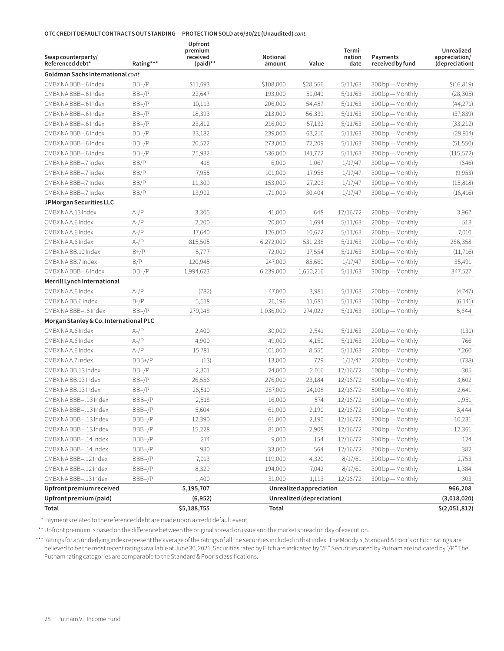#### **OTC CREDIT DEFAULT CONTRACTS OUTSTANDING — PROTECTION SOLD at 6/30/21 (Unaudited)** *cont.*

| Swap counterparty/<br>Referenced debt* | Rating*** | Upfront<br>premium<br>received<br>(paid)** | Notional<br>amount | Value                     | Termi-<br>nation<br>date | Payments<br>received by fund | Unrealized<br>appreciation/<br>(depreciation) |
|----------------------------------------|-----------|--------------------------------------------|--------------------|---------------------------|--------------------------|------------------------------|-----------------------------------------------|
| Goldman Sachs International cont.      |           |                                            |                    |                           |                          |                              |                                               |
| CMBX NA BBB-.6 Index                   | $BB-/P$   | \$11,693                                   | \$108,000          | \$28,566                  | 5/11/63                  | 300 bp - Monthly             | \$(16, 819)                                   |
| CMBX NA BBB-.6 Index                   | $BB-/P$   | 22,647                                     | 193,000            | 51,049                    | 5/11/63                  | 300 bp-Monthly               | (28, 305)                                     |
| CMBX NA BBB-.6 Index                   | $BB-/P$   | 10,113                                     | 206,000            | 54,487                    | 5/11/63                  | 300 bp - Monthly             | (44, 271)                                     |
| CMBX NA BBB-.6 Index                   | $BB-/P$   | 18,393                                     | 213,000            | 56,339                    | 5/11/63                  | 300 bp - Monthly             | (37, 839)                                     |
| CMBX NA BBB-.6 Index                   | $BB-/P$   | 23,812                                     | 216,000            | 57,132                    | 5/11/63                  | 300 bp - Monthly             | (33, 212)                                     |
| CMBX NA BBB-.6 Index                   | $BB-/P$   | 33,182                                     | 239,000            | 63,216                    | 5/11/63                  | 300 bp - Monthly             | (29, 914)                                     |
| CMBX NA BBB-.6 Index                   | $BB-/P$   | 20,522                                     | 273,000            | 72,209                    | 5/11/63                  | 300 bp - Monthly             | (51, 550)                                     |
| CMBX NA BBB-.6 Index                   | $BB-/P$   | 25,932                                     | 536,000            | 141,772                   | 5/11/63                  | 300 bp - Monthly             | (115, 572)                                    |
| CMBX NA BBB-.7 Index                   | BB/P      | 418                                        | 6,000              | 1,067                     | 1/17/47                  | 300 bp - Monthly             | (646)                                         |
| CMBX NA BBB-.7 Index                   | BB/P      | 7,955                                      | 101,000            | 17,958                    | 1/17/47                  | 300 bp - Monthly             | (9,953)                                       |
| CMBX NA BBB-.7 Index                   | BB/P      | 11,309                                     | 153,000            | 27,203                    | 1/17/47                  | 300 bp - Monthly             | (15, 818)                                     |
| CMBX NA BBB-.7 Index                   | BB/P      | 13,902                                     | 171,000            | 30,404                    | 1/17/47                  | 300 bp - Monthly             | (16, 416)                                     |
| JPMorgan Securities LLC                |           |                                            |                    |                           |                          |                              |                                               |
| CMBX NAA.13 Index                      | $A$ -/P   | 3,305                                      | 41,000             | 648                       | 12/16/72                 | 200 bp - Monthly             | 3,967                                         |
| CMBX NAA.6 Index                       | $A - /P$  | 2,200                                      | 20,000             | 1,694                     | 5/11/63                  | 200 bp - Monthly             | 513                                           |
| CMBX NAA.6 Index                       | $A - /P$  | 17,640                                     | 126,000            | 10,672                    | 5/11/63                  | 200 bp - Monthly             | 7,010                                         |
| CMBX NAA.6 Index                       | $A - /P$  | 815,505                                    | 6,272,000          | 531,238                   | 5/11/63                  | 200 bp - Monthly             | 286,358                                       |
| CMBX NA BB.10 Index                    | $B+/P$    | 5,777                                      | 72,000             | 17,554                    | 5/11/63                  | 500 bp - Monthly             | (11, 716)                                     |
| CMBX NA BB.7 Index                     | B/P       | 120,945                                    | 247,000            | 85,660                    | 1/17/47                  | 500 bp - Monthly             | 35,491                                        |
| CMBX NA BBB-.6 Index                   | $BB-/P$   | 1,994,623                                  | 6,239,000          | 1,650,216                 | 5/11/63                  | 300 bp - Monthly             | 347,527                                       |
| Merrill Lynch International            |           |                                            |                    |                           |                          |                              |                                               |
| CMBX NAA.6 Index                       | $A$ -/P   | (782)                                      | 47,000             | 3,981                     | 5/11/63                  | 200 bp - Monthly             | (4,747)                                       |
| CMBX NA BB.6 Index                     | $B - / P$ | 5,518                                      | 26,196             | 11,681                    | 5/11/63                  | 500 bp - Monthly             | (6, 141)                                      |
| CMBX NA BBB-.6 Index                   | $BB-/P$   | 279,148                                    | 1,036,000          | 274,022                   | 5/11/63                  | 300 bp - Monthly             | 5,644                                         |
| Morgan Stanley & Co. International PLC |           |                                            |                    |                           |                          |                              |                                               |
| CMBX NAA.6 Index                       | A-/P      | 2,400                                      | 30,000             | 2,541                     | 5/11/63                  | 200 bp - Monthly             | (131)                                         |
| CMBX NAA.6 Index                       | $A - /P$  | 4,900                                      | 49,000             | 4,150                     | 5/11/63                  | 200 bp - Monthly             | 766                                           |
| CMBX NAA.6 Index                       | $A - /P$  | 15,781                                     | 101,000            | 8,555                     | 5/11/63                  | 200 bp - Monthly             | 7,260                                         |
| CMBX NAA.7 Index                       | BBB+/P    | (13)                                       | 13,000             | 729                       | 1/17/47                  | 200 bp - Monthly             | (738)                                         |
| CMBX NA BB.13 Index                    | $BB-/P$   | 2,301                                      | 24,000             | 2,016                     | 12/16/72                 | 500 bp - Monthly             | 305                                           |
| CMBX NA BB.13 Index                    | $BB-/P$   | 26,556                                     | 276,000            | 23,184                    | 12/16/72                 | 500 bp - Monthly             | 3,602                                         |
| CMBX NA BB.13 Index                    | $BB-/P$   | 26,510                                     | 287,000            | 24,108                    | 12/16/72                 | 500 bp - Monthly             | 2,641                                         |
| CMBX NA BBB-.13 Index                  | BBB-/P    | 2,518                                      | 16,000             | 574                       | 12/16/72                 | 300 bp - Monthly             | 1,951                                         |
| CMBX NA BBB-.13 Index                  | BBB-/P    | 5,604                                      | 61,000             | 2,190                     | 12/16/72                 | 300bp-Monthly                | 3,444                                         |
| CMBX NA BBB-.13 Index                  | BBB-/P    | 12,390                                     | 61,000             | 2,190                     | 12/16/72                 | 300 bp - Monthly             | 10,231                                        |
| CMBX NA BBB-.13 Index                  | BBB-/P    | 15,228                                     | 81,000             | 2,908                     | 12/16/72                 | 300 bp - Monthly             | 12,361                                        |
| CMBX NA BBB-.14 Index                  | BBB-/P    | 274                                        | 9,000              | 154                       | 12/16/72                 | 300 bp - Monthly             | 124                                           |
| CMBX NA BBB-.14 Index                  | BBB-/P    | 930                                        | 33,000             | 564                       | 12/16/72                 | 300 bp - Monthly             | 382                                           |
| CMBX NA BBB-.12 Index                  | BBB-/P    | 7,013                                      | 119,000            | 4,320                     | 8/17/61                  | 300 bp - Monthly             | 2,753                                         |
| CMBX NA BBB-.12 Index                  | BBB-/P    | 8,329                                      | 194,000            | 7,042                     | 8/17/61                  | 300 bp - Monthly             | 1,384                                         |
| CMBX NA BBB-.13 Index                  | BBB-/P    | 1,400                                      | 31,000             | 1,113                     | 12/16/72                 | 300 bp - Monthly             | 303                                           |
| Upfront premium received               |           | 5,195,707                                  |                    | Unrealized appreciation   |                          |                              | 966,208                                       |
| Upfront premium (paid)                 |           | (6, 952)                                   |                    | Unrealized (depreciation) |                          |                              | (3,018,020)                                   |
| Total                                  |           | \$5,188,755                                | Total              |                           |                          |                              | \$(2,051,812)                                 |

\* Payments related to the referenced debt are made upon a credit default event.

\*\* Upfront premium is based on the difference between the original spread on issue and the market spread on day of execution.

\*\*\* Ratings for an underlying index represent the average of the ratings of all the securities included in that index. The Moody's, Standard & Poor's or Fitch ratings are believed to be the most recent ratings available at June 30, 2021. Securities rated by Fitch are indicated by "/F." Securities rated by Putnam are indicated by "/P." The Putnam rating categories are comparable to the Standard & Poor's classifications.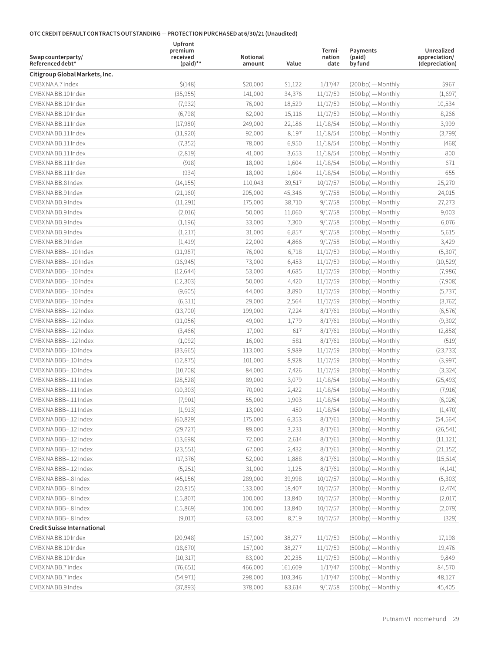#### **OTC CREDIT DEFAULT CONTRACTS OUTSTANDING — PROTECTION PURCHASED at 6/30/21 (Unaudited)**

|                                | Upfront<br>premium |          |         | Termi-   | Payments             | Unrealized     |
|--------------------------------|--------------------|----------|---------|----------|----------------------|----------------|
| Swap counterparty/             | received           | Notional |         | nation   | (paid)               | appreciation/  |
| Referenced debt*               | $(paid)**$         | amount   | Value   | date     | by fund              | (depreciation) |
| Citigroup Global Markets, Inc. |                    |          |         |          |                      |                |
| CMBX NAA.7 Index               | \$(148)            | \$20,000 | \$1,122 | 1/17/47  | $(200bp)$ – Monthly  | \$967          |
| CMBX NA BB.10 Index            | (35, 955)          | 141,000  | 34,376  | 11/17/59 | $(500bp)$ – Monthly  | (1,697)        |
| CMBX NA BB.10 Index            | (7,932)            | 76,000   | 18,529  | 11/17/59 | $(500bp)$ – Monthly  | 10,534         |
| CMBX NA BB.10 Index            | (6, 798)           | 62,000   | 15,116  | 11/17/59 | $(500bp)$ – Monthly  | 8,266          |
| CMBX NA BB.11 Index            | (17,980)           | 249,000  | 22,186  | 11/18/54 | $(500 bp)$ – Monthly | 3,999          |
| CMBX NA BB.11 Index            | (11,920)           | 92,000   | 8,197   | 11/18/54 | $(500 bp)$ – Monthly | (3,799)        |
| CMBX NA BB.11 Index            | (7, 352)           | 78,000   | 6,950   | 11/18/54 | $(500 bp)$ – Monthly | (468)          |
| CMBX NA BB.11 Index            | (2,819)            | 41,000   | 3,653   | 11/18/54 | $(500 bp)$ – Monthly | 800            |
| CMBX NA BB.11 Index            | (918)              | 18,000   | 1,604   | 11/18/54 | $(500bp)$ – Monthly  | 671            |
| CMBX NA BB.11 Index            | (934)              | 18,000   | 1,604   | 11/18/54 | $(500bp)$ – Monthly  | 655            |
| CMBX NA BB.8 Index             | (14, 155)          | 110,043  | 39,517  | 10/17/57 | $(500bp)$ – Monthly  | 25,270         |
| CMBX NA BB.9 Index             | (21,160)           | 205,000  | 45,346  | 9/17/58  | $(500bp)$ – Monthly  | 24,015         |
| CMBX NA BB.9 Index             | (11, 291)          | 175,000  | 38,710  | 9/17/58  | $(500 bp)$ – Monthly | 27,273         |
| CMBX NA BB.9 Index             | (2,016)            | 50,000   | 11,060  | 9/17/58  | $(500 bp)$ – Monthly | 9,003          |
| CMBX NA BB.9 Index             | (1, 196)           | 33,000   | 7,300   | 9/17/58  | $(500 bp)$ – Monthly | 6,076          |
| CMBX NA BB.9 Index             | (1,217)            | 31,000   | 6,857   | 9/17/58  | $(500 bp)$ – Monthly | 5,615          |
| CMBX NA BB.9 Index             | (1, 419)           | 22,000   | 4,866   | 9/17/58  | $(500 bp)$ – Monthly | 3,429          |
| CMBX NA BBB-.10 Index          | (11,987)           | 76,000   | 6,718   | 11/17/59 | $(300bp)$ - Monthly  | (5, 307)       |
| CMBX NA BBB-.10 Index          | (16, 945)          | 73,000   | 6,453   | 11/17/59 | $(300bp)$ – Monthly  | (10, 529)      |
| CMBX NA BBB-.10 Index          | (12, 644)          | 53,000   | 4,685   | 11/17/59 | $(300bp)$ - Monthly  | (7,986)        |
| CMBX NA BBB-.10 Index          | (12, 303)          | 50,000   | 4,420   | 11/17/59 | $(300bp)$ – Monthly  | (7,908)        |
| CMBX NA BBB-.10 Index          | (9,605)            | 44,000   | 3,890   | 11/17/59 | $(300bp)$ – Monthly  | (5,737)        |
| CMBX NA BBB-.10 Index          | (6, 311)           | 29,000   | 2,564   | 11/17/59 | $(300bp)$ – Monthly  | (3, 762)       |
| CMBX NA BBB-.12 Index          | (13,700)           | 199,000  | 7,224   | 8/17/61  | $(300bp)$ – Monthly  | (6, 576)       |
| CMBX NA BBB-.12 Index          | (11,056)           | 49,000   | 1,779   | 8/17/61  | $(300bp)$ – Monthly  | (9,302)        |
| CMBX NA BBB-.12 Index          | (3,466)            | 17,000   | 617     | 8/17/61  | $(300 bp)$ - Monthly | (2,858)        |
| CMBX NA BBB-.12 Index          | (1,092)            | 16,000   | 581     | 8/17/61  | $(300bp)$ – Monthly  | (519)          |
| CMBX NA BBB-.10 Index          | (33,665)           | 113,000  | 9,989   | 11/17/59 | $(300bp)$ – Monthly  | (23, 733)      |
| CMBX NA BBB-.10 Index          | (12, 875)          | 101,000  | 8,928   | 11/17/59 | $(300bp)$ – Monthly  | (3,997)        |
| CMBX NA BBB-.10 Index          | (10, 708)          | 84,000   | 7,426   | 11/17/59 | $(300bp)$ – Monthly  | (3,324)        |
| CMBX NA BBB-.11 Index          | (28, 528)          | 89,000   | 3,079   | 11/18/54 | $(300 bp)$ - Monthly | (25, 493)      |
| CMBX NA BBB-.11 Index          | (10, 303)          | 70,000   | 2,422   | 11/18/54 | $(300bp)$ – Monthly  | (7, 916)       |
| CMBX NA BBB-.11 Index          | (7,901)            | 55,000   | 1,903   | 11/18/54 | $(300bp)$ – Monthly  | (6,026)        |
| CMBX NA BBB-.11 Index          | (1, 913)           | 13,000   | 450     | 11/18/54 | (300 bp) — Monthly   | (1,470)        |
| CMBX NA BBB-.12 Index          | (60, 829)          | 175,000  | 6,353   | 8/17/61  | $(300bp)$ - Monthly  | (54, 564)      |
| CMBX NA BBB-.12 Index          | (29, 727)          | 89,000   | 3,231   | 8/17/61  | $(300bp)$ - Monthly  | (26, 541)      |
| CMBX NA BBB-.12 Index          | (13, 698)          | 72,000   | 2,614   | 8/17/61  | (300 bp) - Monthly   | (11, 121)      |
| CMBX NA BBB-.12 Index          | (23, 551)          | 67,000   | 2,432   | 8/17/61  | (300 bp) - Monthly   | (21, 152)      |
| CMBX NA BBB-.12 Index          | (17, 376)          | 52,000   | 1,888   | 8/17/61  | (300 bp) - Monthly   | (15, 514)      |
| CMBX NA BBB-.12 Index          | (5,251)            | 31,000   | 1,125   | 8/17/61  | (300 bp) - Monthly   | (4,141)        |
| CMBX NA BBB-.8 Index           | (45, 156)          | 289,000  | 39,998  | 10/17/57 | (300 bp) - Monthly   | (5,303)        |
| CMBX NA BBB-.8 Index           | (20, 815)          | 133,000  | 18,407  | 10/17/57 | (300 bp) - Monthly   | (2, 474)       |
| CMBX NA BBB-.8 Index           | (15,807)           | 100,000  | 13,840  | 10/17/57 | (300 bp) - Monthly   | (2,017)        |
| CMBX NA BBB-.8 Index           | (15,869)           | 100,000  | 13,840  | 10/17/57 | (300 bp) - Monthly   | (2,079)        |
| CMBX NA BBB-.8 Index           | (9,017)            | 63,000   | 8,719   | 10/17/57 | (300 bp) - Monthly   | (329)          |
| Credit Suisse International    |                    |          |         |          |                      |                |
| CMBX NA BB.10 Index            | (20, 948)          | 157,000  | 38,277  | 11/17/59 | (500 bp) - Monthly   | 17,198         |
| CMBX NA BB.10 Index            | (18, 670)          | 157,000  | 38,277  | 11/17/59 | (500 bp) - Monthly   | 19,476         |
| CMBX NA BB.10 Index            | (10, 317)          | 83,000   | 20,235  | 11/17/59 | (500 bp) - Monthly   | 9,849          |
| CMBX NA BB.7 Index             | (76, 651)          | 466,000  | 161,609 | 1/17/47  | (500 bp) - Monthly   | 84,570         |
| CMBX NA BB.7 Index             | (54, 971)          | 298,000  | 103,346 | 1/17/47  | (500 bp) - Monthly   | 48,127         |
| CMBX NA BB.9 Index             | (37,893)           | 378,000  | 83,614  | 9/17/58  | (500 bp) - Monthly   | 45,405         |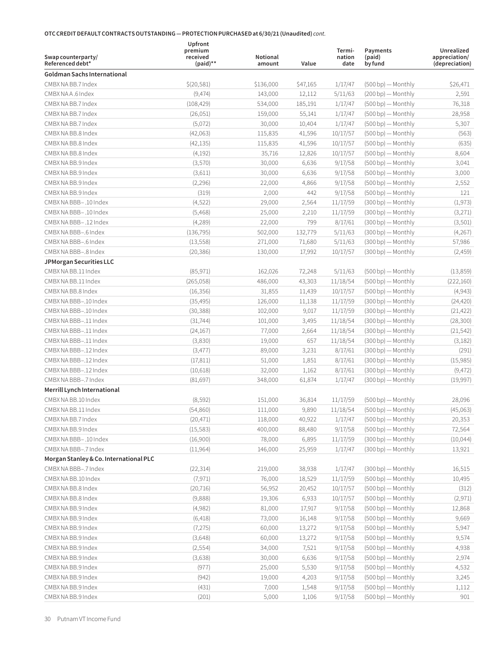#### **OTC CREDIT DEFAULT CONTRACTS OUTSTANDING — PROTECTION PURCHASED at 6/30/21 (Unaudited)** *cont.*

| Swap counterparty/<br>Referenced debt* | Upfront<br>premium<br>received<br>$(paid)**$ | Notional<br>amount | Value    | Termi-<br>nation<br>date | Payments<br>(paid)<br>by fund | Unrealized<br>appreciation/<br>(depreciation) |
|----------------------------------------|----------------------------------------------|--------------------|----------|--------------------------|-------------------------------|-----------------------------------------------|
| Goldman Sachs International            |                                              |                    |          |                          |                               |                                               |
| CMBX NA BB.7 Index                     | \$(20, 581)                                  | \$136,000          | \$47,165 | 1/17/47                  | $(500bp)$ – Monthly           | \$26,471                                      |
| CMBX NAA .6 Index                      | (9,474)                                      | 143,000            | 12,112   | 5/11/63                  | $(200 bp)$ – Monthly          | 2,591                                         |
| CMBX NA BB.7 Index                     | (108, 429)                                   | 534,000            | 185,191  | 1/17/47                  | $(500bp)$ – Monthly           | 76,318                                        |
| CMBX NA BB.7 Index                     | (26, 051)                                    | 159,000            | 55,141   | 1/17/47                  | $(500bp)$ – Monthly           | 28,958                                        |
| CMBX NA BB.7 Index                     | (5,072)                                      | 30,000             | 10,404   | 1/17/47                  | $(500bp)$ – Monthly           | 5,307                                         |
| CMBX NA BB.8 Index                     | (42,063)                                     | 115,835            | 41,596   | 10/17/57                 | $(500bp)$ – Monthly           | (563)                                         |
| CMBX NA BB.8 Index                     | (42, 135)                                    | 115,835            | 41,596   | 10/17/57                 | $(500 bp)$ – Monthly          | (635)                                         |
| CMBX NA BB.8 Index                     | (4,192)                                      | 35,716             | 12,826   | 10/17/57                 | $(500 bp)$ – Monthly          | 8,604                                         |
| CMBX NA BB.9 Index                     | (3,570)                                      | 30,000             | 6,636    | 9/17/58                  | $(500bp)$ – Monthly           | 3,041                                         |
| CMBX NA BB.9 Index                     | (3,611)                                      | 30,000             | 6,636    | 9/17/58                  | $(500bp)$ – Monthly           | 3,000                                         |
| CMBX NA BB.9 Index                     | (2, 296)                                     | 22,000             | 4,866    | 9/17/58                  | $(500bp)$ – Monthly           | 2,552                                         |
| CMBX NA BB.9 Index                     | (319)                                        | 2,000              | 442      | 9/17/58                  | $(500bp)$ – Monthly           | 121                                           |
| CMBX NA BBB-.10 Index                  | (4,522)                                      | 29,000             | 2,564    | 11/17/59                 | $(300bp)$ – Monthly           | (1, 973)                                      |
| CMBX NA BBB-.10 Index                  | (5,468)                                      | 25,000             | 2,210    | 11/17/59                 | $(300bp)$ – Monthly           | (3,271)                                       |
| CMBX NA BBB-.12 Index                  | (4,289)                                      | 22,000             | 799      | 8/17/61                  | $(300bp)$ – Monthly           | (3,501)                                       |
| CMBX NA BBB-.6 Index                   | (136, 795)                                   | 502,000            | 132,779  | 5/11/63                  | $(300bp)$ - Monthly           | (4,267)                                       |
| CMBX NA BBB-.6 Index                   | (13, 558)                                    | 271,000            | 71,680   | 5/11/63                  | $(300bp)$ – Monthly           | 57,986                                        |
| CMBX NA BBB-8 Index                    | (20, 386)                                    | 130,000            | 17,992   | 10/17/57                 | $(300bp)$ – Monthly           | (2,459)                                       |
| JPMorgan Securities LLC                |                                              |                    |          |                          |                               |                                               |
| CMBX NA BB.11 Index                    | (85, 971)                                    | 162,026            | 72,248   | 5/11/63                  | $(500bp)$ – Monthly           | (13, 859)                                     |
| CMBX NA BB.11 Index                    | (265, 058)                                   | 486,000            | 43,303   | 11/18/54                 | $(500bp)$ – Monthly           | (222, 160)                                    |
| CMBX NA BB.8 Index                     | (16, 356)                                    | 31,855             | 11,439   | 10/17/57                 | $(500bp)$ – Monthly           | (4, 943)                                      |
| CMBX NA BBB-.10 Index                  | (35, 495)                                    | 126,000            | 11,138   | 11/17/59                 | $(300bp)$ – Monthly           | (24, 420)                                     |
| CMBX NA BBB-.10 Index                  | (30, 388)                                    | 102,000            | 9,017    | 11/17/59                 | $(300bp)$ – Monthly           | (21, 422)                                     |
| CMBX NA BBB-.11 Index                  | (31, 744)                                    | 101,000            | 3,495    | 11/18/54                 | $(300bp)$ – Monthly           | (28, 300)                                     |
| CMBX NA BBB-.11 Index                  | (24, 167)                                    | 77,000             | 2,664    | 11/18/54                 | $(300bp)$ – Monthly           | (21, 542)                                     |
| CMBX NA BBB-.11 Index                  | (3,830)                                      | 19,000             | 657      | 11/18/54                 | $(300bp)$ – Monthly           | (3,182)                                       |
| CMBX NA BBB-.12 Index                  | (3,477)                                      | 89,000             | 3,231    | 8/17/61                  | $(300bp)$ – Monthly           | (291)                                         |
| CMBX NA BBB-.12 Index                  | (17, 811)                                    | 51,000             | 1,851    | 8/17/61                  | $(300bp)$ - Monthly           | (15,985)                                      |
| CMBX NA BBB-.12 Index                  | (10,618)                                     | 32,000             | 1,162    | 8/17/61                  | $(300bp)$ - Monthly           | (9,472)                                       |
| CMBX NA BBB-.7 Index                   | (81,697)                                     | 348,000            | 61,874   | 1/17/47                  | (300 bp) - Monthly            | (19,997)                                      |
| Merrill Lynch International            |                                              |                    |          |                          |                               |                                               |
| CMBX NA BB.10 Index                    | (8,592)                                      | 151,000            | 36,814   | 11/17/59                 | $(500bp)$ – Monthly           | 28,096                                        |
| CMBX NA BB.11 Index                    | (54,860)                                     | 111,000            | 9,890    | 11/18/54                 | $(500 bp)$ — Monthly          | (45,063)                                      |
| CMBX NA BB.7 Index                     | (20, 471)                                    | 118,000            | 40,922   | 1/17/47                  | $(500bp)$ – Monthly           | 20,353                                        |
| CMBX NA BB.9 Index                     | (15, 583)                                    | 400,000            | 88,480   | 9/17/58                  | $(500bp)$ – Monthly           | 72,564                                        |
| CMBX NA BBB-.10 Index                  | (16,900)                                     | 78,000             | 6,895    | 11/17/59                 | $(300bp)$ – Monthly           | (10, 044)                                     |
| CMBX NA BBB-.7 Index                   | (11,964)                                     | 146,000            | 25,959   | 1/17/47                  | $(300bp)$ – Monthly           | 13,921                                        |
| Morgan Stanley & Co. International PLC |                                              |                    |          |                          |                               |                                               |
| CMBX NA BBB-.7 Index                   | (22, 314)                                    | 219,000            | 38,938   | 1/17/47                  | $(300bp)$ – Monthly           | 16,515                                        |
| CMBX NA BB.10 Index                    | (7, 971)                                     | 76,000             | 18,529   | 11/17/59                 | $(500bp)$ – Monthly           | 10,495                                        |
| CMBX NA BB.8 Index                     | (20, 716)                                    | 56,952             | 20,452   | 10/17/57                 | $(500bp)$ – Monthly           | (312)                                         |
| CMBX NA BB.8 Index                     | (9,888)                                      | 19,306             | 6,933    | 10/17/57                 | $(500 bp)$ — Monthly          | (2,971)                                       |
| CMBX NA BB.9 Index                     | (4,982)                                      | 81,000             | 17,917   | 9/17/58                  | $(500 bp)$ — Monthly          | 12,868                                        |
| CMBX NA BB.9 Index                     | (6,418)                                      | 73,000             | 16,148   | 9/17/58                  | $(500 bp)$ — Monthly          | 9,669                                         |
| CMBX NA BB.9 Index                     | (7,275)                                      | 60,000             | 13,272   | 9/17/58                  | $(500 bp)$ — Monthly          | 5,947                                         |
| CMBX NA BB.9 Index                     | (3,648)                                      | 60,000             | 13,272   | 9/17/58                  | $(500 bp)$ — Monthly          | 9,574                                         |
| CMBX NA BB.9 Index                     | (2, 554)                                     | 34,000             | 7,521    | 9/17/58                  | $(500 bp)$ — Monthly          | 4,938                                         |
| CMBX NA BB.9 Index                     | (3,638)                                      | 30,000             | 6,636    | 9/17/58                  | $(500 bp)$ — Monthly          | 2,974                                         |
| CMBX NA BB.9 Index                     | (977)                                        | 25,000             | 5,530    | 9/17/58                  | $(500 bp)$ — Monthly          | 4,532                                         |
| CMBX NA BB.9 Index                     | (942)                                        | 19,000             | 4,203    | 9/17/58                  | $(500bp)$ – Monthly           | 3,245                                         |
| CMBX NA BB.9 Index                     | (431)                                        | 7,000              | 1,548    | 9/17/58                  | $(500bp)$ – Monthly           | 1,112                                         |
| CMBX NA BB.9 Index                     | (201)                                        | 5,000              | 1,106    | 9/17/58                  | $(500 bp)$ – Monthly          | 901                                           |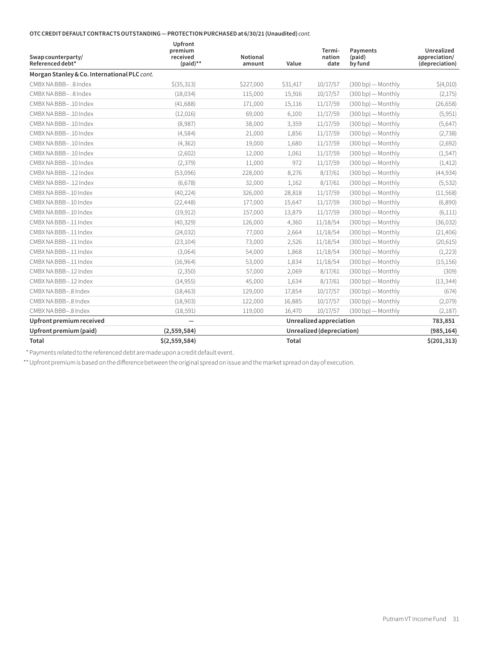#### **OTC CREDIT DEFAULT CONTRACTS OUTSTANDING — PROTECTION PURCHASED at 6/30/21 (Unaudited)** *cont.*

| Swap counterparty/<br>Referenced debt*       | Upfront<br>premium<br>received<br>(paid)** | Notional<br>amount | Value    | Termi-<br>nation<br>date  | Payments<br>(paid)<br>by fund | Unrealized<br>appreciation/<br>(depreciation) |
|----------------------------------------------|--------------------------------------------|--------------------|----------|---------------------------|-------------------------------|-----------------------------------------------|
| Morgan Stanley & Co. International PLC cont. |                                            |                    |          |                           |                               |                                               |
| CMBX NA BBB-. 8 Index                        | $$$ $(35,313)$                             | \$227,000          | \$31,417 | 10/17/57                  | $(300bp)$ - Monthly           | \$(4,010)                                     |
| CMBX NA BBB-. 8 Index                        | (18,034)                                   | 115,000            | 15,916   | 10/17/57                  | $(300bp)$ - Monthly           | (2,175)                                       |
| CMBX NA BBB-.10 Index                        | (41, 688)                                  | 171,000            | 15,116   | 11/17/59                  | $(300bp)$ - Monthly           | (26, 658)                                     |
| CMBX NA BBB-.10 Index                        | (12,016)                                   | 69,000             | 6,100    | 11/17/59                  | $(300bp)$ - Monthly           | (5,951)                                       |
| CMBX NA BBB-.10 Index                        | (8,987)                                    | 38,000             | 3,359    | 11/17/59                  | $(300bp)$ - Monthly           | (5,647)                                       |
| CMBX NA BBB-.10 Index                        | (4,584)                                    | 21,000             | 1,856    | 11/17/59                  | $(300bp)$ - Monthly           | (2,738)                                       |
| CMBX NA BBB-.10 Index                        | (4, 362)                                   | 19,000             | 1,680    | 11/17/59                  | $(300bp)$ - Monthly           | (2,692)                                       |
| CMBX NA BBB-.10 Index                        | (2,602)                                    | 12,000             | 1,061    | 11/17/59                  | $(300bp)$ - Monthly           | (1, 547)                                      |
| CMBX NA BBB-.10 Index                        | (2, 379)                                   | 11,000             | 972      | 11/17/59                  | $(300bp)$ - Monthly           | (1, 412)                                      |
| CMBX NA BBB-.12 Index                        | (53,096)                                   | 228,000            | 8,276    | 8/17/61                   | $(300bp)$ - Monthly           | (44, 934)                                     |
| CMBX NA BBB-.12 Index                        | (6,678)                                    | 32,000             | 1,162    | 8/17/61                   | $(300bp)$ - Monthly           | (5,532)                                       |
| CMBX NA BBB-.10 Index                        | (40, 224)                                  | 326,000            | 28,818   | 11/17/59                  | $(300bp)$ - Monthly           | (11, 568)                                     |
| CMBX NA BBB-.10 Index                        | (22, 448)                                  | 177,000            | 15,647   | 11/17/59                  | $(300bp)$ - Monthly           | (6,890)                                       |
| CMBX NA BBB-.10 Index                        | (19, 912)                                  | 157,000            | 13,879   | 11/17/59                  | (300 bp) - Monthly            | (6,111)                                       |
| CMBX NA BBB-.11 Index                        | (40, 329)                                  | 126,000            | 4,360    | 11/18/54                  | $(300bp)$ - Monthly           | (36,032)                                      |
| CMBX NA BBB-.11 Index                        | (24, 032)                                  | 77,000             | 2,664    | 11/18/54                  | $(300bp)$ - Monthly           | (21, 406)                                     |
| CMBX NA BBB-.11 Index                        | (23, 104)                                  | 73,000             | 2,526    | 11/18/54                  | $(300bp)$ - Monthly           | (20, 615)                                     |
| CMBX NA BBB-.11 Index                        | (3,064)                                    | 54,000             | 1,868    | 11/18/54                  | $(300bp)$ - Monthly           | (1,223)                                       |
| CMBX NA BBB-.11 Index                        | (16,964)                                   | 53,000             | 1,834    | 11/18/54                  | $(300bp)$ - Monthly           | (15, 156)                                     |
| CMBX NA BBB-.12 Index                        | (2, 350)                                   | 57,000             | 2,069    | 8/17/61                   | $(300bp)$ - Monthly           | (309)                                         |
| CMBX NA BBB-.12 Index                        | (14, 955)                                  | 45,000             | 1,634    | 8/17/61                   | $(300bp)$ - Monthly           | (13, 344)                                     |
| CMBX NA BBB-.8 Index                         | (18, 463)                                  | 129,000            | 17,854   | 10/17/57                  | $(300bp)$ - Monthly           | (674)                                         |
| CMBX NA BBB-.8 Index                         | (18,903)                                   | 122,000            | 16,885   | 10/17/57                  | $(300bp)$ - Monthly           | (2,079)                                       |
| CMBX NA BBB-.8 Index                         | (18, 591)                                  | 119,000            | 16,470   | 10/17/57                  | $(300bp)$ - Monthly           | (2,187)                                       |
| Upfront premium received                     |                                            |                    |          | Unrealized appreciation   |                               | 783,851                                       |
| Upfront premium (paid)                       | (2, 559, 584)                              |                    |          | Unrealized (depreciation) |                               | (985, 164)                                    |
| Total                                        | \$(2,559,584)                              |                    | Total    |                           |                               | \$(201, 313)                                  |

\* Payments related to the referenced debt are made upon a credit default event.

\*\* Upfront premium is based on the difference between the original spread on issue and the market spread on day of execution.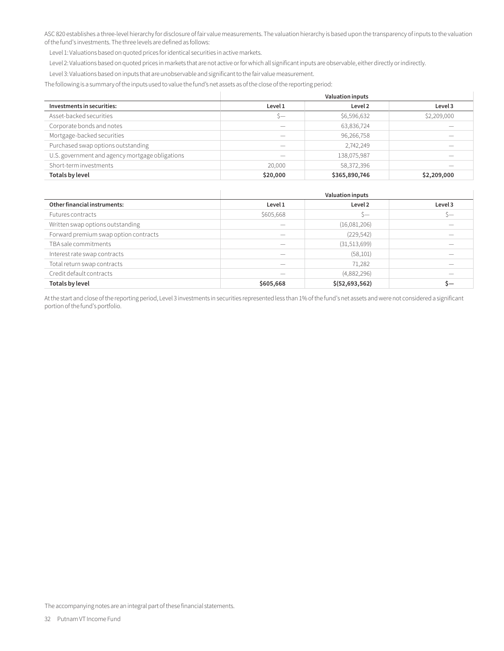ASC 820 establishes a three-level hierarchy for disclosure of fair value measurements. The valuation hierarchy is based upon the transparency of inputs to the valuation of the fund's investments. The three levels are defined as follows:

Level 1: Valuations based on quoted prices for identical securities in active markets.

Level 2: Valuations based on quoted prices in markets that are not active or for which all significant inputs are observable, either directly or indirectly.

Level 3: Valuations based on inputs that are unobservable and significant to the fair value measurement.

The following is a summary of the inputs used to value the fund's net assets as of the close of the reporting period:

|                                                 | Valuation inputs |               |             |  |  |  |  |
|-------------------------------------------------|------------------|---------------|-------------|--|--|--|--|
| Investments in securities:                      | Level 1          | Level 2       | Level 3     |  |  |  |  |
| Asset-backed securities                         | $S-$             | \$6,596,632   | \$2,209,000 |  |  |  |  |
| Corporate bonds and notes                       |                  | 63,836,724    |             |  |  |  |  |
| Mortgage-backed securities                      |                  | 96,266,758    |             |  |  |  |  |
| Purchased swap options outstanding              |                  | 2,742,249     |             |  |  |  |  |
| U.S. government and agency mortgage obligations |                  | 138,075,987   |             |  |  |  |  |
| Short-term investments                          | 20,000           | 58,372,396    |             |  |  |  |  |
| Totals by level                                 | \$20,000         | \$365,890,746 | \$2,209,000 |  |  |  |  |

|                                       | Valuation inputs         |                   |         |  |  |  |
|---------------------------------------|--------------------------|-------------------|---------|--|--|--|
| Other financial instruments:          | Level 1                  | Level 2           | Level 3 |  |  |  |
| Futures contracts                     | \$605,668                | $S-$              |         |  |  |  |
| Written swap options outstanding      |                          | (16,081,206)      |         |  |  |  |
| Forward premium swap option contracts |                          | (229, 542)        |         |  |  |  |
| TBA sale commitments                  | $\overline{\phantom{a}}$ | (31, 513, 699)    |         |  |  |  |
| Interest rate swap contracts          |                          | (58, 101)         |         |  |  |  |
| Total return swap contracts           | $\overline{\phantom{a}}$ | 71,282            |         |  |  |  |
| Credit default contracts              |                          | (4,882,296)       |         |  |  |  |
| Totals by level                       | \$605,668                | \$ (52, 693, 562) |         |  |  |  |

At the start and close of the reporting period, Level 3 investments in securities represented less than 1% of the fund's net assets and were not considered a significant portion of the fund's portfolio.

The accompanying notes are an integral part of these financial statements.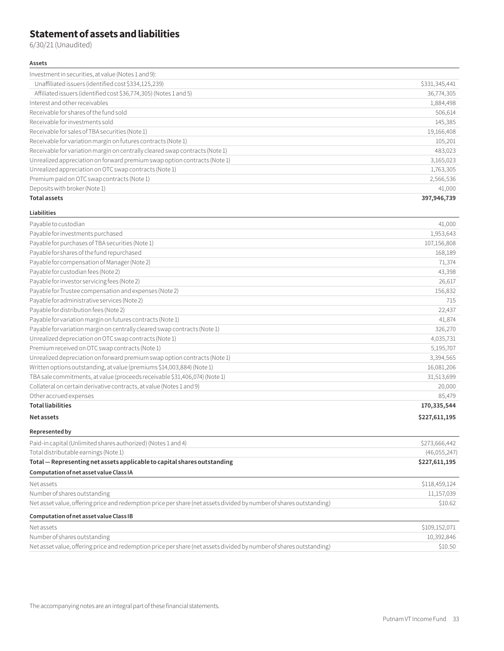# **Statement of assets and liabilities**

6/30/21 (Unaudited)

#### **Assets**

| Investment in securities, at value (Notes 1 and 9):                          |               |
|------------------------------------------------------------------------------|---------------|
| Unaffiliated issuers (identified cost \$334,125,239)                         | \$331,345,441 |
| Affiliated issuers (identified cost \$36,774,305) (Notes 1 and 5)            | 36,774,305    |
| Interest and other receivables                                               | 1,884,498     |
| Receivable for shares of the fund sold                                       | 506,614       |
| Receivable for investments sold                                              | 145,385       |
| Receivable for sales of TBA securities (Note 1)                              | 19,166,408    |
| Receivable for variation margin on futures contracts (Note 1)                | 105,201       |
| Receivable for variation margin on centrally cleared swap contracts (Note 1) | 483,023       |
| Unrealized appreciation on forward premium swap option contracts (Note 1)    | 3,165,023     |
| Unrealized appreciation on OTC swap contracts (Note 1)                       | 1,763,305     |
| Premium paid on OTC swap contracts (Note 1)                                  | 2,566,536     |
| Deposits with broker (Note 1)                                                | 41,000        |
| <b>Total assets</b>                                                          | 397,946,739   |

### **Liabilities**

| Payable to custodian                                                       | 41,000        |
|----------------------------------------------------------------------------|---------------|
| Payable for investments purchased                                          | 1,953,643     |
| Payable for purchases of TBA securities (Note 1)                           | 107,156,808   |
| Payable for shares of the fund repurchased                                 | 168,189       |
| Payable for compensation of Manager (Note 2)                               | 71,374        |
| Payable for custodian fees (Note 2)                                        | 43,398        |
| Payable for investor servicing fees (Note 2)                               | 26,617        |
| Payable for Trustee compensation and expenses (Note 2)                     | 156,832       |
| Payable for administrative services (Note 2)                               | 715           |
| Payable for distribution fees (Note 2)                                     | 22,437        |
| Payable for variation margin on futures contracts (Note 1)                 | 41,874        |
| Payable for variation margin on centrally cleared swap contracts (Note 1)  | 326,270       |
| Unrealized depreciation on OTC swap contracts (Note 1)                     | 4,035,731     |
| Premium received on OTC swap contracts (Note 1)                            | 5,195,707     |
| Unrealized depreciation on forward premium swap option contracts (Note 1)  | 3,394,565     |
| Written options outstanding, at value (premiums \$14,003,884) (Note 1)     | 16,081,206    |
| TBA sale commitments, at value (proceeds receivable \$31,406,074) (Note 1) | 31,513,699    |
| Collateral on certain derivative contracts, at value (Notes 1 and 9)       | 20,000        |
| Other accrued expenses                                                     | 85,479        |
| <b>Total liabilities</b>                                                   | 170,335,544   |
| <b>Net assets</b>                                                          | \$227,611,195 |

#### **Represented by**

| Paid-in capital (Unlimited shares authorized) (Notes 1 and 4)                                                       | \$273,666,442  |
|---------------------------------------------------------------------------------------------------------------------|----------------|
| Total distributable earnings (Note 1)                                                                               | (46, 055, 247) |
| Total - Representing net assets applicable to capital shares outstanding                                            | \$227,611,195  |
| Computation of net asset value Class IA                                                                             |                |
| Net assets                                                                                                          | \$118,459,124  |
| Number of shares outstanding                                                                                        | 11,157,039     |
| Net asset value, offering price and redemption price per share (net assets divided by number of shares outstanding) | \$10.62        |
| Computation of net asset value Class IB                                                                             |                |
| Net assets                                                                                                          | \$109,152,071  |
| Number of shares outstanding                                                                                        | 10,392,846     |
| Net asset value, offering price and redemption price per share (net assets divided by number of shares outstanding) | \$10.50        |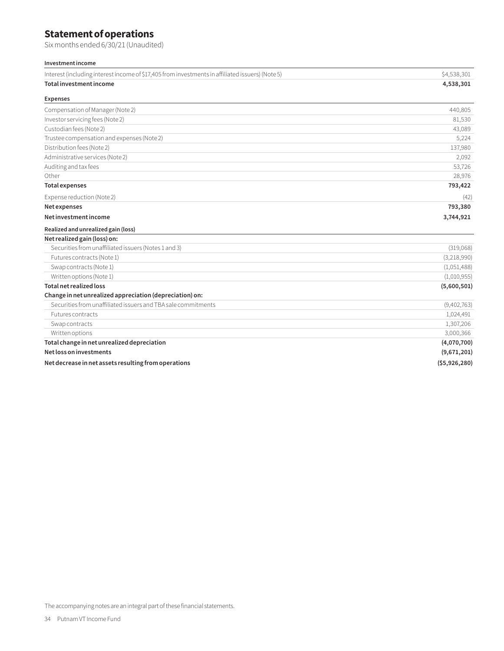# **Statement of operations**

Six months ended 6/30/21 (Unaudited)

| Investment income                                                                                |              |
|--------------------------------------------------------------------------------------------------|--------------|
| Interest (including interest income of \$17,405 from investments in affiliated issuers) (Note 5) | \$4,538,301  |
| <b>Total investment income</b>                                                                   | 4,538,301    |
| <b>Expenses</b>                                                                                  |              |
| Compensation of Manager (Note 2)                                                                 | 440.805      |
| Investor servicing fees (Note 2)                                                                 | 81,530       |
| Custodian fees (Note 2)                                                                          | 43,089       |
| Trustee compensation and expenses (Note 2)                                                       | 5,224        |
| Distribution fees (Note 2)                                                                       | 137,980      |
| Administrative services (Note 2)                                                                 | 2,092        |
| Auditing and tax fees                                                                            | 53,726       |
| Other                                                                                            | 28,976       |
| <b>Total expenses</b>                                                                            | 793,422      |
| Expense reduction (Note 2)                                                                       | (42)         |
| Net expenses                                                                                     | 793,380      |
| Net investment income                                                                            | 3,744,921    |
| Realized and unrealized gain (loss)                                                              |              |
| Net realized gain (loss) on:                                                                     |              |
| Securities from unaffiliated issuers (Notes 1 and 3)                                             | (319,068)    |
| Futures contracts (Note 1)                                                                       | (3,218,990)  |
| Swap contracts (Note 1)                                                                          | (1,051,488)  |
| Written options (Note 1)                                                                         | (1,010,955)  |
| <b>Total net realized loss</b>                                                                   | (5,600,501)  |
| Change in net unrealized appreciation (depreciation) on:                                         |              |
| Securities from unaffiliated issuers and TBA sale commitments                                    | (9,402,763)  |
| Futures contracts                                                                                | 1,024,491    |
| Swap contracts                                                                                   | 1,307,206    |
| Written options                                                                                  | 3,000,366    |
| Total change in net unrealized depreciation                                                      | (4,070,700)  |
| Net loss on investments                                                                          | (9,671,201)  |
| Net decrease in net assets resulting from operations                                             | (55,926,280) |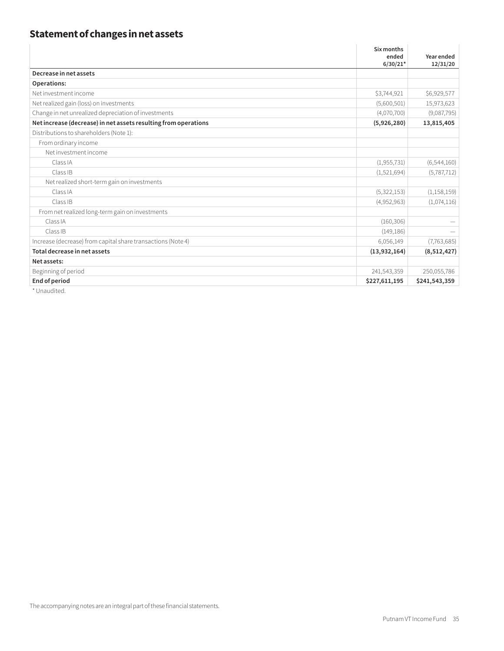# **Statement of changes in net assets**

|                                                                 | Six months<br>ended<br>$6/30/21*$ | Year ended<br>12/31/20 |
|-----------------------------------------------------------------|-----------------------------------|------------------------|
| Decrease in net assets                                          |                                   |                        |
| Operations:                                                     |                                   |                        |
| Net investment income                                           | \$3,744,921                       | \$6,929,577            |
| Net realized gain (loss) on investments                         | (5,600,501)                       | 15,973,623             |
| Change in net unrealized depreciation of investments            | (4,070,700)                       | (9,087,795)            |
| Net increase (decrease) in net assets resulting from operations | (5,926,280)                       | 13,815,405             |
| Distributions to shareholders (Note 1):                         |                                   |                        |
| From ordinary income                                            |                                   |                        |
| Net investment income                                           |                                   |                        |
| Class IA                                                        | (1,955,731)                       | (6,544,160)            |
| Class IB                                                        | (1,521,694)                       | (5,787,712)            |
| Net realized short-term gain on investments                     |                                   |                        |
| Class IA                                                        | (5,322,153)                       | (1, 158, 159)          |
| Class IB                                                        | (4,952,963)                       | (1,074,116)            |
| From net realized long-term gain on investments                 |                                   |                        |
| Class IA                                                        | (160, 306)                        |                        |
| Class IB                                                        | (149, 186)                        |                        |
| Increase (decrease) from capital share transactions (Note 4)    | 6,056,149                         | (7,763,685)            |
| Total decrease in net assets                                    | (13,932,164)                      | (8,512,427)            |
| Net assets:                                                     |                                   |                        |
| Beginning of period                                             | 241,543,359                       | 250,055,786            |
| End of period                                                   | \$227,611,195                     | \$241,543,359          |

\* Unaudited.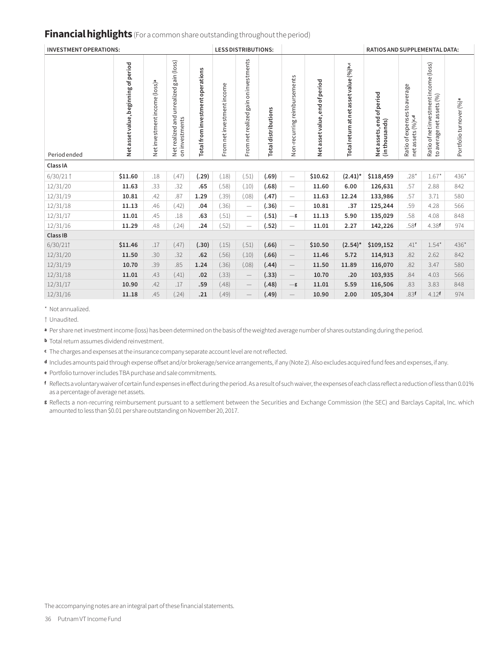### **Financial highlights** (For a common share outstanding throughout the period)

| <b>INVESTMENT OPERATIONS:</b> |                                      |                                           |                                                           |                                  |                            | <b>LESS DISTRIBUTIONS:</b>               |                            |                              |                                |                                        | <b>RATIOS AND SUPPLEMENTAL DATA:</b>       |                                                     |                                                                  |                        |
|-------------------------------|--------------------------------------|-------------------------------------------|-----------------------------------------------------------|----------------------------------|----------------------------|------------------------------------------|----------------------------|------------------------------|--------------------------------|----------------------------------------|--------------------------------------------|-----------------------------------------------------|------------------------------------------------------------------|------------------------|
| Period ended                  | Net asset value, beginning of period | Net investment income (loss) <sup>a</sup> | Net realized and unrealized gain (loss)<br>on investments | Total from investment operations | From net investment income | gain on investments<br>From net realized | <b>Total distributions</b> | Non-recurring reimbursements | Net asset value, end of period | Total return at net asset value (%)b,c | Netassets, end of period<br>(in thousands) | expenses to average<br>netassets (%)c,d<br>Ratio of | Ratio of net investment income (loss)<br>to averagenetassets (%) | Portfolioturnover (%)e |
| Class IA                      |                                      |                                           |                                                           |                                  |                            |                                          |                            |                              |                                |                                        |                                            |                                                     |                                                                  |                        |
| $6/30/21$ †                   | \$11.60                              | .18                                       | (.47)                                                     | (.29)                            | (.18)                      | (.51)                                    | (.69)                      |                              | \$10.62                        | $(2.41)^*$                             | \$118,459                                  | $.28*$                                              | $1.67*$                                                          | $436*$                 |
| 12/31/20                      | 11.63                                | .33                                       | .32                                                       | .65                              | (.58)                      | (.10)                                    | (.68)                      | $\overline{\phantom{m}}$     | 11.60                          | 6.00                                   | 126,631                                    | .57                                                 | 2.88                                                             | 842                    |
| 12/31/19                      | 10.81                                | .42                                       | .87                                                       | 1.29                             | (.39)                      | (.08)                                    | (.47)                      | $\overline{\phantom{0}}$     | 11.63                          | 12.24                                  | 133,986                                    | .57                                                 | 3.71                                                             | 580                    |
| 12/31/18                      | 11.13                                | .46                                       | (.42)                                                     | .04                              | (.36)                      | $\qquad \qquad -$                        | (.36)                      |                              | 10.81                          | .37                                    | 125,244                                    | .59                                                 | 4.28                                                             | 566                    |
| 12/31/17                      | 11.01                                | .45                                       | .18                                                       | .63                              | (.51)                      | $\overline{\phantom{0}}$                 | (.51)                      | $-\mathsf{g}$                | 11.13                          | 5.90                                   | 135,029                                    | .58                                                 | 4.08                                                             | 848                    |
| 12/31/16                      | 11.29                                | .48                                       | (.24)                                                     | .24                              | (.52)                      | $\qquad \qquad -$                        | (.52)                      |                              | 11.01                          | 2.27                                   | 142,226                                    | .58f                                                | 4.38f                                                            | 974                    |
| Class IB                      |                                      |                                           |                                                           |                                  |                            |                                          |                            |                              |                                |                                        |                                            |                                                     |                                                                  |                        |
| 6/30/21                       | \$11.46                              | .17                                       | (.47)                                                     | (.30)                            | (.15)                      | (.51)                                    | (.66)                      | $\overline{\phantom{m}}$     | \$10.50                        | $(2.54)^*$                             | \$109,152                                  | $.41*$                                              | $1.54*$                                                          | $436*$                 |
| 12/31/20                      | 11.50                                | .30                                       | .32                                                       | .62                              | (.56)                      | (.10)                                    | (.66)                      | $\overline{\phantom{m}}$     | 11.46                          | 5.72                                   | 114,913                                    | .82                                                 | 2.62                                                             | 842                    |
| 12/31/19                      | 10.70                                | .39                                       | .85                                                       | 1.24                             | (.36)                      | (.08)                                    | (.44)                      | $\overline{\phantom{0}}$     | 11.50                          | 11.89                                  | 116,070                                    | .82                                                 | 3.47                                                             | 580                    |
| 12/31/18                      | 11.01                                | .43                                       | (.41)                                                     | .02                              | (.33)                      | $\overline{\phantom{m}}$                 | (.33)                      | $\overline{\phantom{m}}$     | 10.70                          | .20                                    | 103,935                                    | .84                                                 | 4.03                                                             | 566                    |
| 12/31/17                      | 10.90                                | .42                                       | .17                                                       | .59                              | (.48)                      | $\overline{\phantom{m}}$                 | (.48)                      | $-\mathsf{g}$                | 11.01                          | 5.59                                   | 116,506                                    | .83                                                 | 3.83                                                             | 848                    |
| 12/31/16                      | 11.18                                | .45                                       | (.24)                                                     | .21                              | (.49)                      | $\qquad \qquad -$                        | (.49)                      | $\overline{\phantom{m}}$     | 10.90                          | 2.00                                   | 105,304                                    | .83f                                                | 4.12f                                                            | 974                    |

\* Not annualized.

† Unaudited.

**<sup>a</sup>** Per share net investment income (loss) has been determined on the basis of the weighted average number of shares outstanding during the period.

**<sup>b</sup>** Total return assumes dividend reinvestment.

**<sup>c</sup>** The charges and expenses at the insurance company separate account level are not reflected.

**<sup>d</sup>** Includes amounts paid through expense offset and/or brokerage/service arrangements, if any (Note 2). Also excludes acquired fund fees and expenses, if any.

**<sup>e</sup>** Portfolio turnover includes TBA purchase and sale commitments.

**<sup>f</sup>** Reflects a voluntary waiver of certain fund expenses in effect during the period. As a result of such waiver, the expenses of each class reflect a reduction of less than 0.01% as a percentage of average net assets.

**<sup>g</sup>** Reflects a non-recurring reimbursement pursuant to a settlement between the Securities and Exchange Commission (the SEC) and Barclays Capital, Inc. which amounted to less than \$0.01 per share outstanding on November 20, 2017.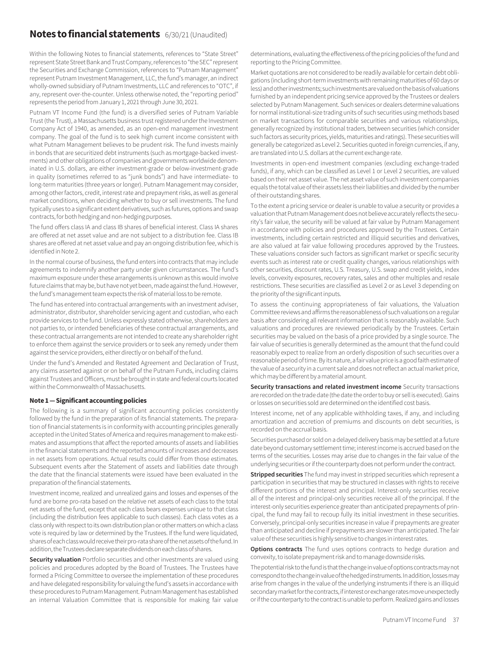# **Notes to financial statements** 6/30/21 (Unaudited)

Within the following Notes to financial statements, references to "State Street" represent State Street Bank and Trust Company, references to "the SEC" represent the Securities and Exchange Commission, references to "Putnam Management" represent Putnam Investment Management, LLC, the fund's manager, an indirect wholly-owned subsidiary of Putnam Investments, LLC and references to "OTC", if any, represent over-the-counter. Unless otherwise noted, the "reporting period" represents the period from January 1, 2021 through June 30, 2021.

Putnam VT Income Fund (the fund) is a diversified series of Putnam Variable Trust (the Trust), a Massachusetts business trust registered under the Investment Company Act of 1940, as amended, as an open-end management investment company. The goal of the fund is to seek high current income consistent with what Putnam Management believes to be prudent risk. The fund invests mainly in bonds that are securitized debt instruments (such as mortgage-backed investments) and other obligations of companies and governments worldwide denominated in U.S. dollars, are either investment-grade or below-investment-grade in quality (sometimes referred to as "junk bonds") and have intermediate- to long-term maturities (three years or longer). Putnam Management may consider, among other factors, credit, interest rate and prepayment risks, as well as general market conditions, when deciding whether to buy or sell investments. The fund typically uses to a significant extent derivatives, such as futures, options and swap contracts, for both hedging and non-hedging purposes.

The fund offers class IA and class IB shares of beneficial interest. Class IA shares are offered at net asset value and are not subject to a distribution fee. Class IB shares are offered at net asset value and pay an ongoing distribution fee, which is identified in Note 2.

In the normal course of business, the fund enters into contracts that may include agreements to indemnify another party under given circumstances. The fund's maximum exposure under these arrangements is unknown as this would involve future claims that may be, but have not yet been, made against the fund. However, the fund's management team expects the risk of material loss to be remote.

The fund has entered into contractual arrangements with an investment adviser, administrator, distributor, shareholder servicing agent and custodian, who each provide services to the fund. Unless expressly stated otherwise, shareholders are not parties to, or intended beneficiaries of these contractual arrangements, and these contractual arrangements are not intended to create any shareholder right to enforce them against the service providers or to seek any remedy under them against the service providers, either directly or on behalf of the fund.

Under the fund's Amended and Restated Agreement and Declaration of Trust, any claims asserted against or on behalf of the Putnam Funds, including claims against Trustees and Officers, must be brought in state and federal courts located within the Commonwealth of Massachusetts.

#### **Note 1 — Significant accounting policies**

The following is a summary of significant accounting policies consistently followed by the fund in the preparation of its financial statements. The preparation of financial statements is in conformity with accounting principles generally accepted in the United States of America and requires management to make estimates and assumptions that affect the reported amounts of assets and liabilities in the financial statements and the reported amounts of increases and decreases in net assets from operations. Actual results could differ from those estimates. Subsequent events after the Statement of assets and liabilities date through the date that the financial statements were issued have been evaluated in the preparation of the financial statements.

Investment income, realized and unrealized gains and losses and expenses of the fund are borne pro-rata based on the relative net assets of each class to the total net assets of the fund, except that each class bears expenses unique to that class (including the distribution fees applicable to such classes). Each class votes as a class only with respect to its own distribution plan or other matters on which a class vote is required by law or determined by the Trustees. If the fund were liquidated, shares of each class would receive their pro-rata share of the net assets of the fund. In addition, the Trustees declare separate dividends on each class of shares.

**Security valuation** Portfolio securities and other investments are valued using policies and procedures adopted by the Board of Trustees. The Trustees have formed a Pricing Committee to oversee the implementation of these procedures and have delegated responsibility for valuing the fund's assets in accordance with these procedures to Putnam Management. Putnam Management has established an internal Valuation Committee that is responsible for making fair value

determinations, evaluating the effectiveness of the pricing policies of the fund and reporting to the Pricing Committee.

Market quotations are not considered to be readily available for certain debt obligations (including short-term investments with remaining maturities of 60 days or less) and other investments; such investments are valued on the basis of valuations furnished by an independent pricing service approved by the Trustees or dealers selected by Putnam Management. Such services or dealers determine valuations for normal institutional-size trading units of such securities using methods based on market transactions for comparable securities and various relationships, generally recognized by institutional traders, between securities (which consider such factors as security prices, yields, maturities and ratings). These securities will generally be categorized as Level 2. Securities quoted in foreign currencies, if any, are translated into U.S. dollars at the current exchange rate.

Investments in open-end investment companies (excluding exchange-traded funds), if any, which can be classified as Level 1 or Level 2 securities, are valued based on their net asset value. The net asset value of such investment companies equals the total value of their assets less their liabilities and divided by the number of their outstanding shares.

To the extent a pricing service or dealer is unable to value a security or provides a valuation that Putnam Management does not believe accurately reflects the security's fair value, the security will be valued at fair value by Putnam Management in accordance with policies and procedures approved by the Trustees. Certain investments, including certain restricted and illiquid securities and derivatives, are also valued at fair value following procedures approved by the Trustees. These valuations consider such factors as significant market or specific security events such as interest rate or credit quality changes, various relationships with other securities, discount rates, U.S. Treasury, U.S. swap and credit yields, index levels, convexity exposures, recovery rates, sales and other multiples and resale restrictions. These securities are classified as Level 2 or as Level 3 depending on the priority of the significant inputs.

To assess the continuing appropriateness of fair valuations, the Valuation Committee reviews and affirms the reasonableness of such valuations on a regular basis after considering all relevant information that is reasonably available. Such valuations and procedures are reviewed periodically by the Trustees. Certain securities may be valued on the basis of a price provided by a single source. The fair value of securities is generally determined as the amount that the fund could reasonably expect to realize from an orderly disposition of such securities over a reasonable period of time. By its nature, a fair value price is a good faith estimate of the value of a security in a current sale and does not reflect an actual market price, which may be different by a material amount.

**Security transactions and related investment income** Security transactions are recorded on the trade date (the date the order to buy or sell is executed). Gains or losses on securities sold are determined on the identified cost basis.

Interest income, net of any applicable withholding taxes, if any, and including amortization and accretion of premiums and discounts on debt securities, is recorded on the accrual basis.

Securities purchased or sold on a delayed delivery basis may be settled at a future date beyond customary settlement time; interest income is accrued based on the terms of the securities. Losses may arise due to changes in the fair value of the underlying securities or if the counterparty does not perform under the contract.

**Stripped securities** The fund may invest in stripped securities which represent a participation in securities that may be structured in classes with rights to receive different portions of the interest and principal. Interest-only securities receive all of the interest and principal-only securities receive all of the principal. If the interest-only securities experience greater than anticipated prepayments of principal, the fund may fail to recoup fully its initial investment in these securities. Conversely, principal-only securities increase in value if prepayments are greater than anticipated and decline if prepayments are slower than anticipated. The fair value of these securities is highly sensitive to changes in interest rates.

**Options contracts** The fund uses options contracts to hedge duration and convexity, to isolate prepayment risk and to manage downside risks.

The potential risk to the fund is that the change in value of options contracts may not correspond to the change in value of the hedged instruments. In addition, losses may arise from changes in the value of the underlying instruments if there is an illiquid secondary market for the contracts, if interest or exchange rates move unexpectedly or if the counterparty to the contract is unable to perform. Realized gains and losses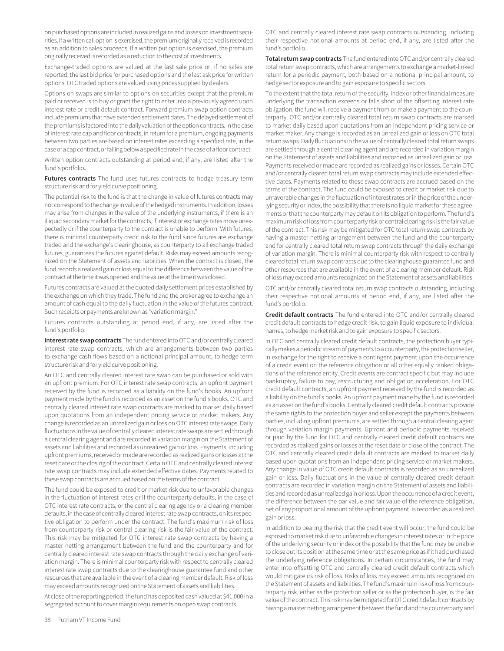on purchased options are included in realized gains and losses on investment securities. If a written call option is exercised, the premium originally received is recorded as an addition to sales proceeds. If a written put option is exercised, the premium originally received is recorded as a reduction to the cost of investments.

Exchange-traded options are valued at the last sale price or, if no sales are reported, the last bid price for purchased options and the last ask price for written options. OTC traded options are valued using prices supplied by dealers.

Options on swaps are similar to options on securities except that the premium paid or received is to buy or grant the right to enter into a previously agreed upon interest rate or credit default contract. Forward premium swap option contracts include premiums that have extended settlement dates. The delayed settlement of the premiums is factored into the daily valuation of the option contracts. In the case of interest rate cap and floor contracts, in return for a premium, ongoing payments between two parties are based on interest rates exceeding a specified rate, in the case of a cap contract, or falling below a specified rate in the case of a floor contract.

Written option contracts outstanding at period end, if any, are listed after the fund's portfolio**.**

**Futures contracts** The fund uses futures contracts to hedge treasury term structure risk and for yield curve positioning.

The potential risk to the fund is that the change in value of futures contracts may not correspond to the change in value of the hedged instruments. In addition, losses may arise from changes in the value of the underlying instruments, if there is an illiquid secondary market for the contracts, if interest or exchange rates move unexpectedly or if the counterparty to the contract is unable to perform. With futures, there is minimal counterparty credit risk to the fund since futures are exchange traded and the exchange's clearinghouse, as counterparty to all exchange traded futures, guarantees the futures against default. Risks may exceed amounts recognized on the Statement of assets and liabilities. When the contract is closed, the fund records a realized gain or loss equal to the difference between the value of the contract at the time it was opened and the value at the time it was closed.

Futures contracts are valued at the quoted daily settlement prices established by the exchange on which they trade. The fund and the broker agree to exchange an amount of cash equal to the daily fluctuation in the value of the futures contract. Such receipts or payments are known as "variation margin."

Futures contracts outstanding at period end, if any, are listed after the fund's portfolio.

**Interest rate swap contracts** The fund entered into OTC and/or centrally cleared interest rate swap contracts, which are arrangements between two parties to exchange cash flows based on a notional principal amount, to hedge term structure risk and for yield curve positioning.

An OTC and centrally cleared interest rate swap can be purchased or sold with an upfront premium. For OTC interest rate swap contracts, an upfront payment received by the fund is recorded as a liability on the fund's books. An upfront payment made by the fund is recorded as an asset on the fund's books. OTC and centrally cleared interest rate swap contracts are marked to market daily based upon quotations from an independent pricing service or market makers. Any change is recorded as an unrealized gain or loss on OTC interest rate swaps. Daily fluctuations in the value of centrally cleared interest rate swaps are settled through a central clearing agent and are recorded in variation margin on the Statement of assets and liabilities and recorded as unrealized gain or loss. Payments, including upfront premiums, received or made are recorded as realized gains or losses at the reset date or the closing of the contract. Certain OTC and centrally cleared interest rate swap contracts may include extended effective dates. Payments related to these swap contracts are accrued based on the terms of the contract.

The fund could be exposed to credit or market risk due to unfavorable changes in the fluctuation of interest rates or if the counterparty defaults, in the case of OTC interest rate contracts, or the central clearing agency or a clearing member defaults, in the case of centrally cleared interest rate swap contracts, on its respective obligation to perform under the contract. The fund's maximum risk of loss from counterparty risk or central clearing risk is the fair value of the contract. This risk may be mitigated for OTC interest rate swap contracts by having a master netting arrangement between the fund and the counterparty and for centrally cleared interest rate swap contracts through the daily exchange of variation margin. There is minimal counterparty risk with respect to centrally cleared interest rate swap contracts due to the clearinghouse guarantee fund and other resources that are available in the event of a clearing member default. Risk of loss may exceed amounts recognized on the Statement of assets and liabilities.

At close of the reporting period, the fund has deposited cash valued at \$41,000 in a segregated account to cover margin requirements on open swap contracts.

OTC and centrally cleared interest rate swap contracts outstanding, including their respective notional amounts at period end, if any, are listed after the fund's portfolio.

**Total return swap contracts** The fund entered into OTC and/or centrally cleared total return swap contracts, which are arrangements to exchange a market-linked return for a periodic payment, both based on a notional principal amount, to hedge sector exposure and to gain exposure to specific sectors.

To the extent that the total return of the security, index or other financial measure underlying the transaction exceeds or falls short of the offsetting interest rate obligation, the fund will receive a payment from or make a payment to the counterparty. OTC and/or centrally cleared total return swap contracts are marked to market daily based upon quotations from an independent pricing service or market maker. Any change is recorded as an unrealized gain or loss on OTC total return swaps. Daily fluctuations in the value of centrally cleared total return swaps are settled through a central clearing agent and are recorded in variation margin on the Statement of assets and liabilities and recorded as unrealized gain or loss. Payments received or made are recorded as realized gains or losses. Certain OTC and/or centrally cleared total return swap contracts may include extended effective dates. Payments related to these swap contracts are accrued based on the terms of the contract. The fund could be exposed to credit or market risk due to unfavorable changes in the fluctuation of interest rates or in the price of the underlying security or index, the possibility that there is no liquid market for these agreements or that the counterparty may default on its obligation to perform. The fund's maximum risk of loss from counterparty risk or central clearing risk is the fair value of the contract. This risk may be mitigated for OTC total return swap contracts by having a master netting arrangement between the fund and the counterparty and for centrally cleared total return swap contracts through the daily exchange of variation margin. There is minimal counterparty risk with respect to centrally cleared total return swap contracts due to the clearinghouse guarantee fund and other resources that are available in the event of a clearing member default. Risk of loss may exceed amounts recognized on the Statement of assets and liabilities.

OTC and/or centrally cleared total return swap contracts outstanding, including their respective notional amounts at period end, if any, are listed after the fund's portfolio.

**Credit default contracts** The fund entered into OTC and/or centrally cleared credit default contracts to hedge credit risk, to gain liquid exposure to individual names, to hedge market risk and to gain exposure to specific sectors.

In OTC and centrally cleared credit default contracts, the protection buyer typically makes a periodic stream of payments to a counterparty, the protection seller, in exchange for the right to receive a contingent payment upon the occurrence of a credit event on the reference obligation or all other equally ranked obligations of the reference entity. Credit events are contract specific but may include bankruptcy, failure to pay, restructuring and obligation acceleration. For OTC credit default contracts, an upfront payment received by the fund is recorded as a liability on the fund's books. An upfront payment made by the fund is recorded as an asset on the fund's books. Centrally cleared credit default contracts provide the same rights to the protection buyer and seller except the payments between parties, including upfront premiums, are settled through a central clearing agent through variation margin payments. Upfront and periodic payments received or paid by the fund for OTC and centrally cleared credit default contracts are recorded as realized gains or losses at the reset date or close of the contract. The OTC and centrally cleared credit default contracts are marked to market daily based upon quotations from an independent pricing service or market makers. Any change in value of OTC credit default contracts is recorded as an unrealized gain or loss. Daily fluctuations in the value of centrally cleared credit default contracts are recorded in variation margin on the Statement of assets and liabilities and recorded as unrealized gain or loss. Upon the occurrence of a credit event, the difference between the par value and fair value of the reference obligation, net of any proportional amount of the upfront payment, is recorded as a realized gain or loss.

In addition to bearing the risk that the credit event will occur, the fund could be exposed to market risk due to unfavorable changes in interest rates or in the price of the underlying security or index or the possibility that the fund may be unable to close out its position at the same time or at the same price as if it had purchased the underlying reference obligations. In certain circumstances, the fund may enter into offsetting OTC and centrally cleared credit default contracts which would mitigate its risk of loss. Risks of loss may exceed amounts recognized on the Statement of assets and liabilities. The fund's maximum risk of loss from counterparty risk, either as the protection seller or as the protection buyer, is the fair value of the contract. This risk may be mitigated for OTC credit default contracts by having a master netting arrangement between the fund and the counterparty and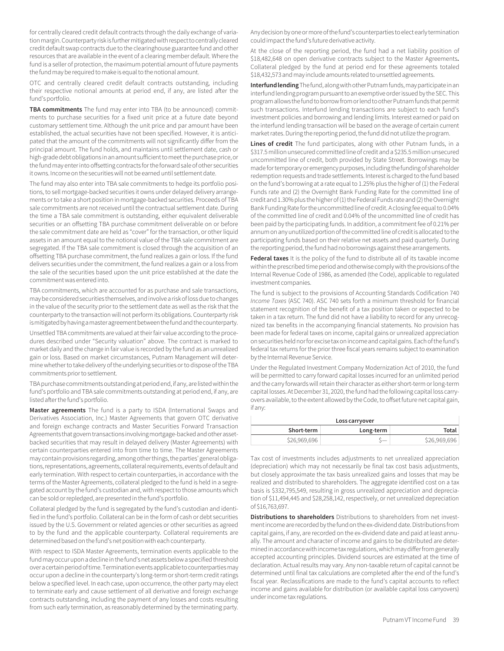for centrally cleared credit default contracts through the daily exchange of variation margin. Counterparty risk is further mitigated with respect to centrally cleared credit default swap contracts due to the clearinghouse guarantee fund and other resources that are available in the event of a clearing member default. Where the fund is a seller of protection, the maximum potential amount of future payments the fund may be required to make is equal to the notional amount.

OTC and centrally cleared credit default contracts outstanding, including their respective notional amounts at period end, if any, are listed after the fund's portfolio.

**TBA commitments** The fund may enter into TBA (to be announced) commitments to purchase securities for a fixed unit price at a future date beyond customary settlement time. Although the unit price and par amount have been established, the actual securities have not been specified. However, it is anticipated that the amount of the commitments will not significantly differ from the principal amount. The fund holds, and maintains until settlement date, cash or high-grade debt obligations in an amount sufficient to meet the purchase price, or the fund may enter into offsetting contracts for the forward sale of other securities it owns. Income on the securities will not be earned until settlement date.

The fund may also enter into TBA sale commitments to hedge its portfolio positions, to sell mortgage-backed securities it owns under delayed delivery arrangements or to take a short position in mortgage-backed securities. Proceeds of TBA sale commitments are not received until the contractual settlement date. During the time a TBA sale commitment is outstanding, either equivalent deliverable securities or an offsetting TBA purchase commitment deliverable on or before the sale commitment date are held as "cover" for the transaction, or other liquid assets in an amount equal to the notional value of the TBA sale commitment are segregated. If the TBA sale commitment is closed through the acquisition of an offsetting TBA purchase commitment, the fund realizes a gain or loss. If the fund delivers securities under the commitment, the fund realizes a gain or a loss from the sale of the securities based upon the unit price established at the date the commitment was entered into.

TBA commitments, which are accounted for as purchase and sale transactions, may be considered securities themselves, and involve a risk of loss due to changes in the value of the security prior to the settlement date as well as the risk that the counterparty to the transaction will not perform its obligations. Counterparty risk is mitigated by having a master agreement between the fund and the counterparty.

Unsettled TBA commitments are valued at their fair value according to the procedures described under "Security valuation" above. The contract is marked to market daily and the change in fair value is recorded by the fund as an unrealized gain or loss. Based on market circumstances, Putnam Management will determine whether to take delivery of the underlying securities or to dispose of the TBA commitments prior to settlement.

TBA purchase commitments outstanding at period end, if any, are listed within the fund's portfolio and TBA sale commitments outstanding at period end, if any, are listed after the fund's portfolio.

**Master agreements** The fund is a party to ISDA (International Swaps and Derivatives Association, Inc.) Master Agreements that govern OTC derivative and foreign exchange contracts and Master Securities Forward Transaction Agreements that govern transactions involving mortgage-backed and other assetbacked securities that may result in delayed delivery (Master Agreements) with certain counterparties entered into from time to time. The Master Agreements may contain provisions regarding, among other things, the parties' general obligations, representations, agreements, collateral requirements, events of default and early termination. With respect to certain counterparties, in accordance with the terms of the Master Agreements, collateral pledged to the fund is held in a segregated account by the fund's custodian and, with respect to those amounts which can be sold or repledged, are presented in the fund's portfolio.

Collateral pledged by the fund is segregated by the fund's custodian and identified in the fund's portfolio. Collateral can be in the form of cash or debt securities issued by the U.S. Government or related agencies or other securities as agreed to by the fund and the applicable counterparty. Collateral requirements are determined based on the fund's net position with each counterparty.

With respect to ISDA Master Agreements, termination events applicable to the fund may occur upon a decline in the fund's net assets below a specified threshold over a certain period of time. Termination events applicable to counterparties may occur upon a decline in the counterparty's long-term or short-term credit ratings below a specified level. In each case, upon occurrence, the other party may elect to terminate early and cause settlement of all derivative and foreign exchange contracts outstanding, including the payment of any losses and costs resulting from such early termination, as reasonably determined by the terminating party.

Any decision by one or more of the fund's counterparties to elect early termination could impact the fund's future derivative activity.

At the close of the reporting period, the fund had a net liability position of \$18,482,648 on open derivative contracts subject to the Master Agreements**.** Collateral pledged by the fund at period end for these agreements totaled \$18,432,573 and may include amounts related to unsettled agreements.

**Interfund lending** The fund, along with other Putnam funds, may participate in an interfund lending program pursuant to an exemptive order issued by the SEC. This program allows the fund to borrow from or lend to other Putnam funds that permit such transactions. Interfund lending transactions are subject to each fund's investment policies and borrowing and lending limits. Interest earned or paid on the interfund lending transaction will be based on the average of certain current market rates. During the reporting period, the fund did not utilize the program.

**Lines of credit** The fund participates, along with other Putnam funds, in a \$317.5 million unsecured committed line of credit and a \$235.5 million unsecured uncommitted line of credit, both provided by State Street. Borrowings may be made for temporary or emergency purposes, including the funding of shareholder redemption requests and trade settlements. Interest is charged to the fund based on the fund's borrowing at a rate equal to 1.25% plus the higher of (1) the Federal Funds rate and (2) the Overnight Bank Funding Rate for the committed line of credit and 1.30% plus the higher of (1) the Federal Funds rate and (2) the Overnight Bank Funding Rate for the uncommitted line of credit. A closing fee equal to 0.04% of the committed line of credit and 0.04% of the uncommitted line of credit has been paid by the participating funds. In addition, a commitment fee of 0.21% per annum on any unutilized portion of the committed line of credit is allocated to the participating funds based on their relative net assets and paid quarterly. During the reporting period, the fund had no borrowings against these arrangements.

**Federal taxes** It is the policy of the fund to distribute all of its taxable income within the prescribed time period and otherwise comply with the provisions of the Internal Revenue Code of 1986, as amended (the Code), applicable to regulated investment companies.

The fund is subject to the provisions of Accounting Standards Codification 740 *Income Taxes* (ASC 740). ASC 740 sets forth a minimum threshold for financial statement recognition of the benefit of a tax position taken or expected to be taken in a tax return. The fund did not have a liability to record for any unrecognized tax benefits in the accompanying financial statements. No provision has been made for federal taxes on income, capital gains or unrealized appreciation on securities held nor for excise tax on income and capital gains. Each of the fund's federal tax returns for the prior three fiscal years remains subject to examination by the Internal Revenue Service.

Under the Regulated Investment Company Modernization Act of 2010, the fund will be permitted to carry forward capital losses incurred for an unlimited period and the carry forwards will retain their character as either short-term or long-term capital losses. At December 31, 2020, the fund had the following capital loss carryovers available, to the extent allowed by the Code, to offset future net capital gain, if any:

| Loss carryover |           |              |  |  |  |
|----------------|-----------|--------------|--|--|--|
| Short-term     | Long-term | Total        |  |  |  |
| \$26,969,696   |           | \$26,969,696 |  |  |  |

Tax cost of investments includes adjustments to net unrealized appreciation (depreciation) which may not necessarily be final tax cost basis adjustments, but closely approximate the tax basis unrealized gains and losses that may be realized and distributed to shareholders. The aggregate identified cost on a tax basis is \$332,795,549, resulting in gross unrealized appreciation and depreciation of \$11,494,445 and \$28,258,142, respectively, or net unrealized depreciation of \$16,763,697.

**Distributions to shareholders** Distributions to shareholders from net investment income are recorded by the fund on the ex-dividend date. Distributions from capital gains, if any, are recorded on the ex-dividend date and paid at least annually. The amount and character of income and gains to be distributed are determined in accordance with income tax regulations, which may differ from generally accepted accounting principles. Dividend sources are estimated at the time of declaration. Actual results may vary. Any non-taxable return of capital cannot be determined until final tax calculations are completed after the end of the fund's fiscal year. Reclassifications are made to the fund's capital accounts to reflect income and gains available for distribution (or available capital loss carryovers) under income tax regulations.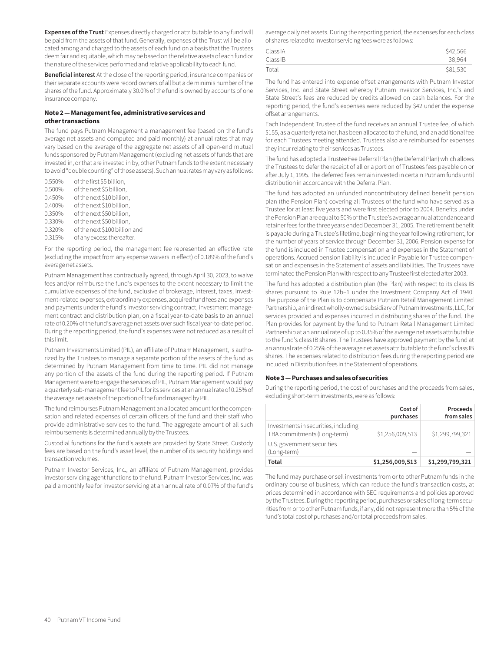**Expenses of the Trust** Expenses directly charged or attributable to any fund will be paid from the assets of that fund. Generally, expenses of the Trust will be allocated among and charged to the assets of each fund on a basis that the Trustees deem fair and equitable, which may be based on the relative assets of each fund or the nature of the services performed and relative applicability to each fund.

**Beneficial interest** At the close of the reporting period, insurance companies or their separate accounts were record owners of all but a de minimis number of the shares of the fund. Approximately 30.0% of the fund is owned by accounts of one insurance company.

#### **Note 2 — Management fee, administrative services and other transactions**

The fund pays Putnam Management a management fee (based on the fund's average net assets and computed and paid monthly) at annual rates that may vary based on the average of the aggregate net assets of all open-end mutual funds sponsored by Putnam Management (excluding net assets of funds that are invested in, or that are invested in by, other Putnam funds to the extent necessary to avoid "double counting" of those assets). Such annual rates may vary as follows:

0.550% of the first \$5 billion, 0.500% of the next \$5 billion, 0.450% of the next \$10 billion, 0.400% of the next \$10 billion, 0.350% of the next \$50 billion, 0.330% of the next \$50 billion, 0.320% of the next \$100 billion and 0.315% of any excess thereafter.

For the reporting period, the management fee represented an effective rate (excluding the impact from any expense waivers in effect) of 0.189% of the fund's average net assets.

Putnam Management has contractually agreed, through April 30, 2023, to waive fees and/or reimburse the fund's expenses to the extent necessary to limit the cumulative expenses of the fund, exclusive of brokerage, interest, taxes, investment-related expenses, extraordinary expenses, acquired fund fees and expenses and payments under the fund's investor servicing contract, investment management contract and distribution plan, on a fiscal year-to-date basis to an annual rate of 0.20% of the fund's average net assets over such fiscal year-to-date period. During the reporting period, the fund's expenses were not reduced as a result of this limit.

Putnam Investments Limited (PIL), an affiliate of Putnam Management, is authorized by the Trustees to manage a separate portion of the assets of the fund as determined by Putnam Management from time to time. PIL did not manage any portion of the assets of the fund during the reporting period. If Putnam Management were to engage the services of PIL, Putnam Management would pay a quarterly sub-management fee to PIL for its services at an annual rate of 0.25% of the average net assets of the portion of the fund managed by PIL.

The fund reimburses Putnam Management an allocated amount for the compensation and related expenses of certain officers of the fund and their staff who provide administrative services to the fund. The aggregate amount of all such reimbursements is determined annually by the Trustees.

Custodial functions for the fund's assets are provided by State Street. Custody fees are based on the fund's asset level, the number of its security holdings and transaction volumes.

Putnam Investor Services, Inc., an affiliate of Putnam Management, provides investor servicing agent functions to the fund. Putnam Investor Services, Inc. was paid a monthly fee for investor servicing at an annual rate of 0.07% of the fund's average daily net assets. During the reporting period, the expenses for each class of shares related to investor servicing fees were as follows:

| Class IA | \$42,566 |
|----------|----------|
| Class IB | 38.964   |
| Total    | \$81,530 |

The fund has entered into expense offset arrangements with Putnam Investor Services, Inc. and State Street whereby Putnam Investor Services, Inc.'s and State Street's fees are reduced by credits allowed on cash balances. For the reporting period, the fund's expenses were reduced by \$42 under the expense offset arrangements.

Each Independent Trustee of the fund receives an annual Trustee fee, of which \$155, as a quarterly retainer, has been allocated to the fund, and an additional fee for each Trustees meeting attended. Trustees also are reimbursed for expenses they incur relating to their services as Trustees.

The fund has adopted a Trustee Fee Deferral Plan (the Deferral Plan) which allows the Trustees to defer the receipt of all or a portion of Trustees fees payable on or after July 1, 1995. The deferred fees remain invested in certain Putnam funds until distribution in accordance with the Deferral Plan.

The fund has adopted an unfunded noncontributory defined benefit pension plan (the Pension Plan) covering all Trustees of the fund who have served as a Trustee for at least five years and were first elected prior to 2004. Benefits under the Pension Plan are equal to 50% of the Trustee's average annual attendance and retainer fees for the three years ended December 31, 2005. The retirement benefit is payable during a Trustee's lifetime, beginning the year following retirement, for the number of years of service through December 31, 2006. Pension expense for the fund is included in Trustee compensation and expenses in the Statement of operations. Accrued pension liability is included in Payable for Trustee compensation and expenses in the Statement of assets and liabilities. The Trustees have terminated the Pension Plan with respect to any Trustee first elected after 2003.

The fund has adopted a distribution plan (the Plan) with respect to its class IB shares pursuant to Rule 12b–1 under the Investment Company Act of 1940. The purpose of the Plan is to compensate Putnam Retail Management Limited Partnership, an indirect wholly-owned subsidiary of Putnam Investments, LLC, for services provided and expenses incurred in distributing shares of the fund. The Plan provides for payment by the fund to Putnam Retail Management Limited Partnership at an annual rate of up to 0.35% of the average net assets attributable to the fund's class IB shares. The Trustees have approved payment by the fund at an annual rate of 0.25% of the average net assets attributable to the fund's class IB shares. The expenses related to distribution fees during the reporting period are included in Distribution fees in the Statement of operations.

#### **Note 3 — Purchases and sales of securities**

During the reporting period, the cost of purchases and the proceeds from sales, excluding short-term investments, were as follows:

|                                                                     | Cost of<br>purchases | Proceeds<br>from sales |
|---------------------------------------------------------------------|----------------------|------------------------|
| Investments in securities, including<br>TBA commitments (Long-term) | \$1,256,009,513      | \$1,299,799,321        |
| U.S. government securities<br>(Long-term)                           |                      |                        |
| Total                                                               | \$1,256,009,513      | \$1,299,799,321        |

The fund may purchase or sell investments from or to other Putnam funds in the ordinary course of business, which can reduce the fund's transaction costs, at prices determined in accordance with SEC requirements and policies approved by the Trustees. During the reporting period, purchases or sales of long-term securities from or to other Putnam funds, if any, did not represent more than 5% of the fund's total cost of purchases and/or total proceeds from sales.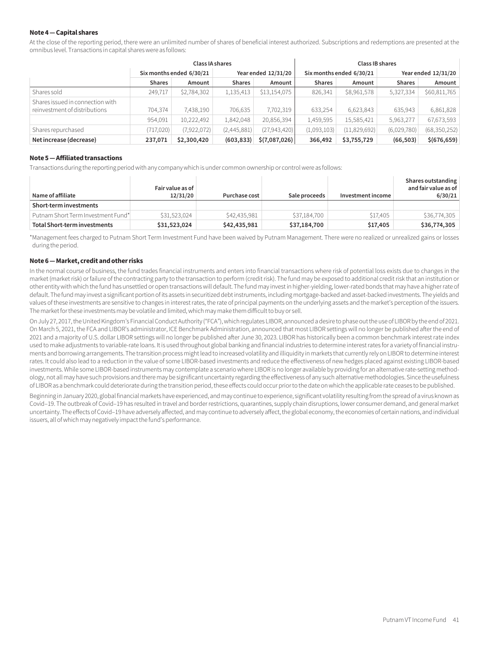#### **Note 4 — Capital shares**

At the close of the reporting period, there were an unlimited number of shares of beneficial interest authorized. Subscriptions and redemptions are presented at the omnibus level. Transactions in capital shares were as follows:

|                                                                   |               | Class IA shares          |                     |               | Class IB shares |                          |                     |                |  |
|-------------------------------------------------------------------|---------------|--------------------------|---------------------|---------------|-----------------|--------------------------|---------------------|----------------|--|
|                                                                   |               | Six months ended 6/30/21 | Year ended 12/31/20 |               |                 | Six months ended 6/30/21 | Year ended 12/31/20 |                |  |
|                                                                   | <b>Shares</b> | Amount                   | <b>Shares</b>       | Amount        | <b>Shares</b>   | Amount                   | <b>Shares</b>       | Amount         |  |
| Shares sold                                                       | 249,717       | \$2,784,302              | 1,135,413           | \$13,154,075  | 826,341         | \$8,961,578              | 5,327,334           | \$60,811,765   |  |
| Shares issued in connection with<br>reinvestment of distributions | 704.374       | 7,438,190                | 706,635             | 7,702,319     | 633,254         | 6,623,843                | 635,943             | 6,861,828      |  |
|                                                                   | 954,091       | 10,222,492               | 1,842,048           | 20,856,394    | 1,459,595       | 15,585,421               | 5,963,277           | 67,673,593     |  |
| Shares repurchased                                                | (717,020)     | (7,922,072)              | (2,445,881)         | (27,943,420)  | (1,093,103)     | (11,829,692)             | (6,029,780)         | (68, 350, 252) |  |
| Net increase (decrease)                                           | 237,071       | \$2,300,420              | (603, 833)          | \$(7,087,026) | 366,492         | \$3,755,729              | (66, 503)           | \$ (676, 659)  |  |

#### **Note 5 — Affiliated transactions**

Transactions during the reporting period with any company which is under common ownership or control were as follows:

| Name of affiliate                   | Fair value as of<br>12/31/20 | Purchase cost | Sale proceeds | Investment income | Shares outstanding<br>and fair value as of<br>6/30/21 |
|-------------------------------------|------------------------------|---------------|---------------|-------------------|-------------------------------------------------------|
| Short-term investments              |                              |               |               |                   |                                                       |
| Putnam Short Term Investment Fund*  | \$31,523,024                 | \$42,435,981  | \$37,184,700  | \$17,405          | \$36,774,305                                          |
| <b>Total Short-term investments</b> | \$31,523,024                 | \$42,435,981  | \$37,184,700  | \$17,405          | \$36,774,305                                          |

 \*Management fees charged to Putnam Short Term Investment Fund have been waived by Putnam Management. There were no realized or unrealized gains or losses during the period.

#### **Note 6 — Market, credit and other risks**

In the normal course of business, the fund trades financial instruments and enters into financial transactions where risk of potential loss exists due to changes in the market (market risk) or failure of the contracting party to the transaction to perform (credit risk). The fund may be exposed to additional credit risk that an institution or other entity with which the fund has unsettled or open transactions will default. The fund may invest in higher-yielding, lower-rated bonds that may have a higher rate of default. The fund may invest a significant portion of its assets in securitized debt instruments, including mortgage-backed and asset-backed investments. The yields and values of these investments are sensitive to changes in interest rates, the rate of principal payments on the underlying assets and the market's perception of the issuers. The market for these investments may be volatile and limited, which may make them difficult to buy or sell.

On July 27, 2017, the United Kingdom's Financial Conduct Authority ("FCA"), which regulates LIBOR, announced a desire to phase out the use of LIBOR by the end of 2021. On March 5, 2021, the FCA and LIBOR's administrator, ICE Benchmark Administration, announced that most LIBOR settings will no longer be published after the end of 2021 and a majority of U.S. dollar LIBOR settings will no longer be published after June 30, 2023. LIBOR has historically been a common benchmark interest rate index used to make adjustments to variable-rate loans. It is used throughout global banking and financial industries to determine interest rates for a variety of financial instruments and borrowing arrangements. The transition process might lead to increased volatility and illiquidity in markets that currently rely on LIBOR to determine interest rates. It could also lead to a reduction in the value of some LIBOR-based investments and reduce the effectiveness of new hedges placed against existing LIBOR-based investments. While some LIBOR-based instruments may contemplate a scenario where LIBOR is no longer available by providing for an alternative rate-setting methodology, not all may have such provisions and there may be significant uncertainty regarding the effectiveness of any such alternative methodologies. Since the usefulness of LIBOR as a benchmark could deteriorate during the transition period, these effects could occur prior to the date on which the applicable rate ceases to be published.

Beginning in January 2020, global financial markets have experienced, and may continue to experience, significant volatility resulting from the spread of a virus known as Covid–19. The outbreak of Covid–19 has resulted in travel and border restrictions, quarantines, supply chain disruptions, lower consumer demand, and general market uncertainty. The effects of Covid–19 have adversely affected, and may continue to adversely affect, the global economy, the economies of certain nations, and individual issuers, all of which may negatively impact the fund's performance.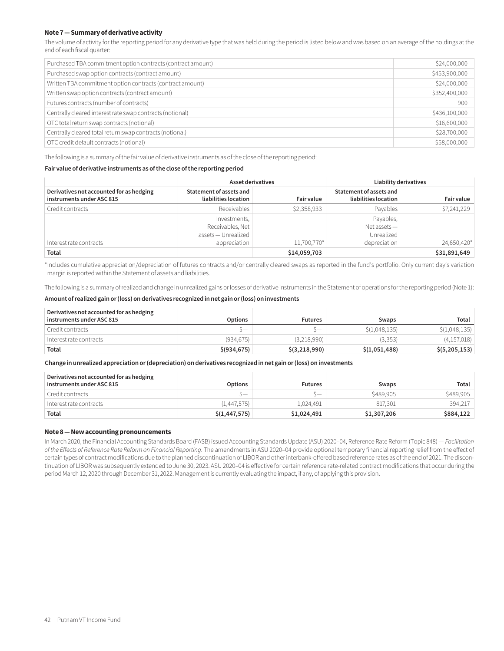#### **Note 7 — Summary of derivative activity**

The volume of activity for the reporting period for any derivative type that was held during the period is listed below and was based on an average of the holdings at the end of each fiscal quarter:

| Purchased TBA commitment option contracts (contract amount) | \$24,000,000  |
|-------------------------------------------------------------|---------------|
| Purchased swap option contracts (contract amount)           | \$453,900,000 |
| Written TBA commitment option contracts (contract amount)   | \$24,000,000  |
| Written swap option contracts (contract amount)             | \$352,400,000 |
| Futures contracts (number of contracts)                     | 900           |
| Centrally cleared interest rate swap contracts (notional)   | \$436,100,000 |
| OTC total return swap contracts (notional)                  | \$16,600,000  |
| Centrally cleared total return swap contracts (notional)    | \$28,700,000  |
| OTC credit default contracts (notional)                     | \$58,000,000  |

The following is a summary of the fair value of derivative instruments as of the close of the reporting period:

#### **Fair value of derivative instruments as of the close of the reporting period**

|                                                                       | Asset derivatives                                                       |                   | Liability derivatives                                     |                   |
|-----------------------------------------------------------------------|-------------------------------------------------------------------------|-------------------|-----------------------------------------------------------|-------------------|
| Derivatives not accounted for as hedging<br>instruments under ASC 815 | Statement of assets and<br>liabilities location                         | <b>Fair value</b> | Statement of assets and<br>liabilities location           | <b>Fair value</b> |
| Credit contracts                                                      | Receivables                                                             | \$2,358,933       | Payables                                                  | \$7,241,229       |
| Interest rate contracts                                               | Investments,<br>Receivables, Net<br>assets - Unrealized<br>appreciation | 11,700,770*       | Payables,<br>Net assets $-$<br>Unrealized<br>depreciation | 24,650,420*       |
| <b>Total</b>                                                          |                                                                         | \$14,059,703      |                                                           | \$31,891,649      |

\*Includes cumulative appreciation/depreciation of futures contracts and/or centrally cleared swaps as reported in the fund's portfolio. Only current day's variation margin is reported within the Statement of assets and liabilities.

The following is a summary of realized and change in unrealized gains or losses of derivative instruments in the Statement of operations for the reporting period (Note 1):

#### **Amount of realized gain or (loss) on derivatives recognized in net gain or (loss) on investments**

| Derivatives not accounted for as hedging<br>instruments under ASC 815 | Options       | <b>Futures</b> | Swaps              | Total         |
|-----------------------------------------------------------------------|---------------|----------------|--------------------|---------------|
| Credit contracts                                                      | \—            | $\sim$         | $\zeta(1,048,135)$ | \$(1,048,135) |
| Interest rate contracts                                               | (934, 675)    | (3,218,990)    | (3, 353)           | (4, 157, 018) |
| Total                                                                 | \$ (934, 675) | \$(3,218,990)  | \$(1,051,488)      | \$(5,205,153) |

#### **Change in unrealized appreciation or (depreciation) on derivatives recognized in net gain or (loss) on investments**

| Derivatives not accounted for as hedging<br>instruments under ASC 815 | <b>Options</b>  | <b>Futures</b> | <b>Swaps</b> | Total     |
|-----------------------------------------------------------------------|-----------------|----------------|--------------|-----------|
| Credit contracts                                                      | \—              |                | \$489,905    | \$489,905 |
| Interest rate contracts                                               | (1,447,575)     | 1,024,491      | 817,301      | 394.217   |
| Total                                                                 | \$(1, 447, 575) | \$1,024,491    | \$1,307,206  | \$884,122 |

#### **Note 8 — New accounting pronouncements**

In March 2020, the Financial Accounting Standards Board (FASB) issued Accounting Standards Update (ASU) 2020–04, Reference Rate Reform (Topic 848) — *Facilitation of the Effects of Reference Rate Reform on Financial Reporting*. The amendments in ASU 2020–04 provide optional temporary financial reporting relief from the effect of certain types of contract modifications due to the planned discontinuation of LIBOR and other interbank-offered based reference rates as of the end of 2021. The discontinuation of LIBOR was subsequently extended to June 30, 2023. ASU 2020–04 is effective for certain reference rate-related contract modifications that occur during the period March 12, 2020 through December 31, 2022. Management is currently evaluating the impact, if any, of applying this provision.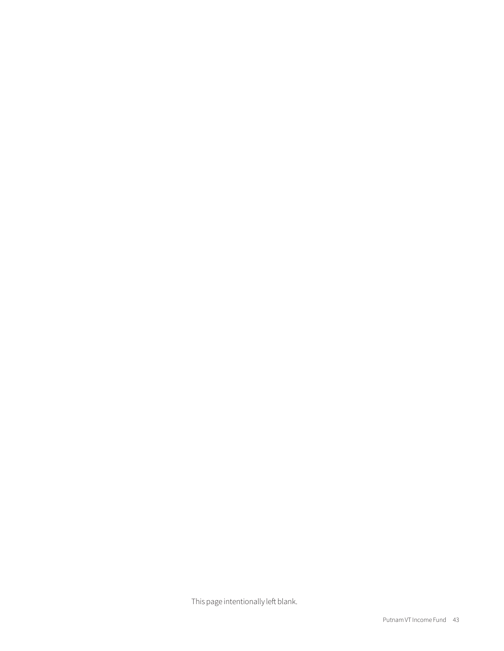This page intentionally left blank.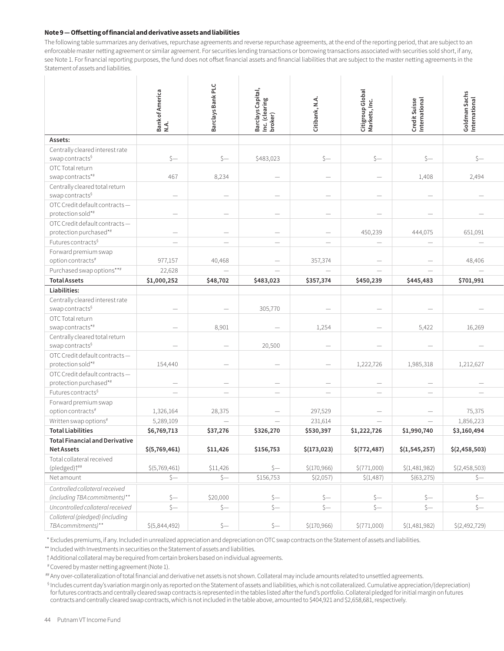#### **Note 9 — Offsetting of financial and derivative assets and liabilities**

The following table summarizes any derivatives, repurchase agreements and reverse repurchase agreements, at the end of the reporting period, that are subject to an enforceable master netting agreement or similar agreement. For securities lending transactions or borrowing transactions associated with securities sold short, if any, see Note 1. For financial reporting purposes, the fund does not offset financial assets and financial liabilities that are subject to the master netting agreements in the Statement of assets and liabilities.

|                                       | America<br>Bank of ,<br>N.A.    | PLC<br><b>Bank</b><br><b>Barclays</b> | Barclays Capital,<br>Inc. (clearing<br>broker) | ⋖<br>ank, N.<br>Citibi          | Citigroup Global<br>Markets, Inc. | Credit Suisse<br>International  | Goldman Sachs<br>International  |
|---------------------------------------|---------------------------------|---------------------------------------|------------------------------------------------|---------------------------------|-----------------------------------|---------------------------------|---------------------------------|
| Assets:                               |                                 |                                       |                                                |                                 |                                   |                                 |                                 |
| Centrally cleared interest rate       |                                 |                                       |                                                |                                 |                                   |                                 |                                 |
| swap contracts <sup>§</sup>           | $S-$                            | $\zeta-$                              | \$483,023                                      | $\zeta-$                        | $S-$                              | $\zeta-$                        | $S-$                            |
| OTC Total return                      |                                 |                                       |                                                |                                 |                                   |                                 |                                 |
| swap contracts*#                      | 467                             | 8,234                                 | $\overline{\phantom{m}}$                       |                                 |                                   | 1,408                           | 2,494                           |
|                                       |                                 |                                       |                                                | $\hspace{0.1mm}-\hspace{0.1mm}$ | $\hspace{0.1mm}-\hspace{0.1mm}$   |                                 |                                 |
| Centrally cleared total return        |                                 |                                       |                                                |                                 |                                   |                                 |                                 |
| swap contracts <sup>§</sup>           | $\hspace{0.1mm}-\hspace{0.1mm}$ | $\hspace{0.1mm}-\hspace{0.1mm}$       | $\overline{\phantom{a}}$                       | $\hspace{0.1mm}$                | $\hspace{0.1mm}-\hspace{0.1mm}$   | $\overline{\phantom{m}}$        | $\overline{\phantom{a}}$        |
| OTC Credit default contracts-         |                                 |                                       |                                                |                                 |                                   |                                 |                                 |
| protection sold*#                     | $\hspace{0.1mm}$                | $\hspace{0.1mm}-\hspace{0.1mm}$       | $\overline{\phantom{a}}$                       | $\hspace{0.1mm}-\hspace{0.1mm}$ | $\hspace{0.1mm}-\hspace{0.1mm}$   | $\hspace{0.1mm}-\hspace{0.1mm}$ | $\hspace{0.1mm}-\hspace{0.1mm}$ |
| OTC Credit default contracts-         |                                 |                                       |                                                |                                 |                                   |                                 |                                 |
| protection purchased*#                | $\hspace{0.1mm}$                | $\overline{\phantom{a}}$              | $\overline{\phantom{0}}$                       | $\overline{\phantom{a}}$        | 450,239                           | 444,075                         | 651,091                         |
| Futures contracts <sup>§</sup>        | $\overline{\phantom{a}}$        | $\overline{\phantom{a}}$              | $\overline{\phantom{a}}$                       | $\overline{\phantom{a}}$        | $\overline{\phantom{a}}$          | $\hspace{0.1mm}-\hspace{0.1mm}$ | $\hspace{0.1mm}-\hspace{0.1mm}$ |
| Forward premium swap                  |                                 |                                       |                                                |                                 |                                   |                                 |                                 |
| option contracts <sup>#</sup>         | 977,157                         | 40,468                                | $\overline{\phantom{a}}$                       | 357,374                         | $\hspace{0.1mm}-\hspace{0.1mm}$   | $\hspace{0.1mm}-\hspace{0.1mm}$ | 48,406                          |
| Purchased swap options**#             | 22,628                          | $\hspace{0.1mm}-\hspace{0.1mm}$       | $\overline{\phantom{m}}$                       | $\hspace{0.1mm}-\hspace{0.1mm}$ | $\overline{\phantom{m}}$          | $\overline{\phantom{m}}$        | $\hspace{0.1mm}-\hspace{0.1mm}$ |
| <b>Total Assets</b>                   | \$1,000,252                     | \$48,702                              | \$483,023                                      | \$357,374                       | \$450,239                         | \$445,483                       | \$701,991                       |
| Liabilities:                          |                                 |                                       |                                                |                                 |                                   |                                 |                                 |
| Centrally cleared interest rate       |                                 |                                       |                                                |                                 |                                   |                                 |                                 |
| swap contracts <sup>§</sup>           | $\sim$                          | $\hspace{0.1mm}-\hspace{0.1mm}$       | 305,770                                        | $\hspace{0.1mm}-\hspace{0.1mm}$ | $\hspace{0.1mm}-\hspace{0.1mm}$   | $\overline{\phantom{m}}$        | $\overline{\phantom{a}}$        |
| OTC Total return                      |                                 |                                       |                                                |                                 |                                   |                                 |                                 |
| swap contracts*#                      | $\hspace{0.1mm}$                | 8,901                                 | $\overline{\phantom{m}}$                       | 1,254                           | $\hspace{0.1mm}-\hspace{0.1mm}$   | 5,422                           | 16,269                          |
| Centrally cleared total return        |                                 |                                       |                                                |                                 |                                   |                                 |                                 |
| swap contracts <sup>§</sup>           | $\overline{\phantom{a}}$        | $\hspace{0.1mm}-\hspace{0.1mm}$       | 20,500                                         | $\hspace{0.1mm}-\hspace{0.1mm}$ | $\hspace{0.1mm}-\hspace{0.1mm}$   | $\hspace{0.1mm}-\hspace{0.1mm}$ | $\overline{\phantom{m}}$        |
|                                       |                                 |                                       |                                                |                                 |                                   |                                 |                                 |
| OTC Credit default contracts-         |                                 |                                       |                                                |                                 |                                   |                                 |                                 |
| protection sold*#                     | 154,440                         | $\hspace{0.1mm}-\hspace{0.1mm}$       | $\overline{\phantom{m}}$                       | $\hspace{0.1mm}$                | 1,222,726                         | 1,985,318                       | 1,212,627                       |
| OTC Credit default contracts-         |                                 |                                       |                                                |                                 |                                   |                                 |                                 |
| protection purchased*#                | $\sim$                          | $\hspace{0.1mm}-\hspace{0.1mm}$       | $\overline{\phantom{m}}$                       | $\hspace{0.1mm}-\hspace{0.1mm}$ | $\hspace{0.1mm}-\hspace{0.1mm}$   | $\overline{\phantom{m}}$        | $\overline{\phantom{a}}$        |
| Futures contracts <sup>§</sup>        | $\hspace{0.1mm}-\hspace{0.1mm}$ | $\overline{\phantom{0}}$              | $\overline{\phantom{m}}$                       | $\hspace{0.1mm}-\hspace{0.1mm}$ | $\hspace{0.1mm}-\hspace{0.1mm}$   | $\overline{\phantom{m}}$        | $\overline{\phantom{m}}$        |
| Forward premium swap                  |                                 |                                       |                                                |                                 |                                   |                                 |                                 |
| option contracts <sup>#</sup>         | 1,326,164                       | 28,375                                | $\overline{\phantom{a}}$                       | 297,529                         | $\hspace{0.1mm}-\hspace{0.1mm}$   | $\hspace{0.1mm}-\hspace{0.1mm}$ | 75,375                          |
| Written swap options#                 | 5,289,109                       | $\hspace{0.1mm}-\hspace{0.1mm}$       | $\equiv$                                       | 231,614                         | $\overline{\phantom{a}}$          | $\hspace{0.1mm}-\hspace{0.1mm}$ | 1,856,223                       |
| <b>Total Liabilities</b>              | \$6,769,713                     | \$37,276                              | \$326,270                                      | \$530,397                       | \$1,222,726                       | \$1,990,740                     | \$3,160,494                     |
| <b>Total Financial and Derivative</b> |                                 |                                       |                                                |                                 |                                   |                                 |                                 |
| <b>Net Assets</b>                     | \$(5,769,461)                   | \$11,426                              | \$156,753                                      | \$(173,023)                     | \$(772, 487)                      | \$(1, 545, 257)                 | \$(2,458,503)                   |
| Total collateral received             |                                 |                                       |                                                |                                 |                                   |                                 |                                 |
| (pledged) <sup>†##</sup>              | \$(5,769,461)                   | \$11,426                              | $\zeta-$                                       | \$(170,966)                     | \$(771,000)                       | \$(1,481,982)                   | \$(2,458,503)                   |
| Net amount                            | $S-$                            | $\zeta-$                              | \$156,753                                      | \$(2,057)                       | \$(1,487)                         | \$ (63, 275)                    | $S-$                            |
|                                       |                                 |                                       |                                                |                                 |                                   |                                 |                                 |
| Controlled collateral received        |                                 |                                       |                                                |                                 |                                   |                                 |                                 |
| (including TBA commitments)**         | $\zeta-$                        | \$20,000                              | $s-$                                           | $s-$                            | $s-$                              | $S-$                            | $S-$                            |
| Uncontrolled collateral received      | $S-$                            | $\zeta-$                              | $s-$                                           | $S-$                            | $\zeta-$                          | $\zeta-$                        | $S-$                            |
| Collateral (pledged) (including       |                                 |                                       |                                                |                                 |                                   |                                 |                                 |
| TBA commitments)**                    | \$ (5,844,492)                  | $S-$                                  | $S-$                                           | \$(170, 966)                    | \$(771,000)                       | \$(1,481,982)                   | \$(2,492,729)                   |

\*Excludes premiums, if any. Included in unrealized appreciation and depreciation on OTC swap contracts on the Statement of assets and liabilities.

\*\* Included with Investments in securities on the Statement of assets and liabilities.

†Additional collateral may be required from certain brokers based on individual agreements.

#Covered by master netting agreement (Note 1).

##Any over-collateralization of total financial and derivative net assets is not shown. Collateral may include amounts related to unsettled agreements.

§ Includes current day's variation margin only as reported on the Statement of assets and liabilities, which is not collateralized. Cumulative appreciation/(depreciation) for futures contracts and centrally cleared swap contracts is represented in the tables listed after the fund's portfolio. Collateral pledged for initial margin on futures contracts and centrally cleared swap contracts, which is not included in the table above, amounted to \$404,921 and \$2,658,681, respectively.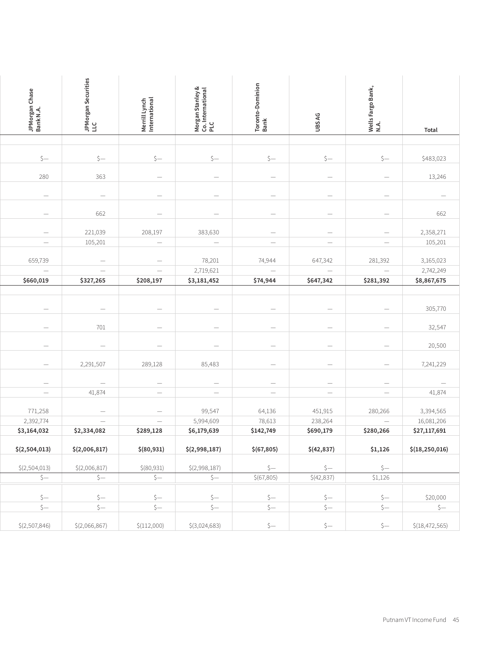| JPMorgan Chase<br>Bank N.A.          | JPMorgan Securities<br>LLC      | Merrill Lynch<br>International        | Morgan Stanley &<br>  Co. International<br>  PLC    | Toronto-Dominion<br>Bank             | <b>UBSAG</b>                               | Wells Fargo Bank,<br>N.A.                                                                         | Total                           |
|--------------------------------------|---------------------------------|---------------------------------------|-----------------------------------------------------|--------------------------------------|--------------------------------------------|---------------------------------------------------------------------------------------------------|---------------------------------|
|                                      |                                 |                                       |                                                     |                                      |                                            |                                                                                                   |                                 |
| $\zeta-$                             | $\zeta-$                        | $S-$                                  | $S-$                                                | $\zeta-$                             | $S-$                                       | $\zeta-$                                                                                          | \$483,023                       |
| 280                                  | 363                             |                                       |                                                     |                                      |                                            |                                                                                                   | 13,246                          |
|                                      |                                 | $\sim$                                | $\hspace{0.1mm}-\hspace{0.1mm}$                     | $\sim$                               | $\hspace{0.1cm}$                           | $\overline{\phantom{m}}$                                                                          |                                 |
| $\hspace{0.1mm}-\hspace{0.1mm}$      | $\hspace{0.1mm}$                | $\sim$                                | $\hspace{0.1mm}-\hspace{0.1mm}$                     | $\hspace{0.1mm}-\hspace{0.1mm}$      | $\hspace{0.1mm}$                           | $\overline{\phantom{m}}$                                                                          | $\hspace{0.1mm}-\hspace{0.1mm}$ |
| $\hspace{0.1mm}-\hspace{0.1mm}$      | 662                             | $\hspace{0.1cm}$                      | $\hspace{0.1mm}-\hspace{0.1mm}$                     | $\hspace{0.1mm}-\hspace{0.1mm}$      | $\hspace{0.1cm}$                           | $\overline{\phantom{a}}$                                                                          | 662                             |
| $\hspace{0.1mm}$                     | 221,039                         | 208,197                               | 383,630                                             | $\hspace{0.1cm}$                     | $\hspace{0.1cm}$                           | $\overline{\phantom{m}}$                                                                          | 2,358,271                       |
| $\hspace{0.1mm}-\hspace{0.1mm}$      | 105,201                         | $\sim$                                | $\hspace{0.1cm}$                                    | $\sim$                               | $\hspace{0.1cm}$                           | $\hspace{0.1mm}$                                                                                  | 105,201                         |
|                                      |                                 |                                       |                                                     |                                      |                                            |                                                                                                   |                                 |
| 659,739<br>$\hspace{0.1mm}$          | $\hspace{0.1cm}$<br>$\sim$      | $\sim$<br>$\sim$                      | 78,201<br>2,719,621                                 | 74,944<br>$\hspace{0.1cm}$           | 647,342<br>$\hspace{0.1mm}-\hspace{0.1mm}$ | 281,392<br>$\sim$                                                                                 | 3,165,023<br>2,742,249          |
| \$660,019                            | \$327,265                       | \$208,197                             | \$3,181,452                                         | \$74,944                             | \$647,342                                  | \$281,392                                                                                         | \$8,867,675                     |
|                                      |                                 |                                       |                                                     |                                      |                                            |                                                                                                   |                                 |
| $\hspace{0.1mm}$                     | $\hspace{0.1mm}-\hspace{0.1mm}$ | $\hspace{0.1cm}$                      | $\hspace{0.1mm}-\hspace{0.1mm}$                     | $\hspace{0.1mm}$                     | $\hspace{0.1mm}$                           | $\overline{\phantom{m}}$                                                                          | 305,770                         |
|                                      |                                 |                                       |                                                     |                                      |                                            |                                                                                                   |                                 |
| $\hspace{0.1mm}$                     | 701                             | $\hspace{0.1cm}$                      | $\hspace{0.1mm}-\hspace{0.1mm}$                     | $\overline{\phantom{m}}$             | $\hspace{0.1mm}$                           | $\overline{\phantom{a}}$                                                                          | 32,547                          |
| $\sim$                               | $\hspace{0.1mm}-\hspace{0.1mm}$ | $\hspace{0.1mm}$                      | $\hspace{0.1mm}-\hspace{0.1mm}$                     | $\hspace{0.1cm}$                     | $\hspace{0.1cm}$                           | $\overline{\phantom{m}}$                                                                          | 20,500                          |
| $\longrightarrow$                    | 2,291,507                       | 289,128                               | 85,483                                              | $\hspace{0.1cm}$                     | $\hspace{0.1mm}$                           | $\equiv$                                                                                          | 7,241,229                       |
|                                      |                                 |                                       |                                                     |                                      |                                            |                                                                                                   |                                 |
| $\hspace{0.1mm}$<br>$\hspace{0.1mm}$ | $\sim$<br>41,874                | $\hspace{0.1cm}$<br>$\sim$            | $\hspace{0.1mm}$<br>$\hspace{0.1mm}-\hspace{0.1mm}$ | $\hspace{0.1mm}$<br>$\hspace{0.1mm}$ | $\hspace{0.1mm}$<br>$\hspace{0.1mm}$       | $\overline{\phantom{m}}$<br>$\overline{\phantom{m}}$                                              | $\hspace{0.1cm}$<br>41,874      |
|                                      |                                 |                                       |                                                     |                                      |                                            |                                                                                                   |                                 |
| 771,258                              | $\hspace{0.1mm}$                | $\hspace{0.1cm}$                      | 99,547                                              | 64,136                               | 451,915                                    | 280,266                                                                                           | 3,394,565                       |
| 2,392,774<br>\$3,164,032             | $\sim$<br>\$2,334,082           | $\overline{\phantom{a}}$<br>\$289,128 | 5,994,609<br>\$6,179,639                            | 78,613<br>\$142,749                  | 238,264<br>\$690,179                       | $\hspace{0.1cm}$ $\hspace{0.1cm}$ $\hspace{0.1cm}$ $\hspace{0.1cm}$ $\hspace{0.1cm}$<br>\$280,266 | 16,081,206<br>\$27,117,691      |
|                                      |                                 |                                       |                                                     |                                      |                                            |                                                                                                   |                                 |
| \$(2,504,013)                        | \$(2,006,817)                   | \$ (80, 931)                          | \$(2,998,187)                                       | \$(67, 805)                          | \$(42, 837)                                | \$1,126                                                                                           | \$(18, 250, 016)                |
| \$(2,504,013)                        | \$(2,006,817)                   | \$ (80, 931)                          | \$(2,998,187)                                       | $S-$                                 | $\zeta-$                                   | $S-$                                                                                              |                                 |
| $\zeta-$                             | $S-$                            | $S-$                                  | $S-$                                                | \$(67,805)                           | \$ (42, 837)                               | \$1,126                                                                                           |                                 |
|                                      |                                 |                                       |                                                     |                                      |                                            |                                                                                                   |                                 |
| $\zeta-$                             | $\zeta-$                        | $S-$                                  | $S-$                                                | $S-$                                 | $\zeta-$                                   | $S-$                                                                                              | \$20,000                        |
| $\zeta-$                             | $\zeta-$                        | $S-$                                  | $S-$                                                | $S-$                                 | $S-$                                       | $\zeta-$                                                                                          | $\zeta-$                        |
| \$(2,507,846)                        | \$(2,066,867)                   | \$(112,000)                           | \$(3,024,683)                                       | $S-$                                 | $\zeta-$                                   | $s-$                                                                                              | \$(18, 472, 565)                |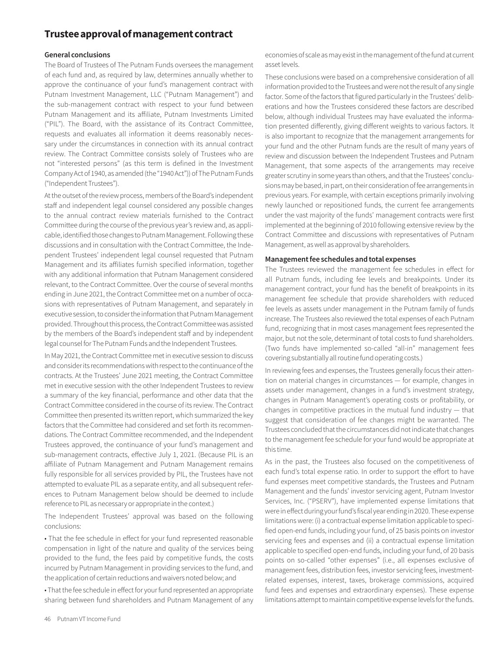# **Trustee approval of management contract**

#### **General conclusions**

The Board of Trustees of The Putnam Funds oversees the management of each fund and, as required by law, determines annually whether to approve the continuance of your fund's management contract with Putnam Investment Management, LLC ("Putnam Management") and the sub-management contract with respect to your fund between Putnam Management and its affiliate, Putnam Investments Limited ("PIL"). The Board, with the assistance of its Contract Committee, requests and evaluates all information it deems reasonably necessary under the circumstances in connection with its annual contract review. The Contract Committee consists solely of Trustees who are not "interested persons" (as this term is defined in the Investment Company Act of 1940, as amended (the "1940 Act")) of The Putnam Funds ("Independent Trustees").

At the outset of the review process, members of the Board's independent staff and independent legal counsel considered any possible changes to the annual contract review materials furnished to the Contract Committee during the course of the previous year's review and, as applicable, identified those changes to Putnam Management. Following these discussions and in consultation with the Contract Committee, the Independent Trustees' independent legal counsel requested that Putnam Management and its affiliates furnish specified information, together with any additional information that Putnam Management considered relevant, to the Contract Committee. Over the course of several months ending in June 2021, the Contract Committee met on a number of occasions with representatives of Putnam Management, and separately in executive session, to consider the information that Putnam Management provided. Throughout this process, the Contract Committee was assisted by the members of the Board's independent staff and by independent legal counsel for The Putnam Funds and the Independent Trustees.

In May 2021, the Contract Committee met in executive session to discuss and consider its recommendations with respect to the continuance of the contracts. At the Trustees' June 2021 meeting, the Contract Committee met in executive session with the other Independent Trustees to review a summary of the key financial, performance and other data that the Contract Committee considered in the course of its review. The Contract Committee then presented its written report, which summarized the key factors that the Committee had considered and set forth its recommendations. The Contract Committee recommended, and the Independent Trustees approved, the continuance of your fund's management and sub-management contracts, effective July 1, 2021. (Because PIL is an affiliate of Putnam Management and Putnam Management remains fully responsible for all services provided by PIL, the Trustees have not attempted to evaluate PIL as a separate entity, and all subsequent references to Putnam Management below should be deemed to include reference to PIL as necessary or appropriate in the context.)

The Independent Trustees' approval was based on the following conclusions:

• That the fee schedule in effect for your fund represented reasonable compensation in light of the nature and quality of the services being provided to the fund, the fees paid by competitive funds, the costs incurred by Putnam Management in providing services to the fund, and the application of certain reductions and waivers noted below; and

• That the fee schedule in effect for your fund represented an appropriate sharing between fund shareholders and Putnam Management of any economies of scale as may exist in the management of the fund at current asset levels.

These conclusions were based on a comprehensive consideration of all information provided to the Trustees and were not the result of any single factor. Some of the factors that figured particularly in the Trustees' deliberations and how the Trustees considered these factors are described below, although individual Trustees may have evaluated the information presented differently, giving different weights to various factors. It is also important to recognize that the management arrangements for your fund and the other Putnam funds are the result of many years of review and discussion between the Independent Trustees and Putnam Management, that some aspects of the arrangements may receive greater scrutiny in some years than others, and that the Trustees' conclusions may be based, in part, on their consideration of fee arrangements in previous years. For example, with certain exceptions primarily involving newly launched or repositioned funds, the current fee arrangements under the vast majority of the funds' management contracts were first implemented at the beginning of 2010 following extensive review by the Contract Committee and discussions with representatives of Putnam Management, as well as approval by shareholders.

#### **Management fee schedules and total expenses**

The Trustees reviewed the management fee schedules in effect for all Putnam funds, including fee levels and breakpoints. Under its management contract, your fund has the benefit of breakpoints in its management fee schedule that provide shareholders with reduced fee levels as assets under management in the Putnam family of funds increase. The Trustees also reviewed the total expenses of each Putnam fund, recognizing that in most cases management fees represented the major, but not the sole, determinant of total costs to fund shareholders. (Two funds have implemented so-called "all-in" management fees covering substantially all routine fund operating costs.)

In reviewing fees and expenses, the Trustees generally focus their attention on material changes in circumstances — for example, changes in assets under management, changes in a fund's investment strategy, changes in Putnam Management's operating costs or profitability, or changes in competitive practices in the mutual fund industry — that suggest that consideration of fee changes might be warranted. The Trustees concluded that the circumstances did not indicate that changes to the management fee schedule for your fund would be appropriate at this time.

As in the past, the Trustees also focused on the competitiveness of each fund's total expense ratio. In order to support the effort to have fund expenses meet competitive standards, the Trustees and Putnam Management and the funds' investor servicing agent, Putnam Investor Services, Inc. ("PSERV"), have implemented expense limitations that were in effect during your fund's fiscal year ending in 2020. These expense limitations were: (i) a contractual expense limitation applicable to specified open-end funds, including your fund, of 25 basis points on investor servicing fees and expenses and (ii) a contractual expense limitation applicable to specified open-end funds, including your fund, of 20 basis points on so-called "other expenses" (i.e., all expenses exclusive of management fees, distribution fees, investor servicing fees, investmentrelated expenses, interest, taxes, brokerage commissions, acquired fund fees and expenses and extraordinary expenses). These expense limitations attempt to maintain competitive expense levels for the funds.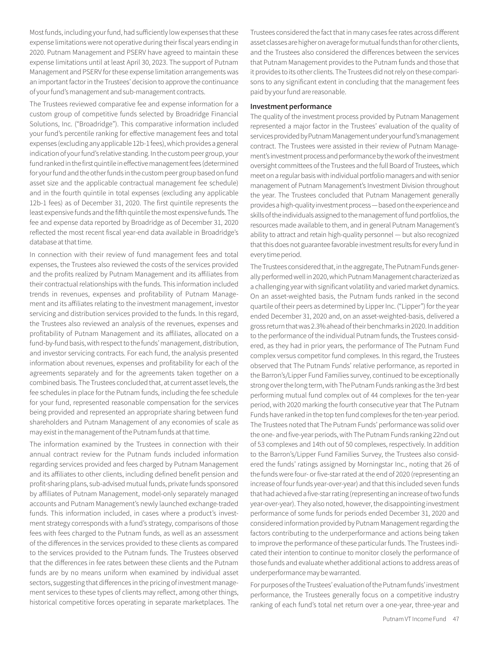Most funds, including your fund, had sufficiently low expenses that these expense limitations were not operative during their fiscal years ending in 2020. Putnam Management and PSERV have agreed to maintain these expense limitations until at least April 30, 2023. The support of Putnam Management and PSERV for these expense limitation arrangements was an important factor in the Trustees' decision to approve the continuance of your fund's management and sub-management contracts.

The Trustees reviewed comparative fee and expense information for a custom group of competitive funds selected by Broadridge Financial Solutions, Inc. ("Broadridge"). This comparative information included your fund's percentile ranking for effective management fees and total expenses (excluding any applicable 12b-1 fees), which provides a general indication of your fund's relative standing. In the custom peer group, your fund ranked in the first quintile in effective management fees (determined for your fund and the other funds in the custom peer group based on fund asset size and the applicable contractual management fee schedule) and in the fourth quintile in total expenses (excluding any applicable 12b-1 fees) as of December 31, 2020. The first quintile represents the least expensive funds and the fifth quintile the most expensive funds. The fee and expense data reported by Broadridge as of December 31, 2020 reflected the most recent fiscal year-end data available in Broadridge's database at that time.

In connection with their review of fund management fees and total expenses, the Trustees also reviewed the costs of the services provided and the profits realized by Putnam Management and its affiliates from their contractual relationships with the funds. This information included trends in revenues, expenses and profitability of Putnam Management and its affiliates relating to the investment management, investor servicing and distribution services provided to the funds. In this regard, the Trustees also reviewed an analysis of the revenues, expenses and profitability of Putnam Management and its affiliates, allocated on a fund-by-fund basis, with respect to the funds' management, distribution, and investor servicing contracts. For each fund, the analysis presented information about revenues, expenses and profitability for each of the agreements separately and for the agreements taken together on a combined basis. The Trustees concluded that, at current asset levels, the fee schedules in place for the Putnam funds, including the fee schedule for your fund, represented reasonable compensation for the services being provided and represented an appropriate sharing between fund shareholders and Putnam Management of any economies of scale as may exist in the management of the Putnam funds at that time.

The information examined by the Trustees in connection with their annual contract review for the Putnam funds included information regarding services provided and fees charged by Putnam Management and its affiliates to other clients, including defined benefit pension and profit-sharing plans, sub-advised mutual funds, private funds sponsored by affiliates of Putnam Management, model-only separately managed accounts and Putnam Management's newly launched exchange-traded funds. This information included, in cases where a product's investment strategy corresponds with a fund's strategy, comparisons of those fees with fees charged to the Putnam funds, as well as an assessment of the differences in the services provided to these clients as compared to the services provided to the Putnam funds. The Trustees observed that the differences in fee rates between these clients and the Putnam funds are by no means uniform when examined by individual asset sectors, suggesting that differences in the pricing of investment management services to these types of clients may reflect, among other things, historical competitive forces operating in separate marketplaces. The Trustees considered the fact that in many cases fee rates across different asset classes are higher on average for mutual funds than for other clients, and the Trustees also considered the differences between the services that Putnam Management provides to the Putnam funds and those that it provides to its other clients. The Trustees did not rely on these comparisons to any significant extent in concluding that the management fees paid by your fund are reasonable.

#### **Investment performance**

The quality of the investment process provided by Putnam Management represented a major factor in the Trustees' evaluation of the quality of services provided by Putnam Management under your fund's management contract. The Trustees were assisted in their review of Putnam Management's investment process and performance by the work of the investment oversight committees of the Trustees and the full Board of Trustees, which meet on a regular basis with individual portfolio managers and with senior management of Putnam Management's Investment Division throughout the year. The Trustees concluded that Putnam Management generally provides a high-quality investment process — based on the experience and skills of the individuals assigned to the management of fund portfolios, the resources made available to them, and in general Putnam Management's ability to attract and retain high-quality personnel — but also recognized that this does not guarantee favorable investment results for every fund in every time period.

The Trustees considered that, in the aggregate, The Putnam Funds generally performed well in 2020, which Putnam Management characterized as a challenging year with significant volatility and varied market dynamics. On an asset-weighted basis, the Putnam funds ranked in the second quartile of their peers as determined by Lipper Inc. ("Lipper") for the year ended December 31, 2020 and, on an asset-weighted-basis, delivered a gross return that was 2.3% ahead of their benchmarks in 2020. In addition to the performance of the individual Putnam funds, the Trustees considered, as they had in prior years, the performance of The Putnam Fund complex versus competitor fund complexes. In this regard, the Trustees observed that The Putnam Funds' relative performance, as reported in the Barron's/Lipper Fund Families survey, continued to be exceptionally strong over the long term, with The Putnam Funds ranking as the 3rd best performing mutual fund complex out of 44 complexes for the ten-year period, with 2020 marking the fourth consecutive year that The Putnam Funds have ranked in the top ten fund complexes for the ten-year period. The Trustees noted that The Putnam Funds' performance was solid over the one- and five-year periods, with The Putnam Funds ranking 22nd out of 53 complexes and 14th out of 50 complexes, respectively. In addition to the Barron's/Lipper Fund Families Survey, the Trustees also considered the funds' ratings assigned by Morningstar Inc., noting that 26 of the funds were four- or five-star rated at the end of 2020 (representing an increase of four funds year-over-year) and that this included seven funds that had achieved a five-star rating (representing an increase of two funds year-over-year). They also noted, however, the disappointing investment performance of some funds for periods ended December 31, 2020 and considered information provided by Putnam Management regarding the factors contributing to the underperformance and actions being taken to improve the performance of these particular funds. The Trustees indicated their intention to continue to monitor closely the performance of those funds and evaluate whether additional actions to address areas of underperformance may be warranted.

For purposes of the Trustees' evaluation of the Putnam funds' investment performance, the Trustees generally focus on a competitive industry ranking of each fund's total net return over a one-year, three-year and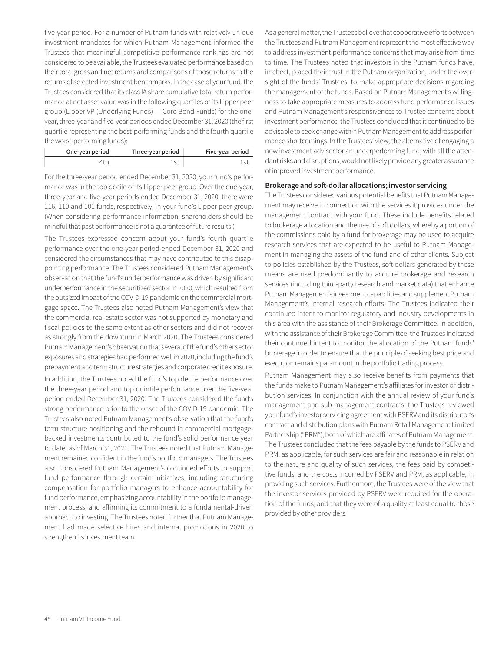five-year period. For a number of Putnam funds with relatively unique investment mandates for which Putnam Management informed the Trustees that meaningful competitive performance rankings are not considered to be available, the Trustees evaluated performance based on their total gross and net returns and comparisons of those returns to the returns of selected investment benchmarks. In the case of your fund, the Trustees considered that its class IA share cumulative total return performance at net asset value was in the following quartiles of its Lipper peer group (Lipper VP (Underlying Funds) — Core Bond Funds) for the oneyear, three-year and five-year periods ended December 31, 2020 (the first quartile representing the best-performing funds and the fourth quartile the worst-performing funds):

| One-year period | Three-year period | Five-year period |
|-----------------|-------------------|------------------|
|                 |                   |                  |

For the three-year period ended December 31, 2020, your fund's performance was in the top decile of its Lipper peer group. Over the one-year, three-year and five-year periods ended December 31, 2020, there were 116, 110 and 101 funds, respectively, in your fund's Lipper peer group. (When considering performance information, shareholders should be mindful that past performance is not a guarantee of future results.)

The Trustees expressed concern about your fund's fourth quartile performance over the one-year period ended December 31, 2020 and considered the circumstances that may have contributed to this disappointing performance. The Trustees considered Putnam Management's observation that the fund's underperformance was driven by significant underperformance in the securitized sector in 2020, which resulted from the outsized impact of the COVID-19 pandemic on the commercial mortgage space. The Trustees also noted Putnam Management's view that the commercial real estate sector was not supported by monetary and fiscal policies to the same extent as other sectors and did not recover as strongly from the downturn in March 2020. The Trustees considered Putnam Management's observation that several of the fund's other sector exposures and strategies had performed well in 2020, including the fund's prepayment and term structure strategies and corporate credit exposure.

In addition, the Trustees noted the fund's top decile performance over the three-year period and top quintile performance over the five-year period ended December 31, 2020. The Trustees considered the fund's strong performance prior to the onset of the COVID-19 pandemic. The Trustees also noted Putnam Management's observation that the fund's term structure positioning and the rebound in commercial mortgagebacked investments contributed to the fund's solid performance year to date, as of March 31, 2021. The Trustees noted that Putnam Management remained confident in the fund's portfolio managers. The Trustees also considered Putnam Management's continued efforts to support fund performance through certain initiatives, including structuring compensation for portfolio managers to enhance accountability for fund performance, emphasizing accountability in the portfolio management process, and affirming its commitment to a fundamental-driven approach to investing. The Trustees noted further that Putnam Management had made selective hires and internal promotions in 2020 to strengthen its investment team.

As a general matter, the Trustees believe that cooperative efforts between the Trustees and Putnam Management represent the most effective way to address investment performance concerns that may arise from time to time. The Trustees noted that investors in the Putnam funds have, in effect, placed their trust in the Putnam organization, under the oversight of the funds' Trustees, to make appropriate decisions regarding the management of the funds. Based on Putnam Management's willingness to take appropriate measures to address fund performance issues and Putnam Management's responsiveness to Trustee concerns about investment performance, the Trustees concluded that it continued to be advisable to seek change within Putnam Management to address performance shortcomings. In the Trustees' view, the alternative of engaging a new investment adviser for an underperforming fund, with all the attendant risks and disruptions, would not likely provide any greater assurance of improved investment performance.

#### **Brokerage and soft-dollar allocations; investor servicing**

The Trustees considered various potential benefits that Putnam Management may receive in connection with the services it provides under the management contract with your fund. These include benefits related to brokerage allocation and the use of soft dollars, whereby a portion of the commissions paid by a fund for brokerage may be used to acquire research services that are expected to be useful to Putnam Management in managing the assets of the fund and of other clients. Subject to policies established by the Trustees, soft dollars generated by these means are used predominantly to acquire brokerage and research services (including third-party research and market data) that enhance Putnam Management's investment capabilities and supplement Putnam Management's internal research efforts. The Trustees indicated their continued intent to monitor regulatory and industry developments in this area with the assistance of their Brokerage Committee. In addition, with the assistance of their Brokerage Committee, the Trustees indicated their continued intent to monitor the allocation of the Putnam funds' brokerage in order to ensure that the principle of seeking best price and execution remains paramount in the portfolio trading process.

Putnam Management may also receive benefits from payments that the funds make to Putnam Management's affiliates for investor or distribution services. In conjunction with the annual review of your fund's management and sub-management contracts, the Trustees reviewed your fund's investor servicing agreement with PSERV and its distributor's contract and distribution plans with Putnam Retail Management Limited Partnership ("PRM"), both of which are affiliates of Putnam Management. The Trustees concluded that the fees payable by the funds to PSERV and PRM, as applicable, for such services are fair and reasonable in relation to the nature and quality of such services, the fees paid by competitive funds, and the costs incurred by PSERV and PRM, as applicable, in providing such services. Furthermore, the Trustees were of the view that the investor services provided by PSERV were required for the operation of the funds, and that they were of a quality at least equal to those provided by other providers.